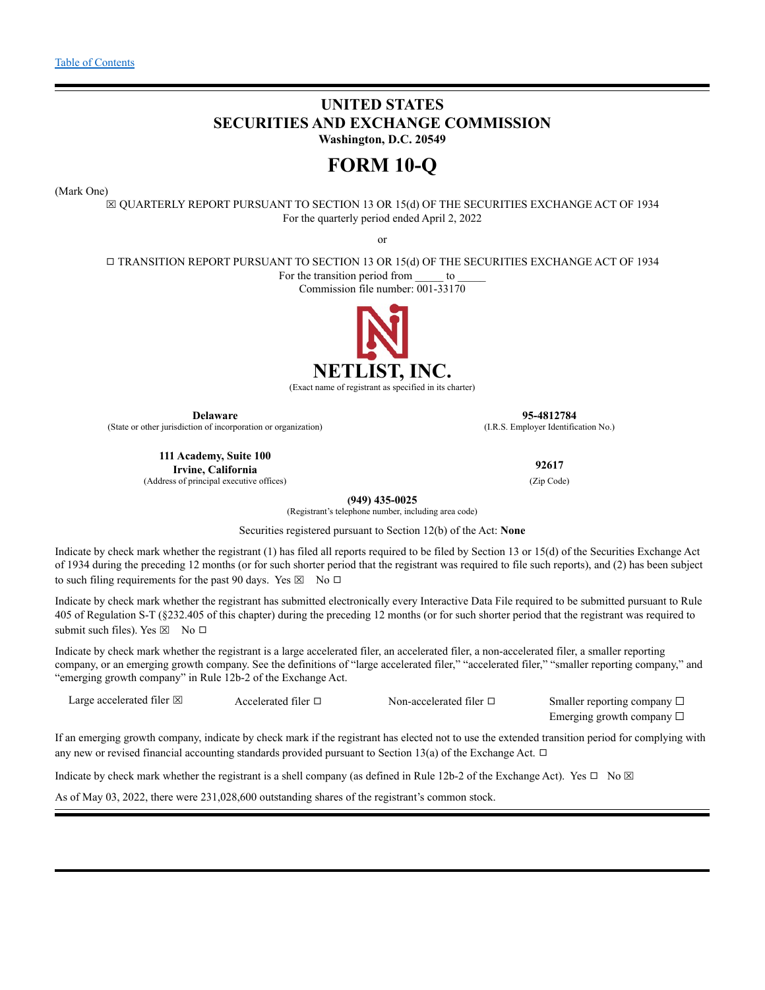# **UNITED STATES SECURITIES AND EXCHANGE COMMISSION Washington, D.C. 20549**

**FORM 10-Q**

(Mark One)

⌧ QUARTERLY REPORT PURSUANT TO SECTION 13 OR 15(d) OF THE SECURITIES EXCHANGE ACT OF 1934 For the quarterly period ended April 2, 2022

or

◻ TRANSITION REPORT PURSUANT TO SECTION 13 OR 15(d) OF THE SECURITIES EXCHANGE ACT OF 1934 For the transition period from to

Commission file number: 001-33170



**Delaware 95-4812784**<br> **95-4812784**<br> **1.R.S. Employer Identification No.)**<br> **1.R.S. Employer Identification No.** (State or other jurisdiction of incorporation or organization)

**111 Academy, Suite 100 Irvine, California** (Address of principal executive offices) (Zip Code)

**92617**

**(949) 435-0025** (Registrant's telephone number, including area code)

Securities registered pursuant to Section 12(b) of the Act: **None**

Indicate by check mark whether the registrant (1) has filed all reports required to be filed by Section 13 or 15(d) of the Securities Exchange Act of 1934 during the preceding 12 months (or for such shorter period that the registrant was required to file such reports), and (2) has been subject to such filing requirements for the past 90 days. Yes  $\boxtimes$  No  $\Box$ 

Indicate by check mark whether the registrant has submitted electronically every Interactive Data File required to be submitted pursuant to Rule 405 of Regulation S-T (§232.405 of this chapter) during the preceding 12 months (or for such shorter period that the registrant was required to submit such files). Yes  $\boxtimes$  No  $\square$ 

Indicate by check mark whether the registrant is a large accelerated filer, an accelerated filer, a non-accelerated filer, a smaller reporting company, or an emerging growth company. See the definitions of "large accelerated filer," "accelerated filer," "smaller reporting company," and "emerging growth company" in Rule 12b-2 of the Exchange Act.

Large accelerated filer ⊠ Accelerated filer □ Non-accelerated filer □ Smaller reporting company □

Emerging growth company  $\Box$ 

If an emerging growth company, indicate by check mark if the registrant has elected not to use the extended transition period for complying with any new or revised financial accounting standards provided pursuant to Section 13(a) of the Exchange Act.  $\Box$ 

Indicate by check mark whether the registrant is a shell company (as defined in Rule 12b-2 of the Exchange Act). Yes  $\Box$  No  $\boxtimes$ 

As of May 03, 2022, there were 231,028,600 outstanding shares of the registrant's common stock.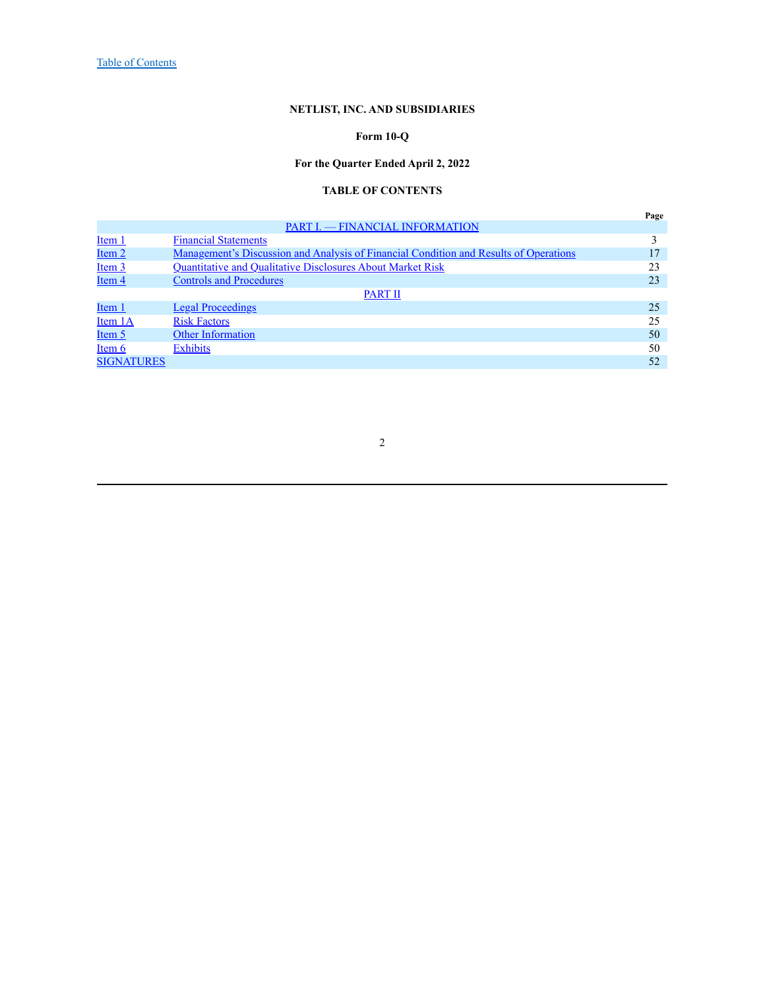# **NETLIST, INC. AND SUBSIDIARIES**

# **Form 10-Q**

# **For the Quarter Ended April 2, 2022**

# **TABLE OF CONTENTS**

<span id="page-1-0"></span>

|                   |                                                                                       | Page |
|-------------------|---------------------------------------------------------------------------------------|------|
|                   | <b>PART I. - FINANCIAL INFORMATION</b>                                                |      |
| <u>Item 1</u>     | <b>Financial Statements</b>                                                           |      |
| Item <sub>2</sub> | Management's Discussion and Analysis of Financial Condition and Results of Operations |      |
| Item $3$          | Quantitative and Qualitative Disclosures About Market Risk                            | 23   |
| Item <sub>4</sub> | <b>Controls and Procedures</b>                                                        | 23   |
|                   | <b>PART II</b>                                                                        |      |
| <u>Item 1</u>     | <b>Legal Proceedings</b>                                                              | 25   |
| Item 1A           | <b>Risk Factors</b>                                                                   | 25   |
| Item 5            | <b>Other Information</b>                                                              | 50   |
| Item 6            | <b>Exhibits</b>                                                                       | 50   |
| <b>SIGNATURES</b> |                                                                                       | 52   |
|                   |                                                                                       |      |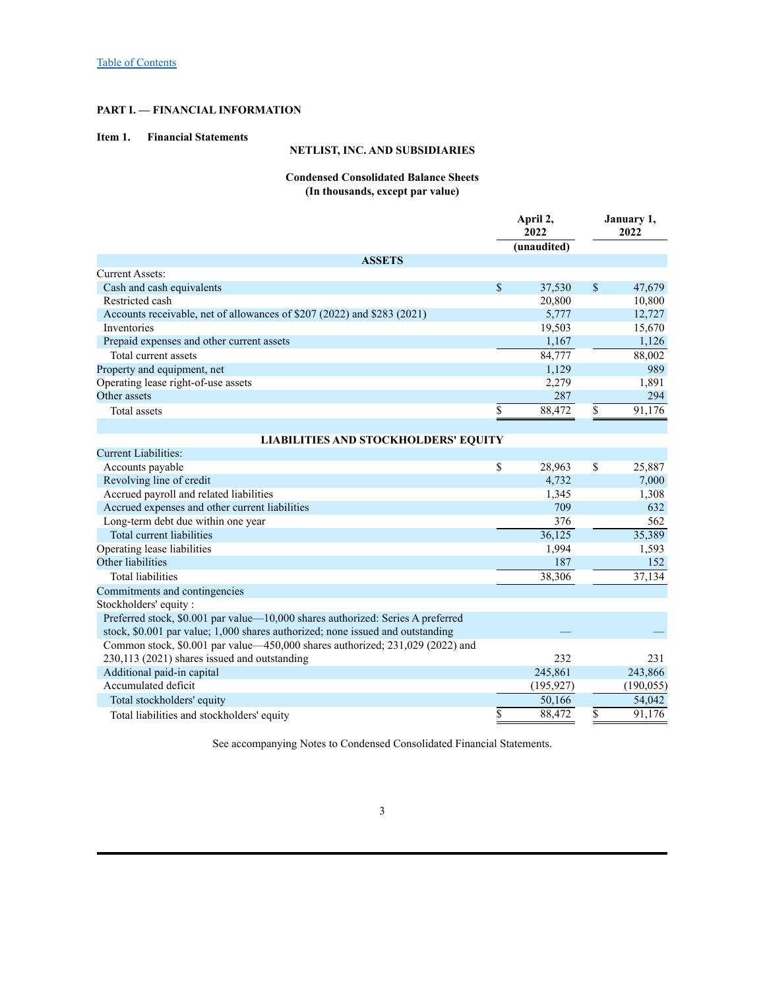# <span id="page-2-0"></span>**PART I. — FINANCIAL INFORMATION**

# <span id="page-2-1"></span>**Item 1. Financial Statements**

# **NETLIST, INC. AND SUBSIDIARIES**

# **Condensed Consolidated Balance Sheets (In thousands, except par value)**

|                                                                                 |               | April 2,<br>2022 | January 1,<br>2022 |
|---------------------------------------------------------------------------------|---------------|------------------|--------------------|
|                                                                                 |               | (unaudited)      |                    |
| <b>ASSETS</b>                                                                   |               |                  |                    |
| <b>Current Assets:</b>                                                          |               |                  |                    |
| Cash and cash equivalents                                                       | $\mathcal{S}$ | 37,530           | \$<br>47,679       |
| Restricted cash                                                                 |               | 20,800           | 10,800             |
| Accounts receivable, net of allowances of \$207 (2022) and \$283 (2021)         |               | 5,777            | 12,727             |
| Inventories                                                                     |               | 19,503           | 15,670             |
| Prepaid expenses and other current assets                                       |               | 1,167            | 1,126              |
| Total current assets                                                            |               | 84,777           | 88,002             |
| Property and equipment, net                                                     |               | 1,129            | 989                |
| Operating lease right-of-use assets                                             |               | 2,279            | 1,891              |
| Other assets                                                                    |               | 287              | 294                |
| <b>Total</b> assets                                                             | \$            | 88,472           | \$<br>91,176       |
| <b>LIABILITIES AND STOCKHOLDERS' EQUITY</b>                                     |               |                  |                    |
| <b>Current Liabilities:</b>                                                     |               |                  |                    |
| Accounts payable                                                                | \$            | 28,963           | \$<br>25,887       |
| Revolving line of credit                                                        |               | 4,732            | 7,000              |
| Accrued payroll and related liabilities                                         |               | 1,345            | 1,308              |
| Accrued expenses and other current liabilities                                  |               | 709              | 632                |
| Long-term debt due within one year                                              |               | 376              | 562                |
| Total current liabilities                                                       |               | 36,125           | 35,389             |
| Operating lease liabilities                                                     |               | 1,994            | 1,593              |
| Other liabilities                                                               |               | 187              | 152                |
| <b>Total liabilities</b>                                                        |               | 38,306           | 37,134             |
| Commitments and contingencies                                                   |               |                  |                    |
| Stockholders' equity:                                                           |               |                  |                    |
| Preferred stock, \$0.001 par value-10,000 shares authorized: Series A preferred |               |                  |                    |
| stock, \$0.001 par value; 1,000 shares authorized; none issued and outstanding  |               |                  |                    |
| Common stock, \$0.001 par value—450,000 shares authorized; 231,029 (2022) and   |               |                  |                    |
| 230,113 (2021) shares issued and outstanding                                    |               | 232              | 231                |
| Additional paid-in capital                                                      |               | 245,861          | 243,866            |
| Accumulated deficit                                                             |               | (195, 927)       | (190, 055)         |
| Total stockholders' equity                                                      |               | 50,166           | 54,042             |
| Total liabilities and stockholders' equity                                      | \$            | 88,472           | \$<br>91,176       |

See accompanying Notes to Condensed Consolidated Financial Statements.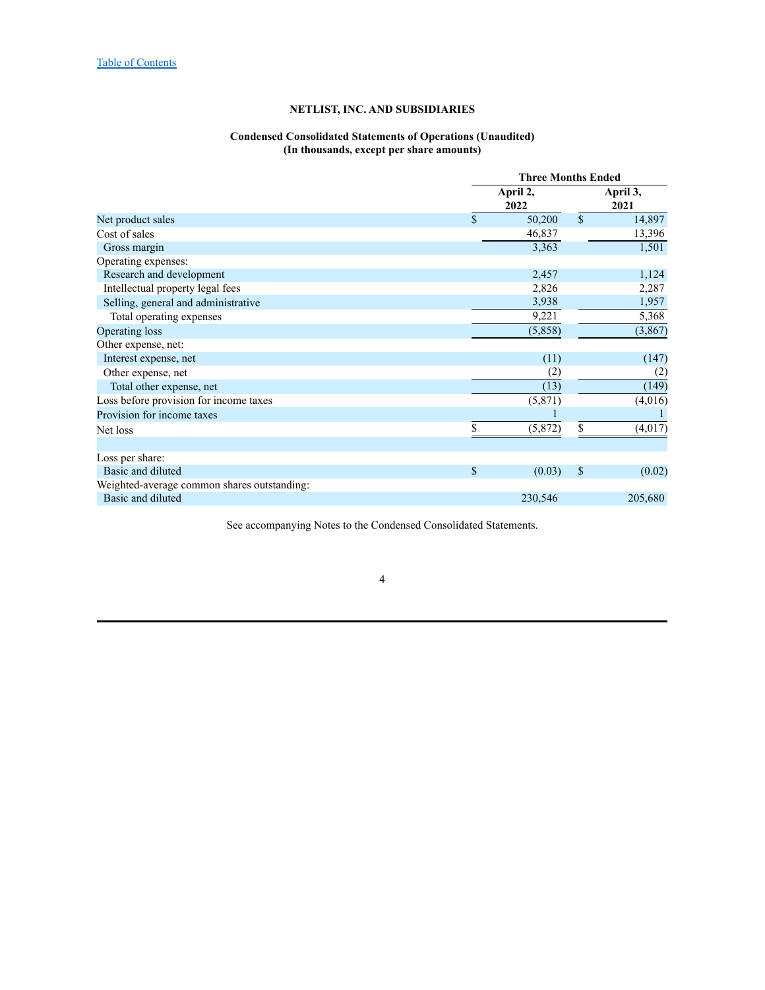# **NETLIST, INC. AND SUBSIDIARIES**

# **Condensed Consolidated Statements of Operations (Unaudited) (In thousands, except per share amounts)**

|                                             | <b>Three Months Ended</b> |             |                  |  |  |
|---------------------------------------------|---------------------------|-------------|------------------|--|--|
|                                             | April 2,<br>2022          |             | April 3,<br>2021 |  |  |
| Net product sales                           | \$<br>50,200              | $\mathbf S$ | 14,897           |  |  |
| Cost of sales                               | 46,837                    |             | 13,396           |  |  |
| Gross margin                                | 3,363                     |             | 1,501            |  |  |
| Operating expenses:                         |                           |             |                  |  |  |
| Research and development                    | 2,457                     |             | 1,124            |  |  |
| Intellectual property legal fees            | 2,826                     |             | 2,287            |  |  |
| Selling, general and administrative         | 3,938                     |             | 1,957            |  |  |
| Total operating expenses                    | 9,221                     |             | 5,368            |  |  |
| Operating loss                              | (5,858)                   |             | (3,867)          |  |  |
| Other expense, net:                         |                           |             |                  |  |  |
| Interest expense, net                       | (11)                      |             | (147)            |  |  |
| Other expense, net                          | (2)                       |             | (2)              |  |  |
| Total other expense, net                    | (13)                      |             | (149)            |  |  |
| Loss before provision for income taxes      | (5, 871)                  |             | (4,016)          |  |  |
| Provision for income taxes                  |                           |             |                  |  |  |
| Net loss                                    | (5, 872)                  | \$          | (4,017)          |  |  |
| Loss per share:                             |                           |             |                  |  |  |
| Basic and diluted                           | \$<br>(0.03)              | \$          | (0.02)           |  |  |
| Weighted-average common shares outstanding: |                           |             |                  |  |  |
| Basic and diluted                           | 230,546                   |             | 205,680          |  |  |
|                                             |                           |             |                  |  |  |

See accompanying Notes to the Condensed Consolidated Statements.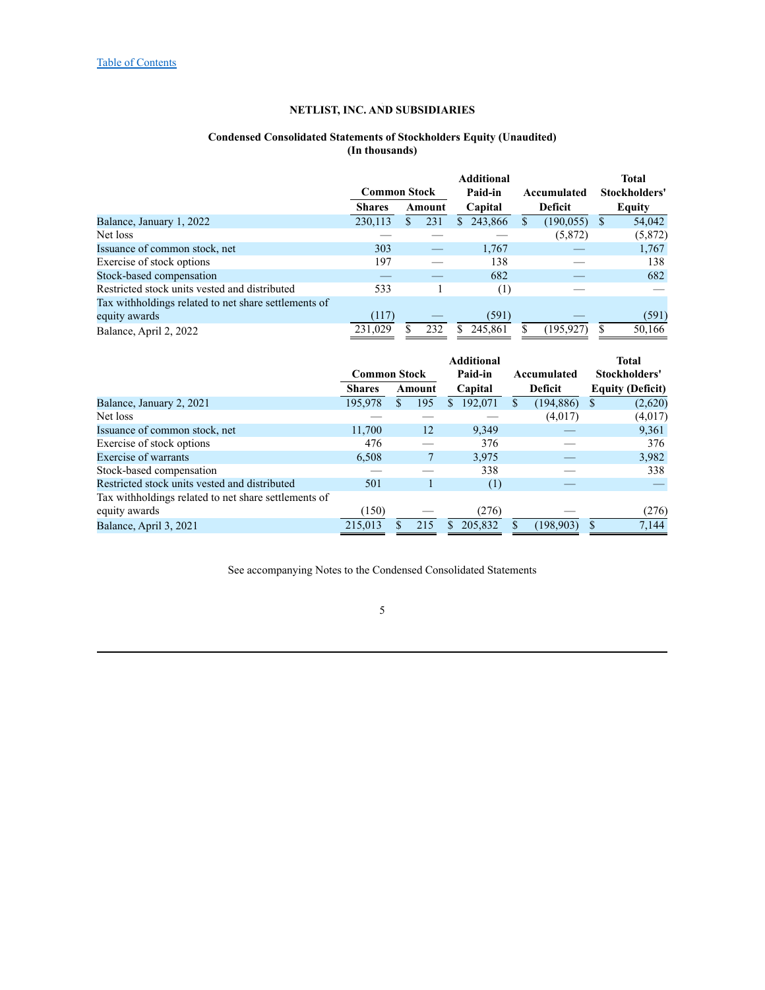# B **NETLIST, INC. AND SUBSIDIARIES**

# **Condensed Consolidated Statements of Stockholders Equity (Unaudited) (In thousands)**

|                                                         |                     |   |        | <b>Additional</b> |             |                | Total         |
|---------------------------------------------------------|---------------------|---|--------|-------------------|-------------|----------------|---------------|
|                                                         | <b>Common Stock</b> |   |        | Paid-in           | Accumulated |                | Stockholders' |
|                                                         | <b>Shares</b>       |   | Amount | Capital           |             | <b>Deficit</b> | Equity        |
| Balance, January 1, 2022                                | 230,113             | S | 231    | 243,866<br>S.     |             | (190, 055)     | 54,042        |
| Net loss                                                |                     |   |        |                   |             | (5,872)        | (5,872)       |
| Issuance of common stock, net                           | 303                 |   |        | 1,767             |             |                | 1,767         |
| Exercise of stock options                               | 197                 |   |        | 138               |             |                | 138           |
| Stock-based compensation                                |                     |   |        | 682               |             |                | 682           |
| Restricted stock units vested and distributed           | 533                 |   |        | (1)               |             |                |               |
| Tax with holdings related to net share set the ments of |                     |   |        |                   |             |                |               |
| equity awards                                           | (117)               |   |        | (591)             |             |                | (591)         |
| Balance, April 2, 2022                                  | 231.029             |   | 232    | 245,861           |             | (195,927       | 50,166        |

|                                                      | <b>Common Stock</b> |   |        | <b>Additional</b><br>Paid-in | Accumulated    |     | <b>Total</b><br>Stockholders' |
|------------------------------------------------------|---------------------|---|--------|------------------------------|----------------|-----|-------------------------------|
|                                                      | <b>Shares</b>       |   | Amount | Capital                      | <b>Deficit</b> |     | <b>Equity (Deficit)</b>       |
| Balance, January 2, 2021                             | 195,978             | S | 195    | 192,071<br>\$                | (194, 886)     | \$. | (2,620)                       |
| Net loss                                             |                     |   |        |                              | (4,017)        |     | (4,017)                       |
| Issuance of common stock, net                        | 11,700              |   | 12     | 9,349                        |                |     | 9,361                         |
| Exercise of stock options                            | 476                 |   |        | 376                          |                |     | 376                           |
| Exercise of warrants                                 | 6,508               |   |        | 3,975                        |                |     | 3,982                         |
| Stock-based compensation                             |                     |   |        | 338                          |                |     | 338                           |
| Restricted stock units vested and distributed        | 501                 |   |        | (1)                          |                |     |                               |
| Tax withholdings related to net share settlements of |                     |   |        |                              |                |     |                               |
| equity awards                                        | (150)               |   |        | (276)                        |                |     | (276)                         |
| Balance, April 3, 2021                               | 215.013             |   | 215    | 205.832                      | (198, 903)     |     | 7,144                         |

See accompanying Notes to the Condensed Consolidated Statements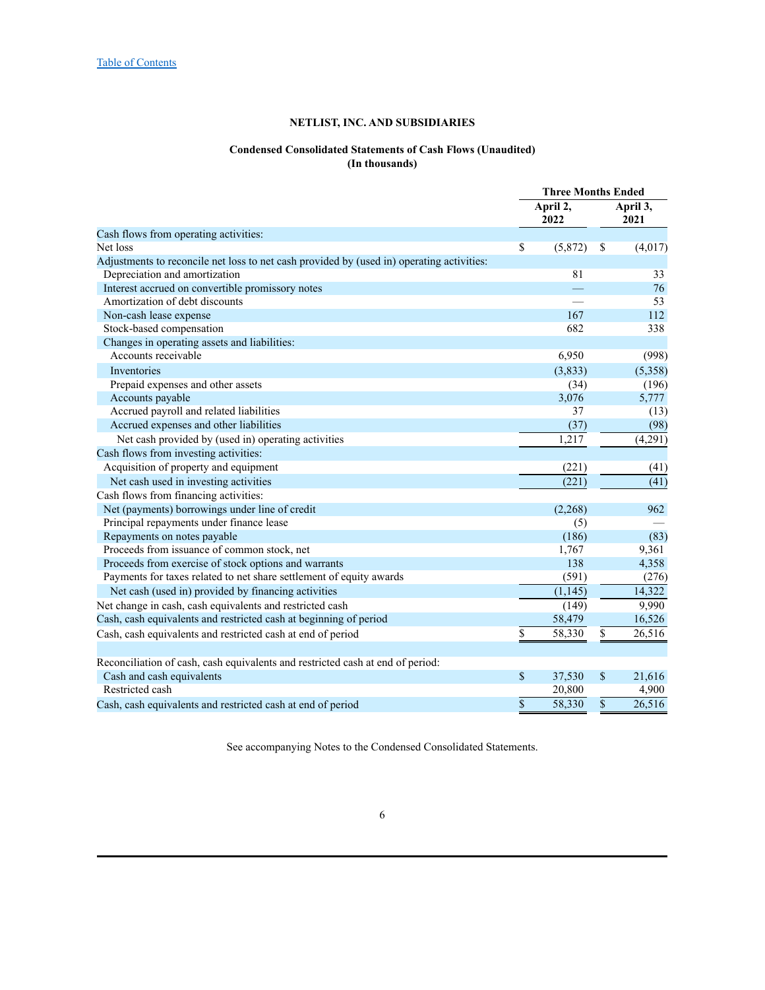# **NETLIST, INC. AND SUBSIDIARIES**

# **Condensed Consolidated Statements of Cash Flows (Unaudited) (In thousands)**

|                                                                                           | <b>Three Months Ended</b> |                  |                 |                  |
|-------------------------------------------------------------------------------------------|---------------------------|------------------|-----------------|------------------|
|                                                                                           |                           | April 2,<br>2022 |                 | April 3,<br>2021 |
| Cash flows from operating activities:                                                     |                           |                  |                 |                  |
| Net loss                                                                                  | \$                        | (5,872)          | \$              | (4,017)          |
| Adjustments to reconcile net loss to net cash provided by (used in) operating activities: |                           |                  |                 |                  |
| Depreciation and amortization                                                             |                           | 81               |                 | 33               |
| Interest accrued on convertible promissory notes                                          |                           |                  |                 | 76               |
| Amortization of debt discounts                                                            |                           |                  |                 | 53               |
| Non-cash lease expense                                                                    |                           | 167              |                 | 112              |
| Stock-based compensation                                                                  |                           | 682              |                 | 338              |
| Changes in operating assets and liabilities:                                              |                           |                  |                 |                  |
| Accounts receivable                                                                       |                           | 6,950            |                 | (998)            |
| Inventories                                                                               |                           | (3,833)          |                 | (5,358)          |
| Prepaid expenses and other assets                                                         |                           | (34)             |                 | (196)            |
| Accounts payable                                                                          |                           | 3,076            |                 | 5,777            |
| Accrued payroll and related liabilities                                                   |                           | 37               |                 | (13)             |
| Accrued expenses and other liabilities                                                    |                           | (37)             |                 | (98)             |
| Net cash provided by (used in) operating activities                                       |                           | 1,217            |                 | (4,291)          |
| Cash flows from investing activities:                                                     |                           |                  |                 |                  |
| Acquisition of property and equipment                                                     |                           | (221)            |                 | (41)             |
| Net cash used in investing activities                                                     |                           | (221)            |                 | (41)             |
| Cash flows from financing activities:                                                     |                           |                  |                 |                  |
| Net (payments) borrowings under line of credit                                            |                           | (2,268)          |                 | 962              |
| Principal repayments under finance lease                                                  |                           | (5)              |                 |                  |
| Repayments on notes payable                                                               |                           | (186)            |                 | (83)             |
| Proceeds from issuance of common stock, net                                               |                           | 1,767            |                 | 9,361            |
| Proceeds from exercise of stock options and warrants                                      |                           | 138              |                 | 4,358            |
| Payments for taxes related to net share settlement of equity awards                       |                           | (591)            |                 | (276)            |
| Net cash (used in) provided by financing activities                                       |                           | (1, 145)         |                 | 14,322           |
| Net change in cash, cash equivalents and restricted cash                                  |                           | (149)            |                 | 9,990            |
| Cash, cash equivalents and restricted cash at beginning of period                         |                           | 58,479           |                 | 16,526           |
| Cash, cash equivalents and restricted cash at end of period                               | \$                        | 58,330           | \$              | 26,516           |
|                                                                                           |                           |                  |                 |                  |
| Reconciliation of cash, cash equivalents and restricted cash at end of period:            |                           |                  |                 |                  |
| Cash and cash equivalents                                                                 | \$                        | 37,530           | \$              | 21,616           |
| Restricted cash                                                                           |                           | 20,800           |                 | 4,900            |
| Cash, cash equivalents and restricted cash at end of period                               | \$                        | 58,330           | $\overline{\$}$ | 26,516           |

See accompanying Notes to the Condensed Consolidated Statements.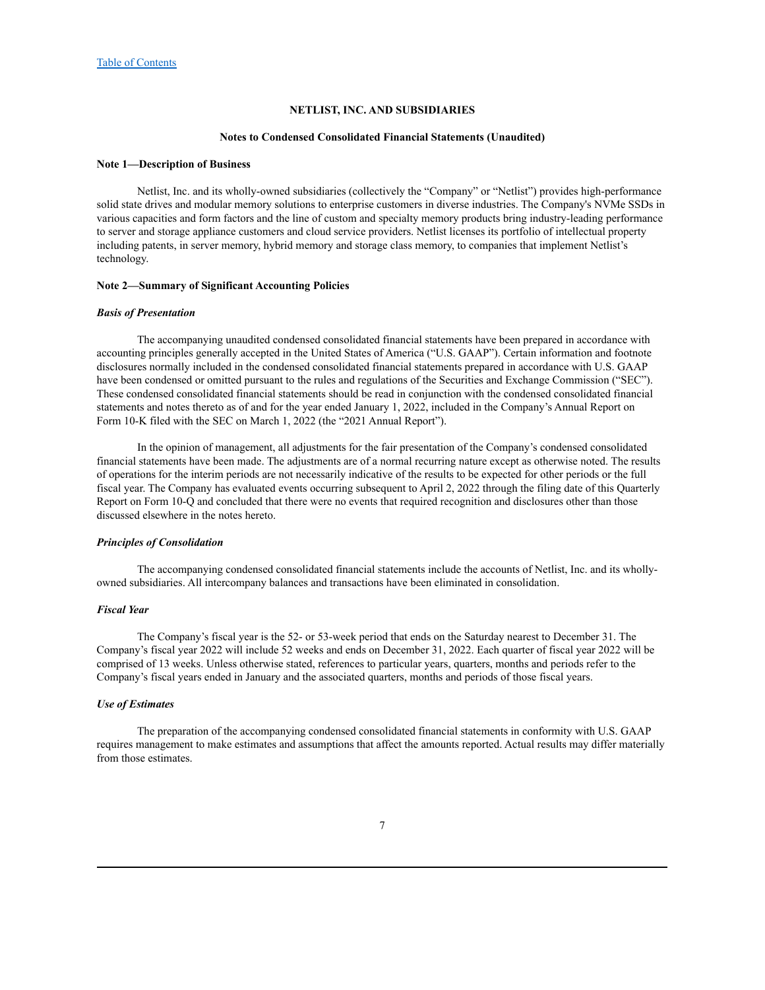### **NETLIST, INC. AND SUBSIDIARIES**

#### **Notes to Condensed Consolidated Financial Statements (Unaudited)**

### **Note 1—Description of Business**

Netlist, Inc. and its wholly-owned subsidiaries (collectively the "Company" or "Netlist") provides high-performance solid state drives and modular memory solutions to enterprise customers in diverse industries. The Company's NVMe SSDs in various capacities and form factors and the line of custom and specialty memory products bring industry-leading performance to server and storage appliance customers and cloud service providers. Netlist licenses its portfolio of intellectual property including patents, in server memory, hybrid memory and storage class memory, to companies that implement Netlist's technology.

### **Note 2—Summary of Significant Accounting Policies**

#### *Basis of Presentation*

The accompanying unaudited condensed consolidated financial statements have been prepared in accordance with accounting principles generally accepted in the United States of America ("U.S. GAAP"). Certain information and footnote disclosures normally included in the condensed consolidated financial statements prepared in accordance with U.S. GAAP have been condensed or omitted pursuant to the rules and regulations of the Securities and Exchange Commission ("SEC"). These condensed consolidated financial statements should be read in conjunction with the condensed consolidated financial statements and notes thereto as of and for the year ended January 1, 2022, included in the Company's Annual Report on Form 10-K filed with the SEC on March 1, 2022 (the "2021 Annual Report").

In the opinion of management, all adjustments for the fair presentation of the Company's condensed consolidated financial statements have been made. The adjustments are of a normal recurring nature except as otherwise noted. The results of operations for the interim periods are not necessarily indicative of the results to be expected for other periods or the full fiscal year. The Company has evaluated events occurring subsequent to April 2, 2022 through the filing date of this Quarterly Report on Form 10-Q and concluded that there were no events that required recognition and disclosures other than those discussed elsewhere in the notes hereto.

# *Principles of Consolidation*

The accompanying condensed consolidated financial statements include the accounts of Netlist, Inc. and its whollyowned subsidiaries. All intercompany balances and transactions have been eliminated in consolidation.

#### *Fiscal Year*

The Company's fiscal year is the 52- or 53-week period that ends on the Saturday nearest to December 31. The Company's fiscal year 2022 will include 52 weeks and ends on December 31, 2022. Each quarter of fiscal year 2022 will be comprised of 13 weeks. Unless otherwise stated, references to particular years, quarters, months and periods refer to the Company's fiscal years ended in January and the associated quarters, months and periods of those fiscal years.

### *Use of Estimates*

The preparation of the accompanying condensed consolidated financial statements in conformity with U.S. GAAP requires management to make estimates and assumptions that affect the amounts reported. Actual results may differ materially from those estimates.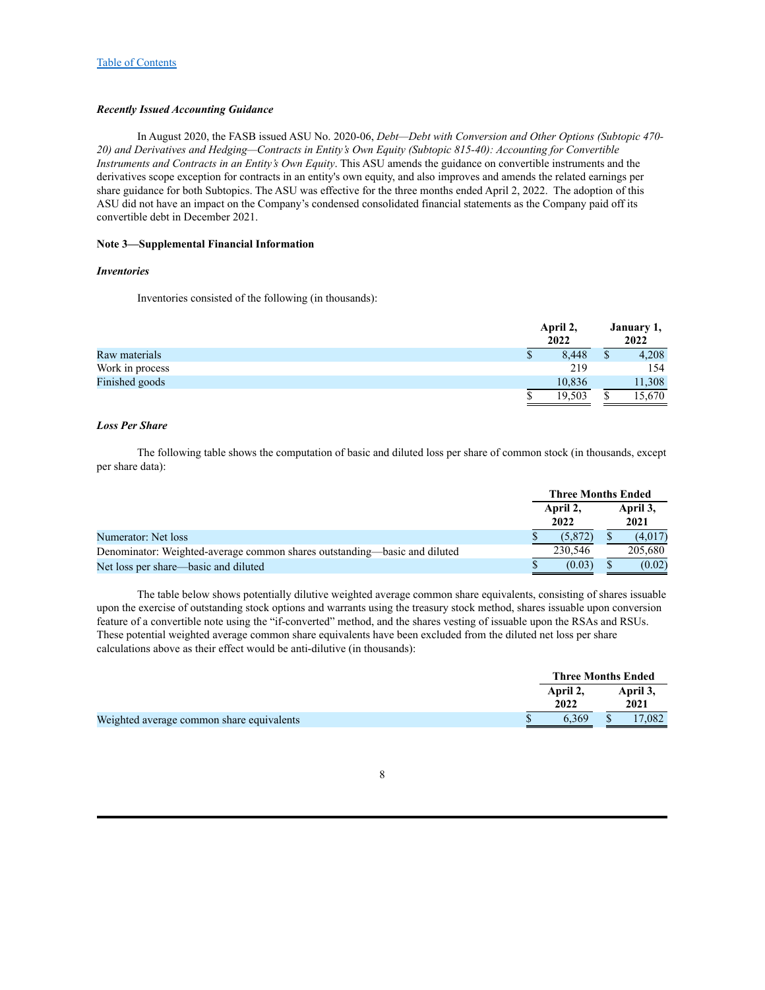# *Recently Issued Accounting Guidance*

In August 2020, the FASB issued ASU No. 2020-06, *Debt—Debt with Conversion and Other Options (Subtopic 470- 20) and Derivatives and Hedging—Contracts in Entity's Own Equity (Subtopic 815-40): Accounting for Convertible Instruments and Contracts in an Entity's Own Equity*. This ASU amends the guidance on convertible instruments and the derivatives scope exception for contracts in an entity's own equity, and also improves and amends the related earnings per share guidance for both Subtopics. The ASU was effective for the three months ended April 2, 2022. The adoption of this ASU did not have an impact on the Company's condensed consolidated financial statements as the Company paid off its convertible debt in December 2021.

# **Note 3—Supplemental Financial Information**

# *Inventories*

Inventories consisted of the following (in thousands):

|                 |   | April 2,<br>2022 | January 1,<br>2022 |
|-----------------|---|------------------|--------------------|
| Raw materials   | S | 8.448            | 4,208              |
| Work in process |   | 219              | 154                |
| Finished goods  |   | 10,836           | 11,308             |
|                 |   | 19,503           | 15,670             |

# *Loss Per Share*

The following table shows the computation of basic and diluted loss per share of common stock (in thousands, except per share data):

|                                                                           |                  | <b>Three Months Ended</b> |  |         |                  |  |
|---------------------------------------------------------------------------|------------------|---------------------------|--|---------|------------------|--|
|                                                                           | April 2,<br>2022 |                           |  |         | April 3,<br>2021 |  |
| Numerator: Net loss                                                       |                  | (5.872)                   |  | (4.017) |                  |  |
| Denominator: Weighted-average common shares outstanding—basic and diluted |                  | 230.546                   |  | 205,680 |                  |  |
| Net loss per share—basic and diluted                                      |                  | (0.03)                    |  | (0.02)  |                  |  |

The table below shows potentially dilutive weighted average common share equivalents, consisting of shares issuable upon the exercise of outstanding stock options and warrants using the treasury stock method, shares issuable upon conversion feature of a convertible note using the "if-converted" method, and the shares vesting of issuable upon the RSAs and RSUs. These potential weighted average common share equivalents have been excluded from the diluted net loss per share calculations above as their effect would be anti-dilutive (in thousands):

|                                           | <b>Three Months Ended</b> |  |          |
|-------------------------------------------|---------------------------|--|----------|
|                                           | April 2.                  |  | April 3. |
|                                           | 2022                      |  | 2021     |
| Weighted average common share equivalents | 6.369                     |  | 17,082   |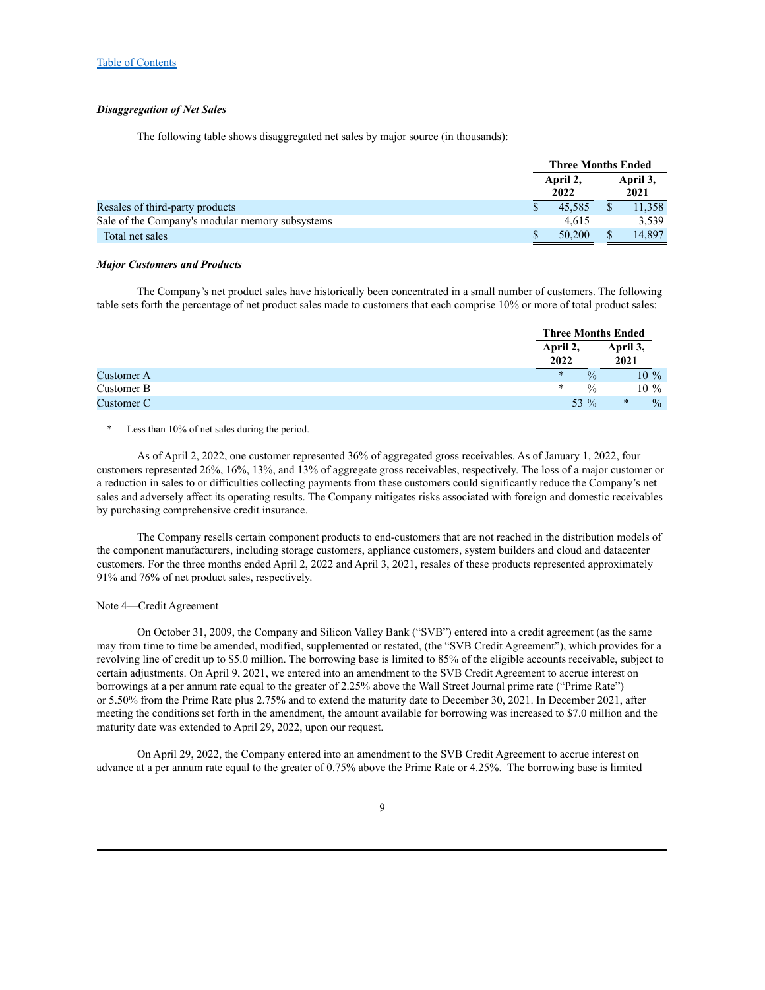# *Disaggregation of Net Sales*

The following table shows disaggregated net sales by major source (in thousands):

|                                                 |                  | <b>Three Months Ended</b> |  |                  |  |
|-------------------------------------------------|------------------|---------------------------|--|------------------|--|
|                                                 | April 2,<br>2022 |                           |  | April 3,<br>2021 |  |
| Resales of third-party products                 |                  | 45.585                    |  | 11,358           |  |
| Sale of the Company's modular memory subsystems |                  | 4.615                     |  | 3,539            |  |
| Total net sales                                 |                  | 50,200                    |  | 14.897           |  |

#### *Major Customers and Products*

The Company's net product sales have historically been concentrated in a small number of customers. The following table sets forth the percentage of net product sales made to customers that each comprise 10% or more of total product sales:

|            | <b>Three Months Ended</b> |                         |
|------------|---------------------------|-------------------------|
|            | April 2,<br>2022          | April 3.<br>2021        |
| Customer A | $\ast$<br>$\frac{0}{0}$   | $10\%$                  |
| Customer B | *<br>$\%$                 | $10\%$                  |
| Customer C | 53 $\%$                   | $\frac{0}{0}$<br>$\ast$ |

### \* Less than 10% of net sales during the period.

As of April 2, 2022, one customer represented 36% of aggregated gross receivables. As of January 1, 2022, four customers represented 26%, 16%, 13%, and 13% of aggregate gross receivables, respectively. The loss of a major customer or a reduction in sales to or difficulties collecting payments from these customers could significantly reduce the Company's net sales and adversely affect its operating results. The Company mitigates risks associated with foreign and domestic receivables by purchasing comprehensive credit insurance.

The Company resells certain component products to end-customers that are not reached in the distribution models of the component manufacturers, including storage customers, appliance customers, system builders and cloud and datacenter customers. For the three months ended April 2, 2022 and April 3, 2021, resales of these products represented approximately 91% and 76% of net product sales, respectively.

### Note 4—Credit Agreement

On October 31, 2009, the Company and Silicon Valley Bank ("SVB") entered into a credit agreement (as the same may from time to time be amended, modified, supplemented or restated, (the "SVB Credit Agreement"), which provides for a revolving line of credit up to \$5.0 million. The borrowing base is limited to 85% of the eligible accounts receivable, subject to certain adjustments. On April 9, 2021, we entered into an amendment to the SVB Credit Agreement to accrue interest on borrowings at a per annum rate equal to the greater of 2.25% above the Wall Street Journal prime rate ("Prime Rate") or 5.50% from the Prime Rate plus 2.75% and to extend the maturity date to December 30, 2021. In December 2021, after meeting the conditions set forth in the amendment, the amount available for borrowing was increased to \$7.0 million and the maturity date was extended to April 29, 2022, upon our request.

On April 29, 2022, the Company entered into an amendment to the SVB Credit Agreement to accrue interest on advance at a per annum rate equal to the greater of 0.75% above the Prime Rate or 4.25%. The borrowing base is limited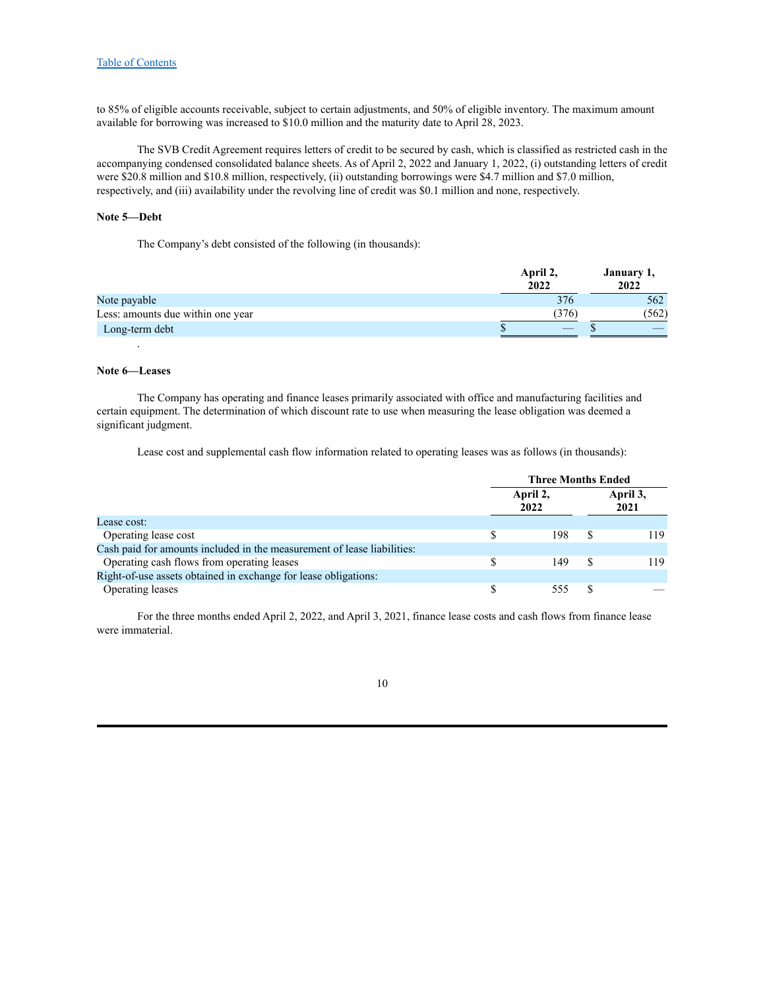to 85% of eligible accounts receivable, subject to certain adjustments, and 50% of eligible inventory. The maximum amount available for borrowing was increased to \$10.0 million and the maturity date to April 28, 2023.

The SVB Credit Agreement requires letters of credit to be secured by cash, which is classified as restricted cash in the accompanying condensed consolidated balance sheets. As of April 2, 2022 and January 1, 2022, (i) outstanding letters of credit were \$20.8 million and \$10.8 million, respectively, (ii) outstanding borrowings were \$4.7 million and \$7.0 million, respectively, and (iii) availability under the revolving line of credit was \$0.1 million and none, respectively.

### **Note 5—Debt**

The Company's debt consisted of the following (in thousands):

|                                   | April 2,<br>2022 | January 1,<br>2022 |
|-----------------------------------|------------------|--------------------|
| Note payable                      | 376              | 562                |
| Less: amounts due within one year | (376)            | (562)              |
| Long-term debt                    |                  |                    |

# **Note 6—Leases**

.

The Company has operating and finance leases primarily associated with office and manufacturing facilities and certain equipment. The determination of which discount rate to use when measuring the lease obligation was deemed a significant judgment.

Lease cost and supplemental cash flow information related to operating leases was as follows (in thousands):

|                                                                         |                  | <b>Three Months Ended</b> |   |                  |  |
|-------------------------------------------------------------------------|------------------|---------------------------|---|------------------|--|
|                                                                         | April 2,<br>2022 |                           |   | April 3,<br>2021 |  |
| Lease cost:                                                             |                  |                           |   |                  |  |
| Operating lease cost                                                    |                  | 198                       | S | 119              |  |
| Cash paid for amounts included in the measurement of lease liabilities: |                  |                           |   |                  |  |
| Operating cash flows from operating leases                              |                  | 149                       |   | 119              |  |
| Right-of-use assets obtained in exchange for lease obligations:         |                  |                           |   |                  |  |
| Operating leases                                                        |                  |                           |   |                  |  |

For the three months ended April 2, 2022, and April 3, 2021, finance lease costs and cash flows from finance lease were immaterial.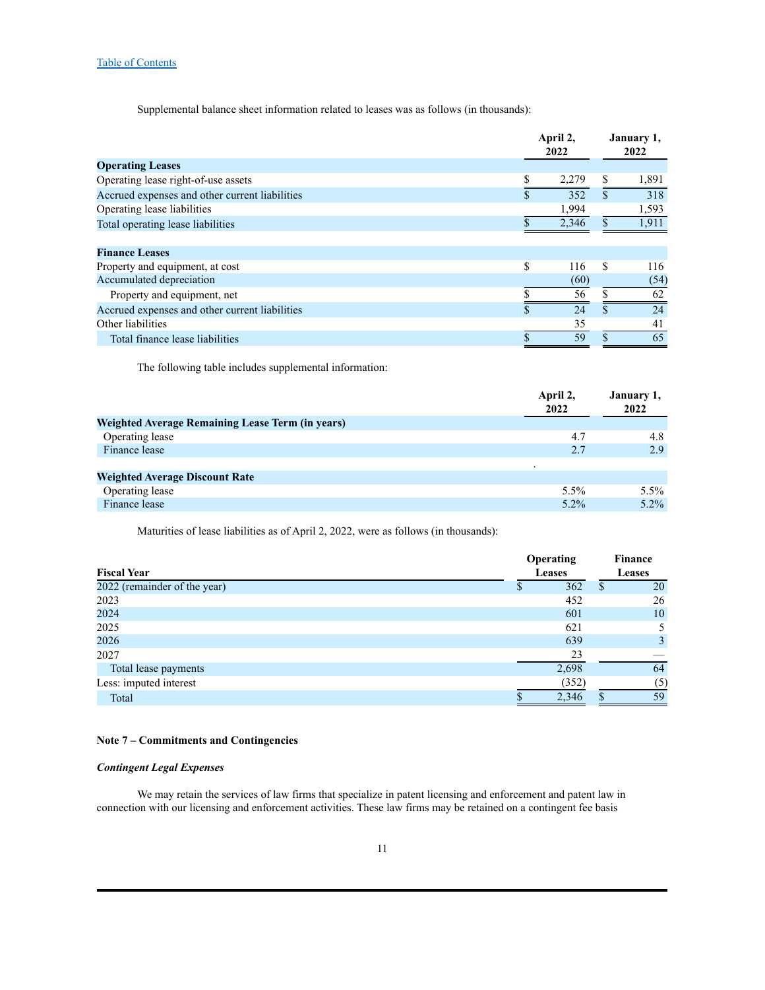Supplemental balance sheet information related to leases was as follows (in thousands):

|                                                | April 2,<br>2022 |    | January 1,<br>2022 |
|------------------------------------------------|------------------|----|--------------------|
| <b>Operating Leases</b>                        |                  |    |                    |
| Operating lease right-of-use assets            | \$<br>2,279      | \$ | 1,891              |
| Accrued expenses and other current liabilities | 352              | S  | 318                |
| Operating lease liabilities                    | 1,994            |    | 1,593              |
| Total operating lease liabilities              | 2,346            | \$ | 1,911              |
|                                                |                  |    |                    |
| <b>Finance Leases</b>                          |                  |    |                    |
| Property and equipment, at cost                | \$<br>116        | S  | 116                |
| Accumulated depreciation                       | (60)             |    | (54)               |
| Property and equipment, net                    | 56               | \$ | 62                 |
| Accrued expenses and other current liabilities | 24               | \$ | 24                 |
| Other liabilities                              | 35               |    | 41                 |
| Total finance lease liabilities                | 59               |    | 65                 |

The following table includes supplemental information:

|                                                  | April 2,<br>2022 | January 1,<br>2022 |
|--------------------------------------------------|------------------|--------------------|
| Weighted Average Remaining Lease Term (in years) |                  |                    |
| Operating lease                                  | 4.7              | 4.8                |
| Finance lease                                    | 2.7              | 2.9                |
|                                                  |                  |                    |
| <b>Weighted Average Discount Rate</b>            |                  |                    |
| Operating lease                                  | 5.5%             | $5.5\%$            |
| Finance lease                                    | $5.2\%$          | $5.2\%$            |
|                                                  |                  |                    |

Maturities of lease liabilities as of April 2, 2022, were as follows (in thousands):

|                              | <b>Operating</b> | Finance       |
|------------------------------|------------------|---------------|
| <b>Fiscal Year</b>           | Leases           | <b>Leases</b> |
| 2022 (remainder of the year) | 362<br>Φ         | 20<br>S.      |
| 2023                         | 452              | 26            |
| 2024                         | 601              | 10            |
| 2025                         | 621              |               |
| 2026                         | 639              | 3             |
| 2027                         | 23               |               |
| Total lease payments         | 2,698            | 64            |
| Less: imputed interest       | (352)            | (5)           |
| Total                        | 2,346            | 59            |

# **Note 7 – Commitments and Contingencies**

# *Contingent Legal Expenses*

We may retain the services of law firms that specialize in patent licensing and enforcement and patent law in connection with our licensing and enforcement activities. These law firms may be retained on a contingent fee basis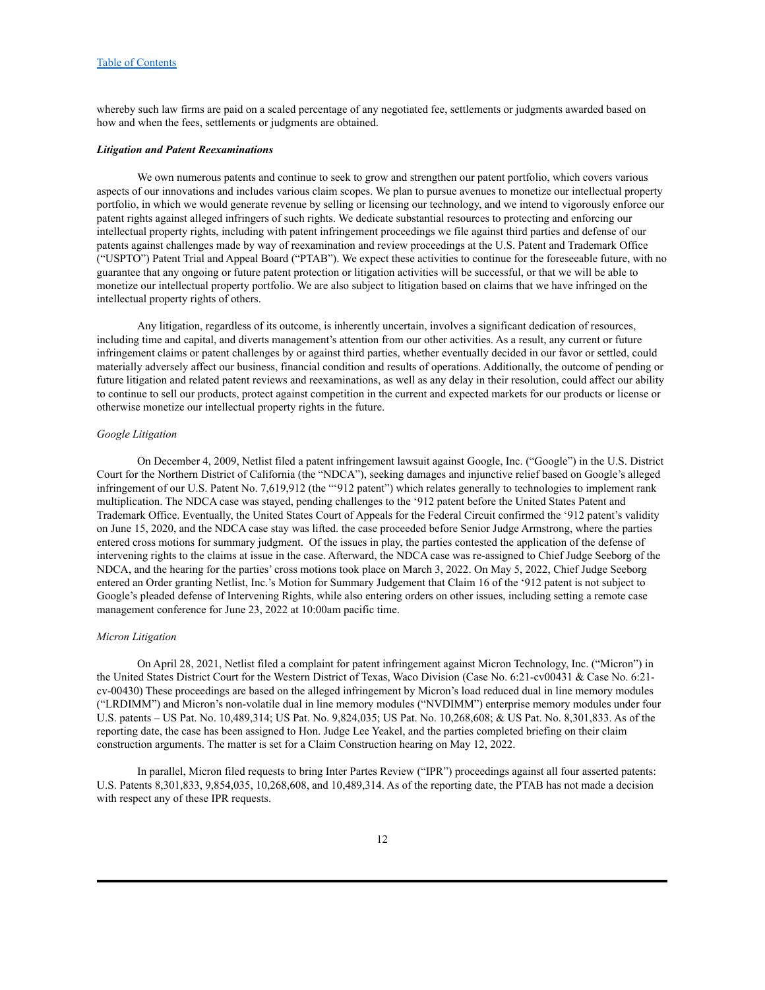whereby such law firms are paid on a scaled percentage of any negotiated fee, settlements or judgments awarded based on how and when the fees, settlements or judgments are obtained.

### *Litigation and Patent Reexaminations*

We own numerous patents and continue to seek to grow and strengthen our patent portfolio, which covers various aspects of our innovations and includes various claim scopes. We plan to pursue avenues to monetize our intellectual property portfolio, in which we would generate revenue by selling or licensing our technology, and we intend to vigorously enforce our patent rights against alleged infringers of such rights. We dedicate substantial resources to protecting and enforcing our intellectual property rights, including with patent infringement proceedings we file against third parties and defense of our patents against challenges made by way of reexamination and review proceedings at the U.S. Patent and Trademark Office ("USPTO") Patent Trial and Appeal Board ("PTAB"). We expect these activities to continue for the foreseeable future, with no guarantee that any ongoing or future patent protection or litigation activities will be successful, or that we will be able to monetize our intellectual property portfolio. We are also subject to litigation based on claims that we have infringed on the intellectual property rights of others.

Any litigation, regardless of its outcome, is inherently uncertain, involves a significant dedication of resources, including time and capital, and diverts management's attention from our other activities. As a result, any current or future infringement claims or patent challenges by or against third parties, whether eventually decided in our favor or settled, could materially adversely affect our business, financial condition and results of operations. Additionally, the outcome of pending or future litigation and related patent reviews and reexaminations, as well as any delay in their resolution, could affect our ability to continue to sell our products, protect against competition in the current and expected markets for our products or license or otherwise monetize our intellectual property rights in the future.

### *Google Litigation*

On December 4, 2009, Netlist filed a patent infringement lawsuit against Google, Inc. ("Google") in the U.S. District Court for the Northern District of California (the "NDCA"), seeking damages and injunctive relief based on Google's alleged infringement of our U.S. Patent No. 7,619,912 (the "'912 patent") which relates generally to technologies to implement rank multiplication. The NDCA case was stayed, pending challenges to the '912 patent before the United States Patent and Trademark Office. Eventually, the United States Court of Appeals for the Federal Circuit confirmed the '912 patent's validity on June 15, 2020, and the NDCA case stay was lifted. the case proceeded before Senior Judge Armstrong, where the parties entered cross motions for summary judgment. Of the issues in play, the parties contested the application of the defense of intervening rights to the claims at issue in the case. Afterward, the NDCA case was re-assigned to Chief Judge Seeborg of the NDCA, and the hearing for the parties' cross motions took place on March 3, 2022. On May 5, 2022, Chief Judge Seeborg entered an Order granting Netlist, Inc.'s Motion for Summary Judgement that Claim 16 of the '912 patent is not subject to Google's pleaded defense of Intervening Rights, while also entering orders on other issues, including setting a remote case management conference for June 23, 2022 at 10:00am pacific time.

### *Micron Litigation*

On April 28, 2021, Netlist filed a complaint for patent infringement against Micron Technology, Inc. ("Micron") in the United States District Court for the Western District of Texas, Waco Division (Case No. 6:21-cv00431 & Case No. 6:21 cv-00430) These proceedings are based on the alleged infringement by Micron's load reduced dual in line memory modules ("LRDIMM") and Micron's non-volatile dual in line memory modules ("NVDIMM") enterprise memory modules under four U.S. patents – US Pat. No. 10,489,314; US Pat. No. 9,824,035; US Pat. No. 10,268,608; & US Pat. No. 8,301,833. As of the reporting date, the case has been assigned to Hon. Judge Lee Yeakel, and the parties completed briefing on their claim construction arguments. The matter is set for a Claim Construction hearing on May 12, 2022.

In parallel, Micron filed requests to bring Inter Partes Review ("IPR") proceedings against all four asserted patents: U.S. Patents 8,301,833, 9,854,035, 10,268,608, and 10,489,314. As of the reporting date, the PTAB has not made a decision with respect any of these IPR requests.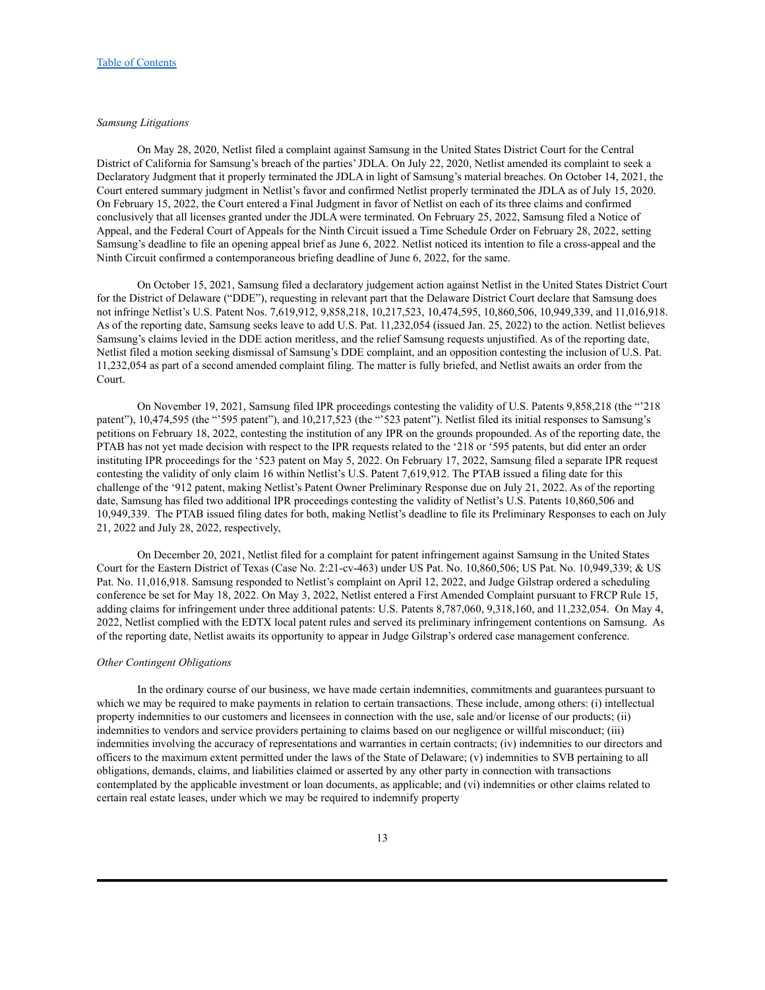# *Samsung Litigations*

On May 28, 2020, Netlist filed a complaint against Samsung in the United States District Court for the Central District of California for Samsung's breach of the parties'JDLA. On July 22, 2020, Netlist amended its complaint to seek a Declaratory Judgment that it properly terminated the JDLA in light of Samsung's material breaches. On October 14, 2021, the Court entered summary judgment in Netlist's favor and confirmed Netlist properly terminated the JDLA as of July 15, 2020. On February 15, 2022, the Court entered a Final Judgment in favor of Netlist on each of its three claims and confirmed conclusively that all licenses granted under the JDLA were terminated. On February 25, 2022, Samsung filed a Notice of Appeal, and the Federal Court of Appeals for the Ninth Circuit issued a Time Schedule Order on February 28, 2022, setting Samsung's deadline to file an opening appeal brief as June 6, 2022. Netlist noticed its intention to file a cross-appeal and the Ninth Circuit confirmed a contemporaneous briefing deadline of June 6, 2022, for the same.

On October 15, 2021, Samsung filed a declaratory judgement action against Netlist in the United States District Court for the District of Delaware ("DDE"), requesting in relevant part that the Delaware District Court declare that Samsung does not infringe Netlist's U.S. Patent Nos. 7,619,912, 9,858,218, 10,217,523, 10,474,595, 10,860,506, 10,949,339, and 11,016,918. As of the reporting date, Samsung seeks leave to add U.S. Pat. 11,232,054 (issued Jan. 25, 2022) to the action. Netlist believes Samsung's claims levied in the DDE action meritless, and the relief Samsung requests unjustified. As of the reporting date, Netlist filed a motion seeking dismissal of Samsung's DDE complaint, and an opposition contesting the inclusion of U.S. Pat. 11,232,054 as part of a second amended complaint filing. The matter is fully briefed, and Netlist awaits an order from the Court.

On November 19, 2021, Samsung filed IPR proceedings contesting the validity of U.S. Patents 9,858,218 (the "'218 patent"), 10,474,595 (the "'595 patent"), and 10,217,523 (the "'523 patent"). Netlist filed its initial responses to Samsung's petitions on February 18, 2022, contesting the institution of any IPR on the grounds propounded. As of the reporting date, the PTAB has not yet made decision with respect to the IPR requests related to the '218 or '595 patents, but did enter an order instituting IPR proceedings for the '523 patent on May 5, 2022. On February 17, 2022, Samsung filed a separate IPR request contesting the validity of only claim 16 within Netlist's U.S. Patent 7,619,912. The PTAB issued a filing date for this challenge of the '912 patent, making Netlist's Patent Owner Preliminary Response due on July 21, 2022. As of the reporting date, Samsung has filed two additional IPR proceedings contesting the validity of Netlist's U.S. Patents 10,860,506 and 10,949,339. The PTAB issued filing dates for both, making Netlist's deadline to file its Preliminary Responses to each on July 21, 2022 and July 28, 2022, respectively,

On December 20, 2021, Netlist filed for a complaint for patent infringement against Samsung in the United States Court for the Eastern District of Texas (Case No. 2:21-cv-463) under US Pat. No. 10,860,506; US Pat. No. 10,949,339; & US Pat. No. 11,016,918. Samsung responded to Netlist's complaint on April 12, 2022, and Judge Gilstrap ordered a scheduling conference be set for May 18, 2022. On May 3, 2022, Netlist entered a First Amended Complaint pursuant to FRCP Rule 15, adding claims for infringement under three additional patents: U.S. Patents 8,787,060, 9,318,160, and 11,232,054. On May 4, 2022, Netlist complied with the EDTX local patent rules and served its preliminary infringement contentions on Samsung. As of the reporting date, Netlist awaits its opportunity to appear in Judge Gilstrap's ordered case management conference.

### *Other Contingent Obligations*

In the ordinary course of our business, we have made certain indemnities, commitments and guarantees pursuant to which we may be required to make payments in relation to certain transactions. These include, among others: (i) intellectual property indemnities to our customers and licensees in connection with the use, sale and/or license of our products; (ii) indemnities to vendors and service providers pertaining to claims based on our negligence or willful misconduct; (iii) indemnities involving the accuracy of representations and warranties in certain contracts; (iv) indemnities to our directors and officers to the maximum extent permitted under the laws of the State of Delaware; (v) indemnities to SVB pertaining to all obligations, demands, claims, and liabilities claimed or asserted by any other party in connection with transactions contemplated by the applicable investment or loan documents, as applicable; and (vi) indemnities or other claims related to certain real estate leases, under which we may be required to indemnify property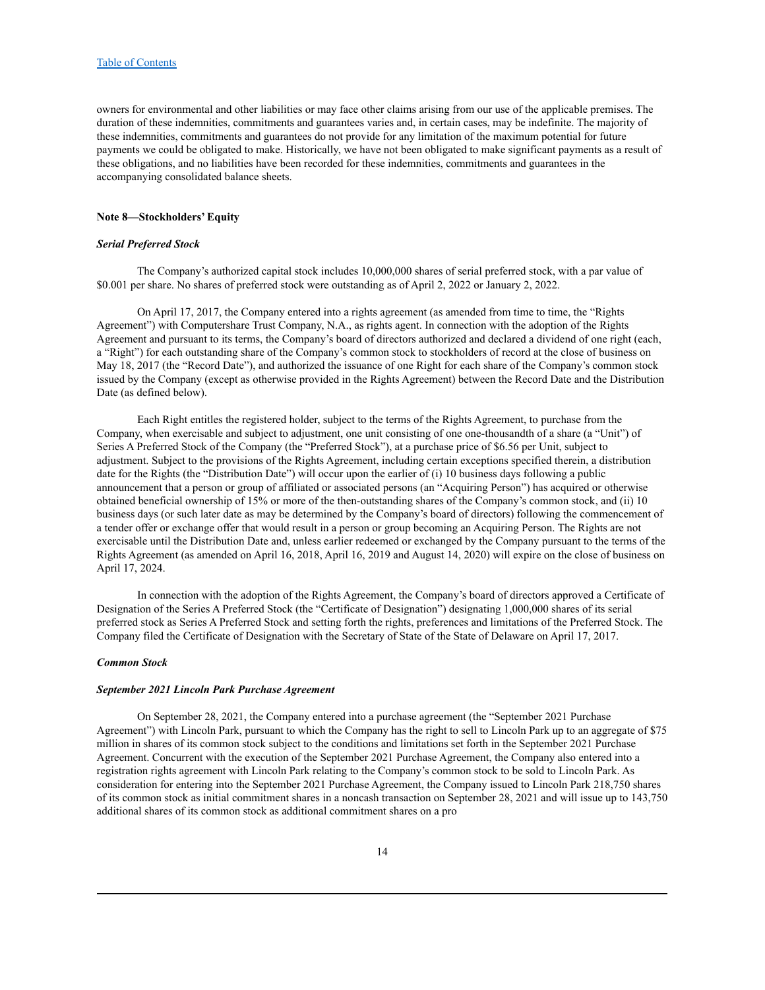### Table of [Contents](#page-1-0)

owners for environmental and other liabilities or may face other claims arising from our use of the applicable premises. The duration of these indemnities, commitments and guarantees varies and, in certain cases, may be indefinite. The majority of these indemnities, commitments and guarantees do not provide for any limitation of the maximum potential for future payments we could be obligated to make. Historically, we have not been obligated to make significant payments as a result of these obligations, and no liabilities have been recorded for these indemnities, commitments and guarantees in the accompanying consolidated balance sheets.

#### **Note 8—Stockholders' Equity**

### *Serial Preferred Stock*

The Company's authorized capital stock includes 10,000,000 shares of serial preferred stock, with a par value of \$0.001 per share. No shares of preferred stock were outstanding as of April 2, 2022 or January 2, 2022.

On April 17, 2017, the Company entered into a rights agreement (as amended from time to time, the "Rights Agreement") with Computershare Trust Company, N.A., as rights agent. In connection with the adoption of the Rights Agreement and pursuant to its terms, the Company's board of directors authorized and declared a dividend of one right (each, a "Right") for each outstanding share of the Company's common stock to stockholders of record at the close of business on May 18, 2017 (the "Record Date"), and authorized the issuance of one Right for each share of the Company's common stock issued by the Company (except as otherwise provided in the Rights Agreement) between the Record Date and the Distribution Date (as defined below).

Each Right entitles the registered holder, subject to the terms of the Rights Agreement, to purchase from the Company, when exercisable and subject to adjustment, one unit consisting of one one-thousandth of a share (a "Unit") of Series A Preferred Stock of the Company (the "Preferred Stock"), at a purchase price of \$6.56 per Unit, subject to adjustment. Subject to the provisions of the Rights Agreement, including certain exceptions specified therein, a distribution date for the Rights (the "Distribution Date") will occur upon the earlier of (i) 10 business days following a public announcement that a person or group of affiliated or associated persons (an "Acquiring Person") has acquired or otherwise obtained beneficial ownership of 15% or more of the then-outstanding shares of the Company's common stock, and (ii) 10 business days (or such later date as may be determined by the Company's board of directors) following the commencement of a tender offer or exchange offer that would result in a person or group becoming an Acquiring Person. The Rights are not exercisable until the Distribution Date and, unless earlier redeemed or exchanged by the Company pursuant to the terms of the Rights Agreement (as amended on April 16, 2018, April 16, 2019 and August 14, 2020) will expire on the close of business on April 17, 2024.

In connection with the adoption of the Rights Agreement, the Company's board of directors approved a Certificate of Designation of the Series A Preferred Stock (the "Certificate of Designation") designating 1,000,000 shares of its serial preferred stock as Series A Preferred Stock and setting forth the rights, preferences and limitations of the Preferred Stock. The Company filed the Certificate of Designation with the Secretary of State of the State of Delaware on April 17, 2017.

### *Common Stock*

#### *September 2021 Lincoln Park Purchase Agreement*

On September 28, 2021, the Company entered into a purchase agreement (the "September 2021 Purchase Agreement") with Lincoln Park, pursuant to which the Company has the right to sell to Lincoln Park up to an aggregate of \$75 million in shares of its common stock subject to the conditions and limitations set forth in the September 2021 Purchase Agreement. Concurrent with the execution of the September 2021 Purchase Agreement, the Company also entered into a registration rights agreement with Lincoln Park relating to the Company's common stock to be sold to Lincoln Park. As consideration for entering into the September 2021 Purchase Agreement, the Company issued to Lincoln Park 218,750 shares of its common stock as initial commitment shares in a noncash transaction on September 28, 2021 and will issue up to 143,750 additional shares of its common stock as additional commitment shares on a pro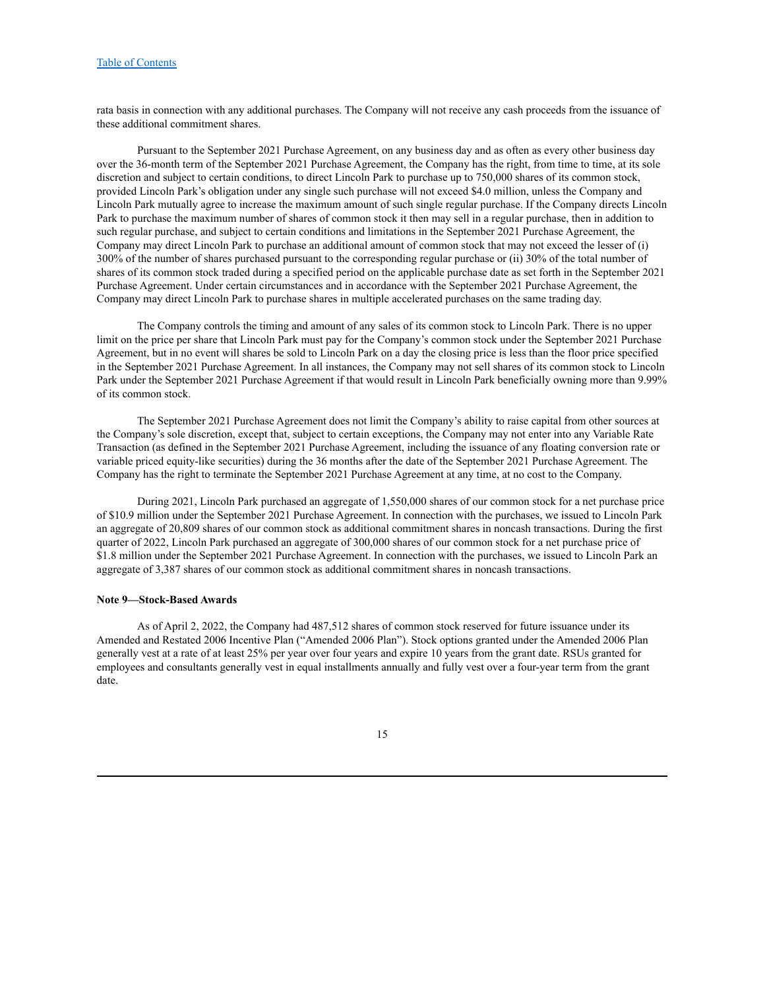# Table of [Contents](#page-1-0)

rata basis in connection with any additional purchases. The Company will not receive any cash proceeds from the issuance of these additional commitment shares.

Pursuant to the September 2021 Purchase Agreement, on any business day and as often as every other business day over the 36-month term of the September 2021 Purchase Agreement, the Company has the right, from time to time, at its sole discretion and subject to certain conditions, to direct Lincoln Park to purchase up to 750,000 shares of its common stock, provided Lincoln Park's obligation under any single such purchase will not exceed \$4.0 million, unless the Company and Lincoln Park mutually agree to increase the maximum amount of such single regular purchase. If the Company directs Lincoln Park to purchase the maximum number of shares of common stock it then may sell in a regular purchase, then in addition to such regular purchase, and subject to certain conditions and limitations in the September 2021 Purchase Agreement, the Company may direct Lincoln Park to purchase an additional amount of common stock that may not exceed the lesser of (i) 300% of the number of shares purchased pursuant to the corresponding regular purchase or (ii) 30% of the total number of shares of its common stock traded during a specified period on the applicable purchase date as set forth in the September 2021 Purchase Agreement. Under certain circumstances and in accordance with the September 2021 Purchase Agreement, the Company may direct Lincoln Park to purchase shares in multiple accelerated purchases on the same trading day.

The Company controls the timing and amount of any sales of its common stock to Lincoln Park. There is no upper limit on the price per share that Lincoln Park must pay for the Company's common stock under the September 2021 Purchase Agreement, but in no event will shares be sold to Lincoln Park on a day the closing price is less than the floor price specified in the September 2021 Purchase Agreement. In all instances, the Company may not sell shares of its common stock to Lincoln Park under the September 2021 Purchase Agreement if that would result in Lincoln Park beneficially owning more than 9.99% of its common stock.

The September 2021 Purchase Agreement does not limit the Company's ability to raise capital from other sources at the Company's sole discretion, except that, subject to certain exceptions, the Company may not enter into any Variable Rate Transaction (as defined in the September 2021 Purchase Agreement, including the issuance of any floating conversion rate or variable priced equity-like securities) during the 36 months after the date of the September 2021 Purchase Agreement. The Company has the right to terminate the September 2021 Purchase Agreement at any time, at no cost to the Company.

During 2021, Lincoln Park purchased an aggregate of 1,550,000 shares of our common stock for a net purchase price of \$10.9 million under the September 2021 Purchase Agreement. In connection with the purchases, we issued to Lincoln Park an aggregate of 20,809 shares of our common stock as additional commitment shares in noncash transactions. During the first quarter of 2022, Lincoln Park purchased an aggregate of 300,000 shares of our common stock for a net purchase price of \$1.8 million under the September 2021 Purchase Agreement. In connection with the purchases, we issued to Lincoln Park an aggregate of 3,387 shares of our common stock as additional commitment shares in noncash transactions.

#### **Note 9—Stock-Based Awards**

As of April 2, 2022, the Company had 487,512 shares of common stock reserved for future issuance under its Amended and Restated 2006 Incentive Plan ("Amended 2006 Plan"). Stock options granted under the Amended 2006 Plan generally vest at a rate of at least 25% per year over four years and expire 10 years from the grant date. RSUs granted for employees and consultants generally vest in equal installments annually and fully vest over a four-year term from the grant date.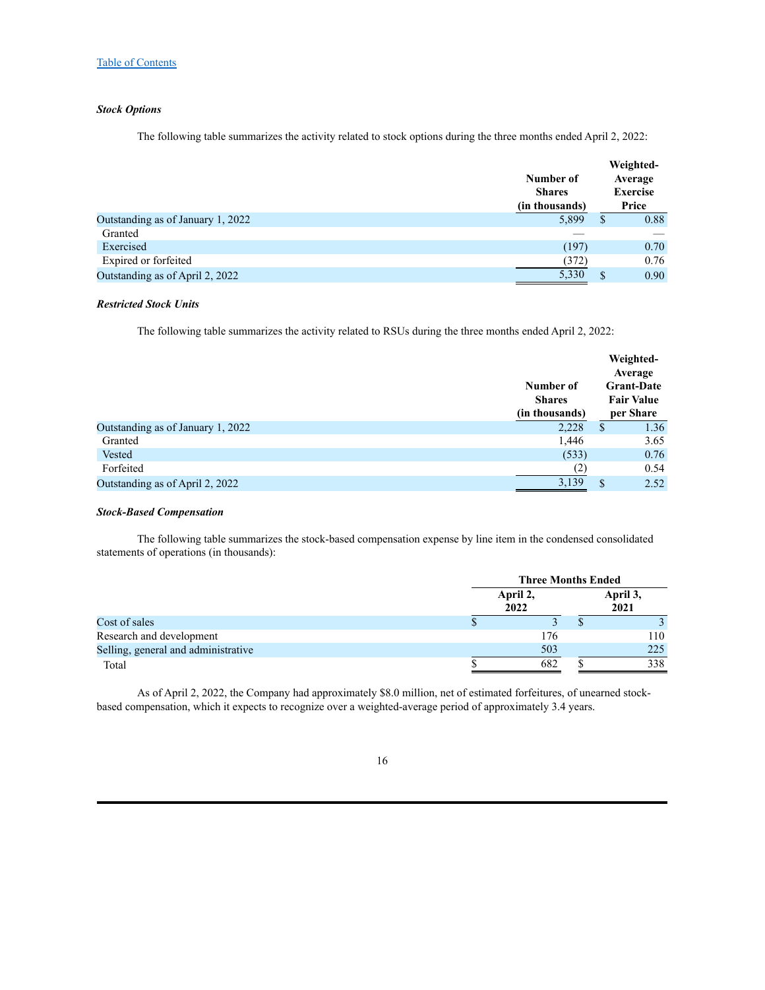# *Stock Options*

The following table summarizes the activity related to stock options during the three months ended April 2, 2022:

|                                   | Number of<br><b>Shares</b><br>(in thousands) |   | Weighted-<br>Average<br><b>Exercise</b><br>Price |
|-----------------------------------|----------------------------------------------|---|--------------------------------------------------|
| Outstanding as of January 1, 2022 | 5,899                                        | S | 0.88                                             |
| Granted                           |                                              |   |                                                  |
| Exercised                         | (197)                                        |   | 0.70                                             |
| Expired or forfeited              | (372)                                        |   | 0.76                                             |
| Outstanding as of April 2, 2022   | 5,330                                        | S | 0.90                                             |

# *Restricted Stock Units*

The following table summarizes the activity related to RSUs during the three months ended April 2, 2022:

|                                   | Number of<br><b>Shares</b><br>(in thousands) | Weighted-<br>Average<br><b>Grant-Date</b><br><b>Fair Value</b><br>per Share |
|-----------------------------------|----------------------------------------------|-----------------------------------------------------------------------------|
| Outstanding as of January 1, 2022 | 2,228                                        | \$<br>1.36                                                                  |
| Granted                           | 1,446                                        | 3.65                                                                        |
| Vested                            | (533)                                        | 0.76                                                                        |
| Forfeited                         | $\left( 2\right)$                            | 0.54                                                                        |
| Outstanding as of April 2, 2022   | 3,139                                        | \$<br>2.52                                                                  |

### *Stock-Based Compensation*

The following table summarizes the stock-based compensation expense by line item in the condensed consolidated statements of operations (in thousands):

|                                     | <b>Three Months Ended</b> |  |                  |  |
|-------------------------------------|---------------------------|--|------------------|--|
|                                     | April 2,<br>2022          |  | April 3,<br>2021 |  |
| Cost of sales                       |                           |  |                  |  |
| Research and development            | 176                       |  | 110              |  |
| Selling, general and administrative | 503                       |  | 225              |  |
| Total                               | 682                       |  | 338              |  |

As of April 2, 2022, the Company had approximately \$8.0 million, net of estimated forfeitures, of unearned stockbased compensation, which it expects to recognize over a weighted-average period of approximately 3.4 years.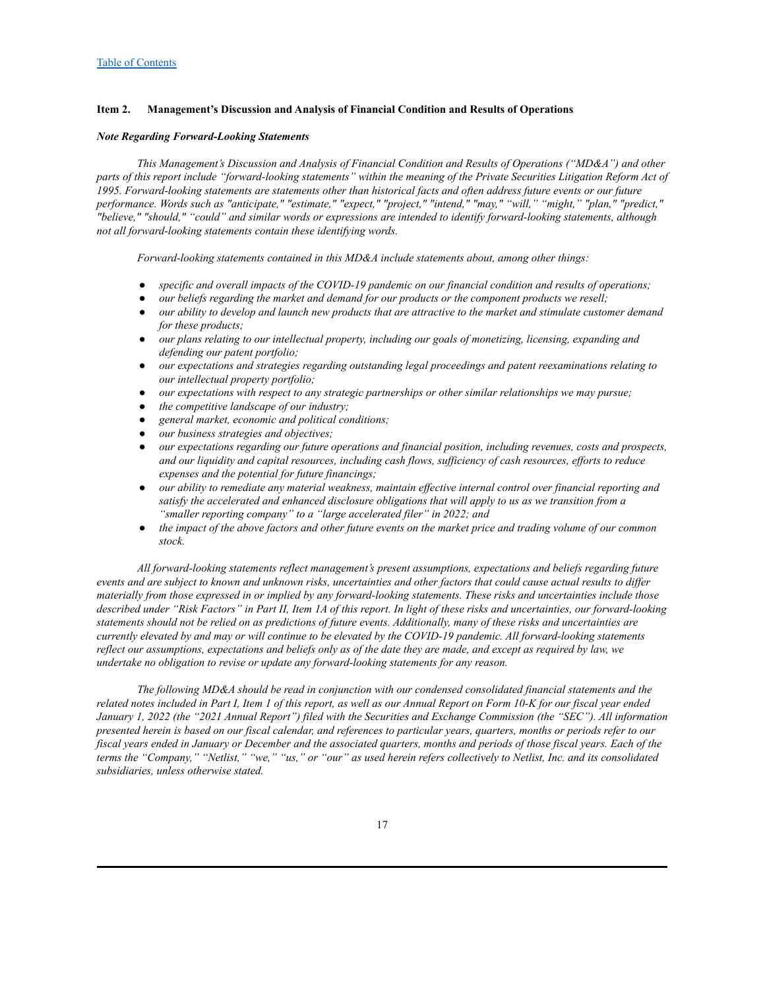# **Item 2. Management's Discussion and Analysis of Financial Condition and Results of Operations**

# *Note Regarding Forward-Looking Statements*

*This Management's Discussion and Analysis of Financial Condition and Results of Operations ("MD&A") and other* parts of this report include "forward-looking statements" within the meaning of the Private Securities Litigation Reform Act of 1995. Forward-looking statements are statements other than historical facts and often address future events or our future *performance. Words such as "anticipate," "estimate," "expect," "project," "intend," "may," "will," "might," "plan," "predict,"* "believe," "should," "could" and similar words or expressions are intended to identify forward-looking statements, although *not all forward-looking statements contain these identifying words.*

*Forward-looking statements contained in this MD&A include statements about, among other things:*

- *specific and overall impacts of the COVID-19 pandemic on our financial condition and results of operations;*
- *our beliefs regarding the market and demand for our products or the component products we resell;*
- our ability to develop and launch new products that are attractive to the market and stimulate customer demand *for these products;*
- *our plans relating to our intellectual property, including our goals of monetizing, licensing, expanding and defending our patent portfolio;*
- *our expectations and strategies regarding outstanding legal proceedings and patent reexaminations relating to our intellectual property portfolio;*
- *our expectations with respect to any strategic partnerships or other similar relationships we may pursue;*
- *the competitive landscape of our industry;*
- *general market, economic and political conditions;*
- *our business strategies and objectives;*
- *our expectations regarding our future operations and financial position, including revenues, costs and prospects,* and our liquidity and capital resources, including cash flows, sufficiency of cash resources, efforts to reduce *expenses and the potential for future financings;*
- our ability to remediate any material weakness, maintain effective internal control over financial reporting and *satisfy the accelerated and enhanced disclosure obligations that will apply to us as we transition from a "smaller reporting company" to a "large accelerated filer" in 2022; and*
- the impact of the above factors and other future events on the market price and trading volume of our common *stock.*

*All forward-looking statements reflect management's present assumptions, expectations and beliefs regarding future* events and are subject to known and unknown risks, uncertainties and other factors that could cause actual results to differ materially from those expressed in or implied by any forward-looking statements. These risks and uncertainties include those described under "Risk Factors" in Part II, Item 1A of this report. In light of these risks and uncertainties, our forward-looking statements should not be relied on as predictions of future events. Additionally, many of these risks and uncertainties are currently elevated by and may or will continue to be elevated by the COVID-19 pandemic. All forward-looking statements reflect our assumptions, expectations and beliefs only as of the date they are made, and except as required by law, we *undertake no obligation to revise or update any forward-looking statements for any reason.*

*The following MD&A should be read in conjunction with our condensed consolidated financial statements and the* related notes included in Part I, Item 1 of this report, as well as our Annual Report on Form 10-K for our fiscal year ended January 1, 2022 (the "2021 Annual Report") filed with the Securities and Exchange Commission (the "SEC"). All information presented herein is based on our fiscal calendar, and references to particular years, quarters, months or periods refer to our fiscal years ended in January or December and the associated quarters, months and periods of those fiscal years. Each of the terms the "Company," "Netlist," "we," "us," or "our" as used herein refers collectively to Netlist, Inc. and its consolidated *subsidiaries, unless otherwise stated.*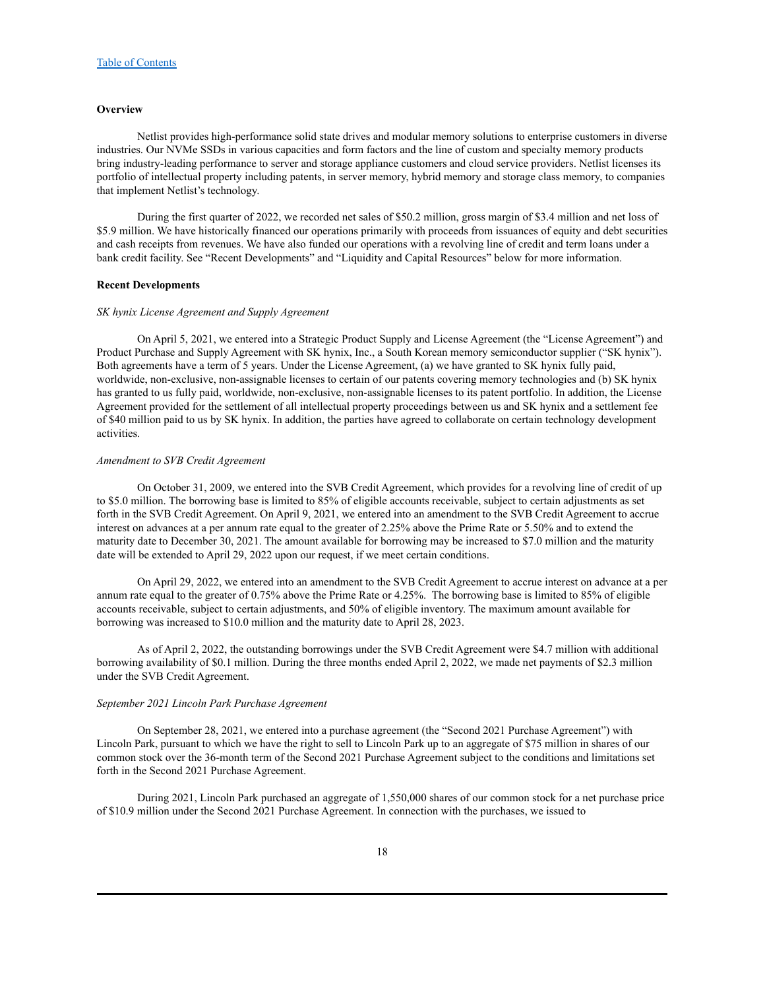# **Overview**

Netlist provides high-performance solid state drives and modular memory solutions to enterprise customers in diverse industries. Our NVMe SSDs in various capacities and form factors and the line of custom and specialty memory products bring industry-leading performance to server and storage appliance customers and cloud service providers. Netlist licenses its portfolio of intellectual property including patents, in server memory, hybrid memory and storage class memory, to companies that implement Netlist's technology.

During the first quarter of 2022, we recorded net sales of \$50.2 million, gross margin of \$3.4 million and net loss of \$5.9 million. We have historically financed our operations primarily with proceeds from issuances of equity and debt securities and cash receipts from revenues. We have also funded our operations with a revolving line of credit and term loans under a bank credit facility. See "Recent Developments" and "Liquidity and Capital Resources" below for more information.

### **Recent Developments**

#### *SK hynix License Agreement and Supply Agreement*

On April 5, 2021, we entered into a Strategic Product Supply and License Agreement (the "License Agreement") and Product Purchase and Supply Agreement with SK hynix, Inc., a South Korean memory semiconductor supplier ("SK hynix"). Both agreements have a term of 5 years. Under the License Agreement, (a) we have granted to SK hynix fully paid, worldwide, non-exclusive, non-assignable licenses to certain of our patents covering memory technologies and (b) SK hynix has granted to us fully paid, worldwide, non-exclusive, non-assignable licenses to its patent portfolio. In addition, the License Agreement provided for the settlement of all intellectual property proceedings between us and SK hynix and a settlement fee of \$40 million paid to us by SK hynix. In addition, the parties have agreed to collaborate on certain technology development activities.

### *Amendment to SVB Credit Agreement*

On October 31, 2009, we entered into the SVB Credit Agreement, which provides for a revolving line of credit of up to \$5.0 million. The borrowing base is limited to 85% of eligible accounts receivable, subject to certain adjustments as set forth in the SVB Credit Agreement. On April 9, 2021, we entered into an amendment to the SVB Credit Agreement to accrue interest on advances at a per annum rate equal to the greater of 2.25% above the Prime Rate or 5.50% and to extend the maturity date to December 30, 2021. The amount available for borrowing may be increased to \$7.0 million and the maturity date will be extended to April 29, 2022 upon our request, if we meet certain conditions.

On April 29, 2022, we entered into an amendment to the SVB Credit Agreement to accrue interest on advance at a per annum rate equal to the greater of 0.75% above the Prime Rate or 4.25%. The borrowing base is limited to 85% of eligible accounts receivable, subject to certain adjustments, and 50% of eligible inventory. The maximum amount available for borrowing was increased to \$10.0 million and the maturity date to April 28, 2023.

As of April 2, 2022, the outstanding borrowings under the SVB Credit Agreement were \$4.7 million with additional borrowing availability of \$0.1 million. During the three months ended April 2, 2022, we made net payments of \$2.3 million under the SVB Credit Agreement.

### *September 2021 Lincoln Park Purchase Agreement*

On September 28, 2021, we entered into a purchase agreement (the "Second 2021 Purchase Agreement") with Lincoln Park, pursuant to which we have the right to sell to Lincoln Park up to an aggregate of \$75 million in shares of our common stock over the 36-month term of the Second 2021 Purchase Agreement subject to the conditions and limitations set forth in the Second 2021 Purchase Agreement.

During 2021, Lincoln Park purchased an aggregate of 1,550,000 shares of our common stock for a net purchase price of \$10.9 million under the Second 2021 Purchase Agreement. In connection with the purchases, we issued to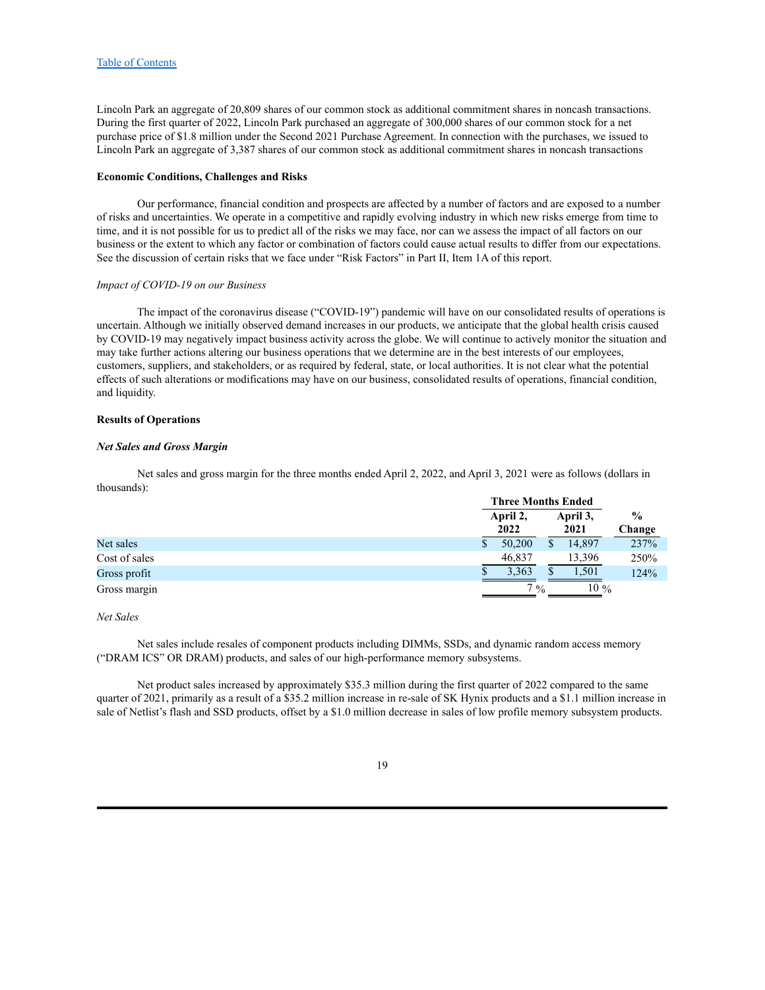Lincoln Park an aggregate of 20,809 shares of our common stock as additional commitment shares in noncash transactions. During the first quarter of 2022, Lincoln Park purchased an aggregate of 300,000 shares of our common stock for a net purchase price of \$1.8 million under the Second 2021 Purchase Agreement. In connection with the purchases, we issued to Lincoln Park an aggregate of 3,387 shares of our common stock as additional commitment shares in noncash transactions

# **Economic Conditions, Challenges and Risks**

Our performance, financial condition and prospects are affected by a number of factors and are exposed to a number of risks and uncertainties. We operate in a competitive and rapidly evolving industry in which new risks emerge from time to time, and it is not possible for us to predict all of the risks we may face, nor can we assess the impact of all factors on our business or the extent to which any factor or combination of factors could cause actual results to differ from our expectations. See the discussion of certain risks that we face under "Risk Factors" in Part II, Item 1A of this report.

### *Impact of COVID-19 on our Business*

The impact of the coronavirus disease ("COVID-19") pandemic will have on our consolidated results of operations is uncertain. Although we initially observed demand increases in our products, we anticipate that the global health crisis caused by COVID-19 may negatively impact business activity across the globe. We will continue to actively monitor the situation and may take further actions altering our business operations that we determine are in the best interests of our employees, customers, suppliers, and stakeholders, or as required by federal, state, or local authorities. It is not clear what the potential effects of such alterations or modifications may have on our business, consolidated results of operations, financial condition, and liquidity.

# **Results of Operations**

### *Net Sales and Gross Margin*

Net sales and gross margin for the three months ended April 2, 2022, and April 3, 2021 were as follows (dollars in thousands):

|               |          | <b>Three Months Ended</b> |          |               |  |
|---------------|----------|---------------------------|----------|---------------|--|
|               | April 2, |                           | April 3, | $\frac{6}{9}$ |  |
|               | 2022     |                           | 2021     | Change        |  |
| Net sales     | 50,200   |                           | 14.897   | 237%          |  |
| Cost of sales | 46,837   |                           | 13,396   | 250%          |  |
| Gross profit  | 3,363    | D                         | 1,501    | 124%          |  |
| Gross margin  |          | $7\frac{9}{6}$            | $10\%$   |               |  |

*Net Sales*

Net sales include resales of component products including DIMMs, SSDs, and dynamic random access memory ("DRAM ICS" OR DRAM) products, and sales of our high-performance memory subsystems.

Net product sales increased by approximately \$35.3 million during the first quarter of 2022 compared to the same quarter of 2021, primarily as a result of a \$35.2 million increase in re-sale of SK Hynix products and a \$1.1 million increase in sale of Netlist's flash and SSD products, offset by a \$1.0 million decrease in sales of low profile memory subsystem products.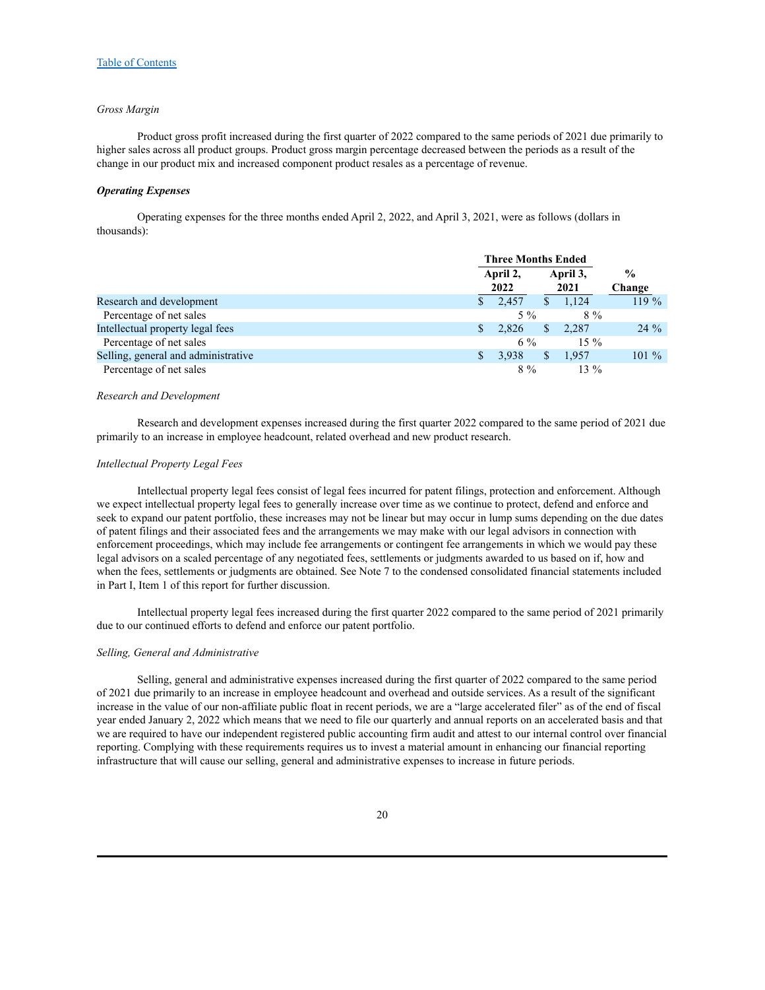# *Gross Margin*

Product gross profit increased during the first quarter of 2022 compared to the same periods of 2021 due primarily to higher sales across all product groups. Product gross margin percentage decreased between the periods as a result of the change in our product mix and increased component product resales as a percentage of revenue.

### *Operating Expenses*

Operating expenses for the three months ended April 2, 2022, and April 3, 2021, were as follows (dollars in thousands):

|                                     | <b>Three Months Ended</b> |       |  |        |         |  |  |  |  |  |  |  |  |  |  |  |          |  |  |  |               |
|-------------------------------------|---------------------------|-------|--|--------|---------|--|--|--|--|--|--|--|--|--|--|--|----------|--|--|--|---------------|
|                                     | April 2,                  |       |  |        |         |  |  |  |  |  |  |  |  |  |  |  | April 3. |  |  |  | $\frac{0}{0}$ |
|                                     |                           | 2022  |  | 2021   | Change  |  |  |  |  |  |  |  |  |  |  |  |          |  |  |  |               |
| Research and development            |                           | 2,457 |  | 1.124  | $119\%$ |  |  |  |  |  |  |  |  |  |  |  |          |  |  |  |               |
| Percentage of net sales             |                           | $5\%$ |  | $8\%$  |         |  |  |  |  |  |  |  |  |  |  |  |          |  |  |  |               |
| Intellectual property legal fees    |                           | 2.826 |  | 2,287  | $24\%$  |  |  |  |  |  |  |  |  |  |  |  |          |  |  |  |               |
| Percentage of net sales             |                           | $6\%$ |  | $15\%$ |         |  |  |  |  |  |  |  |  |  |  |  |          |  |  |  |               |
| Selling, general and administrative |                           | 3.938 |  | 1.957  | $101\%$ |  |  |  |  |  |  |  |  |  |  |  |          |  |  |  |               |
| Percentage of net sales             |                           | $8\%$ |  | $13\%$ |         |  |  |  |  |  |  |  |  |  |  |  |          |  |  |  |               |

#### *Research and Development*

Research and development expenses increased during the first quarter 2022 compared to the same period of 2021 due primarily to an increase in employee headcount, related overhead and new product research.

### *Intellectual Property Legal Fees*

Intellectual property legal fees consist of legal fees incurred for patent filings, protection and enforcement. Although we expect intellectual property legal fees to generally increase over time as we continue to protect, defend and enforce and seek to expand our patent portfolio, these increases may not be linear but may occur in lump sums depending on the due dates of patent filings and their associated fees and the arrangements we may make with our legal advisors in connection with enforcement proceedings, which may include fee arrangements or contingent fee arrangements in which we would pay these legal advisors on a scaled percentage of any negotiated fees, settlements or judgments awarded to us based on if, how and when the fees, settlements or judgments are obtained. See Note 7 to the condensed consolidated financial statements included in Part I, Item 1 of this report for further discussion.

Intellectual property legal fees increased during the first quarter 2022 compared to the same period of 2021 primarily due to our continued efforts to defend and enforce our patent portfolio.

### *Selling, General and Administrative*

Selling, general and administrative expenses increased during the first quarter of 2022 compared to the same period of 2021 due primarily to an increase in employee headcount and overhead and outside services. As a result of the significant increase in the value of our non-affiliate public float in recent periods, we are a "large accelerated filer" as of the end of fiscal year ended January 2, 2022 which means that we need to file our quarterly and annual reports on an accelerated basis and that we are required to have our independent registered public accounting firm audit and attest to our internal control over financial reporting. Complying with these requirements requires us to invest a material amount in enhancing our financial reporting infrastructure that will cause our selling, general and administrative expenses to increase in future periods.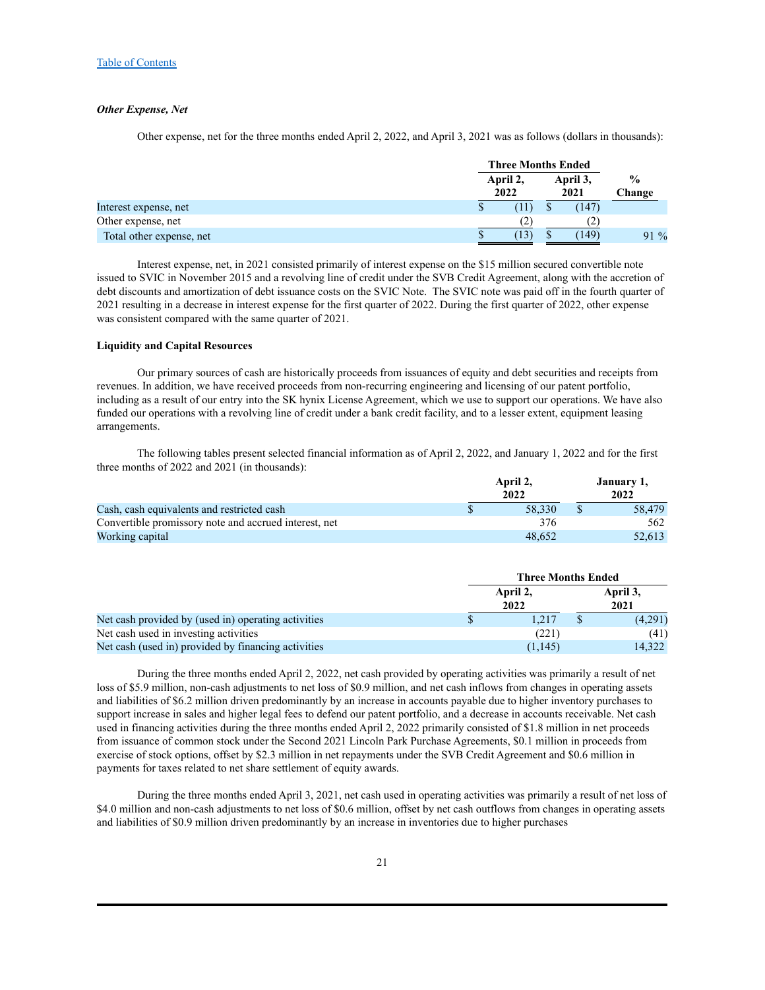# *Other Expense, Net*

Other expense, net for the three months ended April 2, 2022, and April 3, 2021 was as follows (dollars in thousands):

|                          | <b>Three Months Ended</b> |                  |  |                  |                         |
|--------------------------|---------------------------|------------------|--|------------------|-------------------------|
|                          |                           | April 2,<br>2022 |  | April 3,<br>2021 | $\frac{0}{0}$<br>Change |
| Interest expense, net    |                           |                  |  | (147)            |                         |
| Other expense, net       |                           | ا کے             |  | (2)              |                         |
| Total other expense, net |                           | 12 I             |  | (149)            | $91\%$                  |

Interest expense, net, in 2021 consisted primarily of interest expense on the \$15 million secured convertible note issued to SVIC in November 2015 and a revolving line of credit under the SVB Credit Agreement, along with the accretion of debt discounts and amortization of debt issuance costs on the SVIC Note. The SVIC note was paid off in the fourth quarter of 2021 resulting in a decrease in interest expense for the first quarter of 2022. During the first quarter of 2022, other expense was consistent compared with the same quarter of 2021.

### **Liquidity and Capital Resources**

Our primary sources of cash are historically proceeds from issuances of equity and debt securities and receipts from revenues. In addition, we have received proceeds from non-recurring engineering and licensing of our patent portfolio, including as a result of our entry into the SK hynix License Agreement, which we use to support our operations. We have also funded our operations with a revolving line of credit under a bank credit facility, and to a lesser extent, equipment leasing arrangements.

The following tables present selected financial information as of April 2, 2022, and January 1, 2022 and for the first three months of 2022 and 2021 (in thousands):

|                                                       | April 2,<br>2022 |  |        |
|-------------------------------------------------------|------------------|--|--------|
| Cash, cash equivalents and restricted cash            | 58.330           |  | 58.479 |
| Convertible promissory note and accrued interest, net | 376              |  | 562    |
| Working capital                                       | 48.652           |  | 52.613 |

|                                                     | <b>Three Months Ended</b> |  |                  |  |
|-----------------------------------------------------|---------------------------|--|------------------|--|
|                                                     | April 2,<br>2022          |  | April 3,<br>2021 |  |
| Net cash provided by (used in) operating activities | 1.217                     |  | (4,291)          |  |
| Net cash used in investing activities               | (221)                     |  | (41)             |  |
| Net cash (used in) provided by financing activities | (1, 145)                  |  | 14.322           |  |

During the three months ended April 2, 2022, net cash provided by operating activities was primarily a result of net loss of \$5.9 million, non-cash adjustments to net loss of \$0.9 million, and net cash inflows from changes in operating assets and liabilities of \$6.2 million driven predominantly by an increase in accounts payable due to higher inventory purchases to support increase in sales and higher legal fees to defend our patent portfolio, and a decrease in accounts receivable. Net cash used in financing activities during the three months ended April 2, 2022 primarily consisted of \$1.8 million in net proceeds from issuance of common stock under the Second 2021 Lincoln Park Purchase Agreements, \$0.1 million in proceeds from exercise of stock options, offset by \$2.3 million in net repayments under the SVB Credit Agreement and \$0.6 million in payments for taxes related to net share settlement of equity awards.

During the three months ended April 3, 2021, net cash used in operating activities was primarily a result of net loss of \$4.0 million and non-cash adjustments to net loss of \$0.6 million, offset by net cash outflows from changes in operating assets and liabilities of \$0.9 million driven predominantly by an increase in inventories due to higher purchases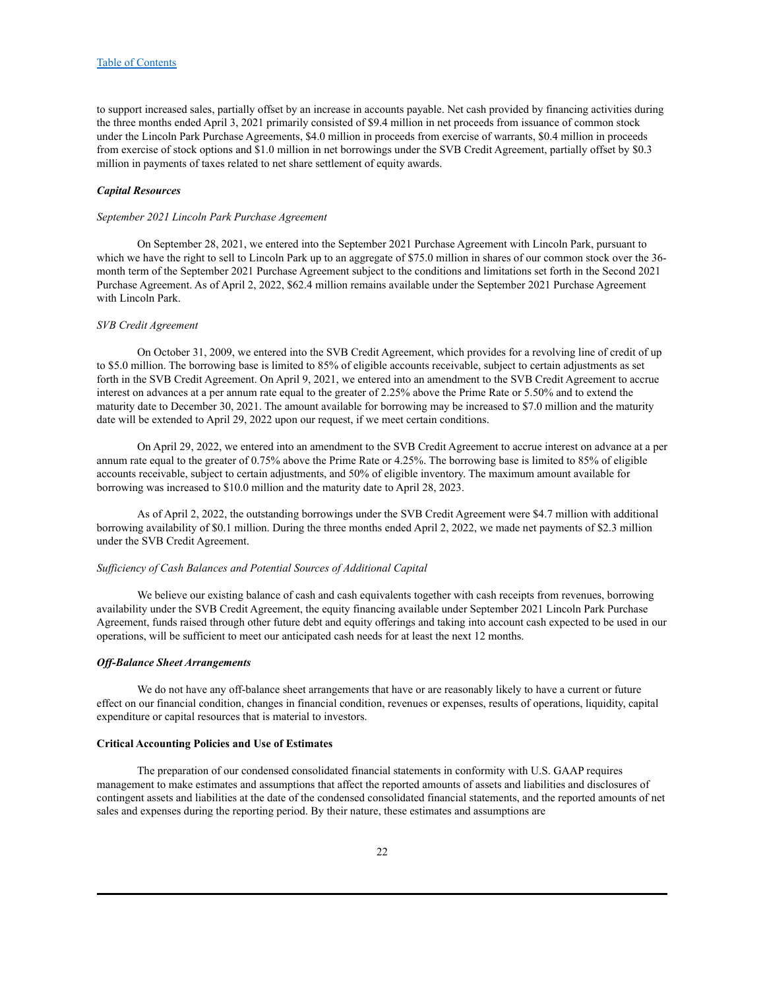to support increased sales, partially offset by an increase in accounts payable. Net cash provided by financing activities during the three months ended April 3, 2021 primarily consisted of \$9.4 million in net proceeds from issuance of common stock under the Lincoln Park Purchase Agreements, \$4.0 million in proceeds from exercise of warrants, \$0.4 million in proceeds from exercise of stock options and \$1.0 million in net borrowings under the SVB Credit Agreement, partially offset by \$0.3 million in payments of taxes related to net share settlement of equity awards.

### *Capital Resources*

#### *September 2021 Lincoln Park Purchase Agreement*

On September 28, 2021, we entered into the September 2021 Purchase Agreement with Lincoln Park, pursuant to which we have the right to sell to Lincoln Park up to an aggregate of \$75.0 million in shares of our common stock over the 36month term of the September 2021 Purchase Agreement subject to the conditions and limitations set forth in the Second 2021 Purchase Agreement. As of April 2, 2022, \$62.4 million remains available under the September 2021 Purchase Agreement with Lincoln Park.

#### *SVB Credit Agreement*

On October 31, 2009, we entered into the SVB Credit Agreement, which provides for a revolving line of credit of up to \$5.0 million. The borrowing base is limited to 85% of eligible accounts receivable, subject to certain adjustments as set forth in the SVB Credit Agreement. On April 9, 2021, we entered into an amendment to the SVB Credit Agreement to accrue interest on advances at a per annum rate equal to the greater of 2.25% above the Prime Rate or 5.50% and to extend the maturity date to December 30, 2021. The amount available for borrowing may be increased to \$7.0 million and the maturity date will be extended to April 29, 2022 upon our request, if we meet certain conditions.

On April 29, 2022, we entered into an amendment to the SVB Credit Agreement to accrue interest on advance at a per annum rate equal to the greater of 0.75% above the Prime Rate or 4.25%. The borrowing base is limited to 85% of eligible accounts receivable, subject to certain adjustments, and 50% of eligible inventory. The maximum amount available for borrowing was increased to \$10.0 million and the maturity date to April 28, 2023.

As of April 2, 2022, the outstanding borrowings under the SVB Credit Agreement were \$4.7 million with additional borrowing availability of \$0.1 million. During the three months ended April 2, 2022, we made net payments of \$2.3 million under the SVB Credit Agreement.

# *Suf iciency of Cash Balances and Potential Sources of Additional Capital*

We believe our existing balance of cash and cash equivalents together with cash receipts from revenues, borrowing availability under the SVB Credit Agreement, the equity financing available under September 2021 Lincoln Park Purchase Agreement, funds raised through other future debt and equity offerings and taking into account cash expected to be used in our operations, will be sufficient to meet our anticipated cash needs for at least the next 12 months.

### *Of -Balance Sheet Arrangements*

We do not have any off-balance sheet arrangements that have or are reasonably likely to have a current or future effect on our financial condition, changes in financial condition, revenues or expenses, results of operations, liquidity, capital expenditure or capital resources that is material to investors.

# **Critical Accounting Policies and Use of Estimates**

The preparation of our condensed consolidated financial statements in conformity with U.S. GAAP requires management to make estimates and assumptions that affect the reported amounts of assets and liabilities and disclosures of contingent assets and liabilities at the date of the condensed consolidated financial statements, and the reported amounts of net sales and expenses during the reporting period. By their nature, these estimates and assumptions are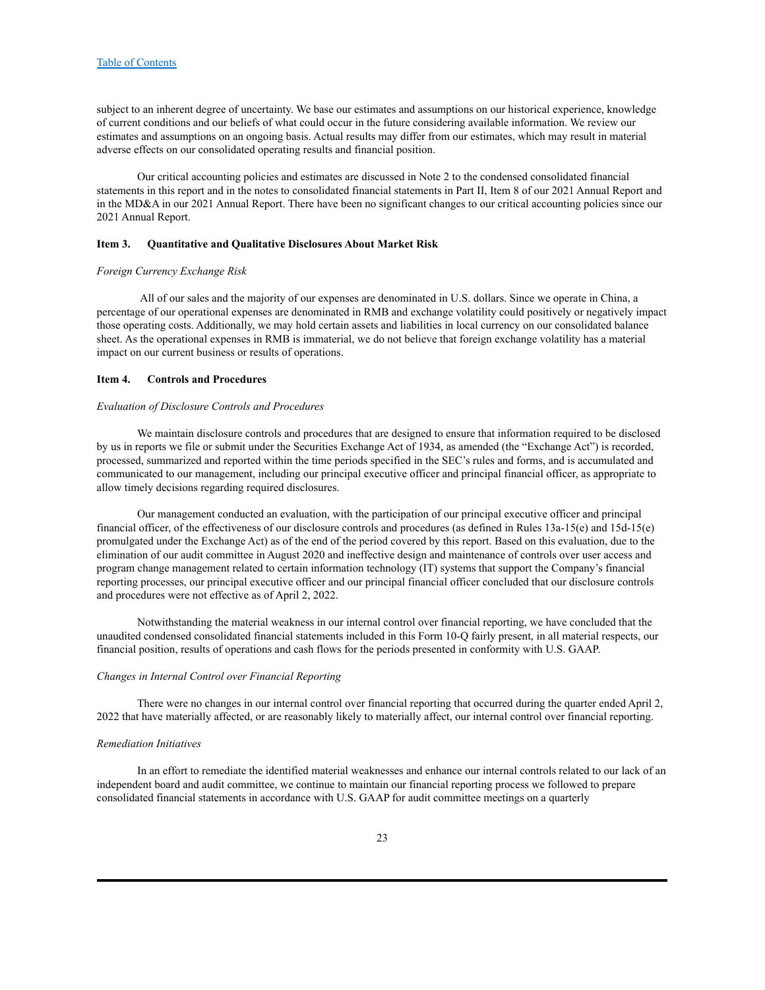subject to an inherent degree of uncertainty. We base our estimates and assumptions on our historical experience, knowledge of current conditions and our beliefs of what could occur in the future considering available information. We review our estimates and assumptions on an ongoing basis. Actual results may differ from our estimates, which may result in material adverse effects on our consolidated operating results and financial position.

Our critical accounting policies and estimates are discussed in Note 2 to the condensed consolidated financial statements in this report and in the notes to consolidated financial statements in Part II, Item 8 of our 2021 Annual Report and in the MD&A in our 2021 Annual Report. There have been no significant changes to our critical accounting policies since our 2021 Annual Report.

# <span id="page-22-0"></span>**Item 3. Quantitative and Qualitative Disclosures About Market Risk**

### *Foreign Currency Exchange Risk*

All of our sales and the majority of our expenses are denominated in U.S. dollars. Since we operate in China, a percentage of our operational expenses are denominated in RMB and exchange volatility could positively or negatively impact those operating costs. Additionally, we may hold certain assets and liabilities in local currency on our consolidated balance sheet. As the operational expenses in RMB is immaterial, we do not believe that foreign exchange volatility has a material impact on our current business or results of operations.

# **Item 4. Controls and Procedures**

### *Evaluation of Disclosure Controls and Procedures*

We maintain disclosure controls and procedures that are designed to ensure that information required to be disclosed by us in reports we file or submit under the Securities Exchange Act of 1934, as amended (the "Exchange Act") is recorded, processed, summarized and reported within the time periods specified in the SEC's rules and forms, and is accumulated and communicated to our management, including our principal executive officer and principal financial officer, as appropriate to allow timely decisions regarding required disclosures.

Our management conducted an evaluation, with the participation of our principal executive officer and principal financial officer, of the effectiveness of our disclosure controls and procedures (as defined in Rules 13a-15(e) and 15d-15(e) promulgated under the Exchange Act) as of the end of the period covered by this report. Based on this evaluation, due to the elimination of our audit committee in August 2020 and ineffective design and maintenance of controls over user access and program change management related to certain information technology (IT) systems that support the Company's financial reporting processes, our principal executive officer and our principal financial officer concluded that our disclosure controls and procedures were not effective as of April 2, 2022.

Notwithstanding the material weakness in our internal control over financial reporting, we have concluded that the unaudited condensed consolidated financial statements included in this Form 10-Q fairly present, in all material respects, our financial position, results of operations and cash flows for the periods presented in conformity with U.S. GAAP.

#### *Changes in Internal Control over Financial Reporting*

There were no changes in our internal control over financial reporting that occurred during the quarter ended April 2, 2022 that have materially affected, or are reasonably likely to materially affect, our internal control over financial reporting.

# *Remediation Initiatives*

In an effort to remediate the identified material weaknesses and enhance our internal controls related to our lack of an independent board and audit committee, we continue to maintain our financial reporting process we followed to prepare consolidated financial statements in accordance with U.S. GAAP for audit committee meetings on a quarterly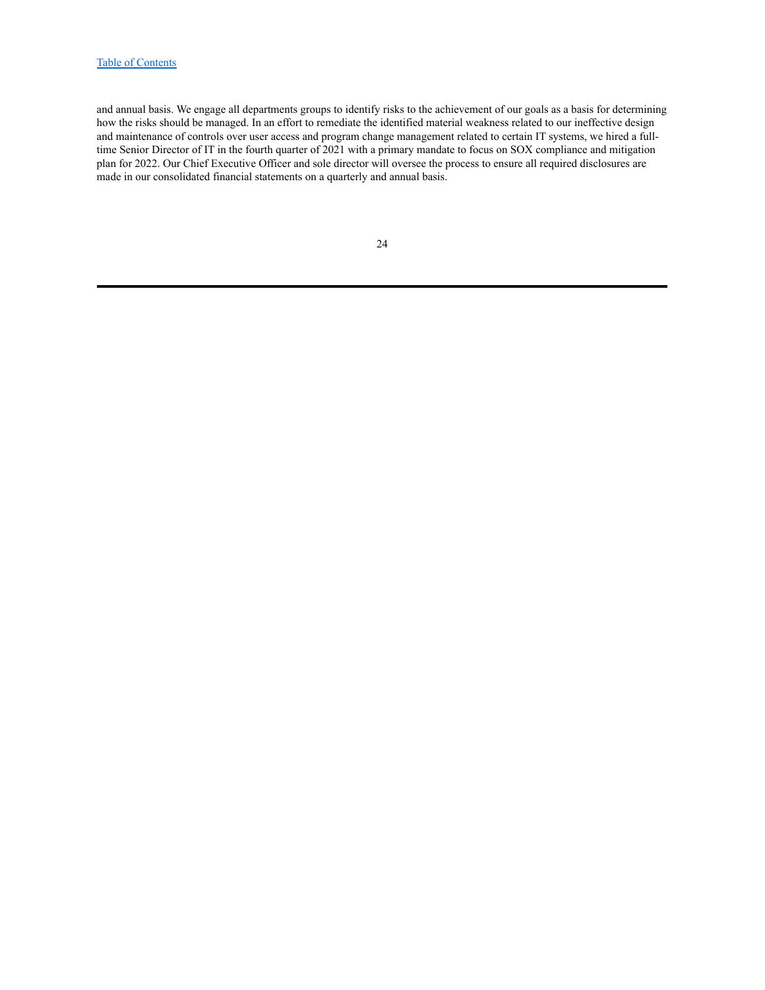and annual basis. We engage all departments groups to identify risks to the achievement of our goals as a basis for determining how the risks should be managed. In an effort to remediate the identified material weakness related to our ineffective design and maintenance of controls over user access and program change management related to certain IT systems, we hired a fulltime Senior Director of IT in the fourth quarter of 2021 with a primary mandate to focus on SOX compliance and mitigation plan for 2022. Our Chief Executive Officer and sole director will oversee the process to ensure all required disclosures are made in our consolidated financial statements on a quarterly and annual basis.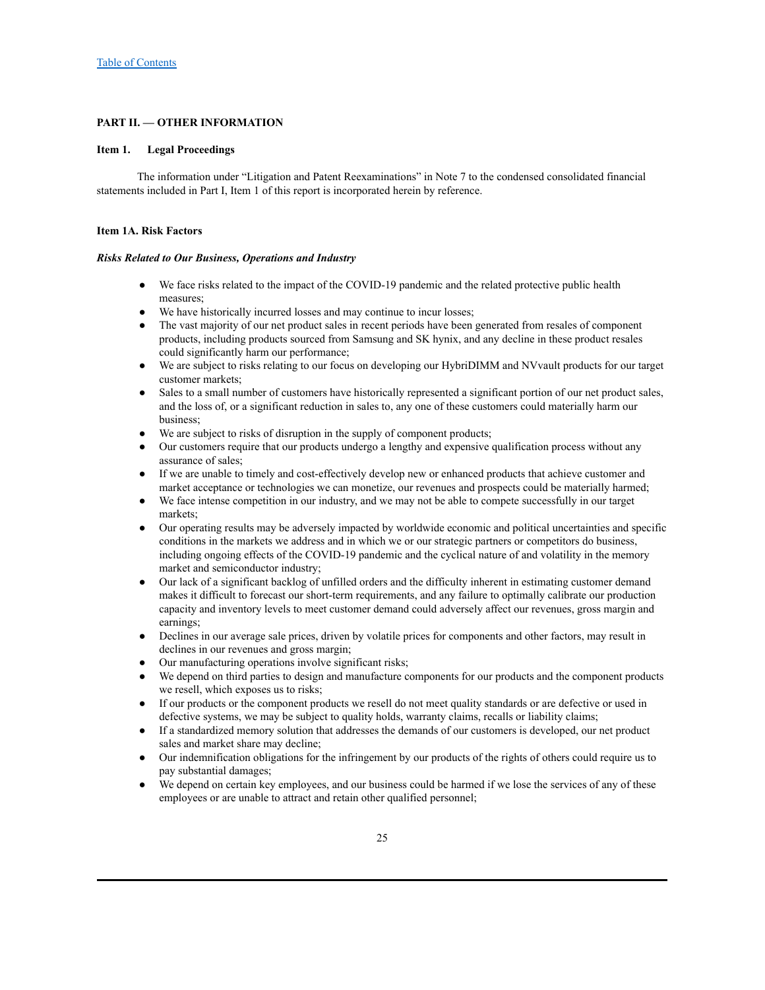# <span id="page-24-0"></span>**PART II. — OTHER INFORMATION**

# **Item 1. Legal Proceedings**

The information under "Litigation and Patent Reexaminations" in Note 7 to the condensed consolidated financial statements included in Part I, Item 1 of this report is incorporated herein by reference.

### <span id="page-24-1"></span>**Item 1A. Risk Factors**

### *Risks Related to Our Business, Operations and Industry*

- We face risks related to the impact of the COVID-19 pandemic and the related protective public health measures;
- We have historically incurred losses and may continue to incur losses;
- The vast majority of our net product sales in recent periods have been generated from resales of component products, including products sourced from Samsung and SK hynix, and any decline in these product resales could significantly harm our performance;
- We are subject to risks relating to our focus on developing our HybriDIMM and NVvault products for our target customer markets;
- Sales to a small number of customers have historically represented a significant portion of our net product sales, and the loss of, or a significant reduction in sales to, any one of these customers could materially harm our business;
- We are subject to risks of disruption in the supply of component products;
- Our customers require that our products undergo a lengthy and expensive qualification process without any assurance of sales;
- If we are unable to timely and cost-effectively develop new or enhanced products that achieve customer and market acceptance or technologies we can monetize, our revenues and prospects could be materially harmed;
- We face intense competition in our industry, and we may not be able to compete successfully in our target markets;
- Our operating results may be adversely impacted by worldwide economic and political uncertainties and specific conditions in the markets we address and in which we or our strategic partners or competitors do business, including ongoing effects of the COVID-19 pandemic and the cyclical nature of and volatility in the memory market and semiconductor industry;
- Our lack of a significant backlog of unfilled orders and the difficulty inherent in estimating customer demand makes it difficult to forecast our short-term requirements, and any failure to optimally calibrate our production capacity and inventory levels to meet customer demand could adversely affect our revenues, gross margin and earnings;
- Declines in our average sale prices, driven by volatile prices for components and other factors, may result in declines in our revenues and gross margin;
- Our manufacturing operations involve significant risks;
- We depend on third parties to design and manufacture components for our products and the component products we resell, which exposes us to risks;
- If our products or the component products we resell do not meet quality standards or are defective or used in defective systems, we may be subject to quality holds, warranty claims, recalls or liability claims;
- If a standardized memory solution that addresses the demands of our customers is developed, our net product sales and market share may decline;
- Our indemnification obligations for the infringement by our products of the rights of others could require us to pay substantial damages;
- We depend on certain key employees, and our business could be harmed if we lose the services of any of these employees or are unable to attract and retain other qualified personnel;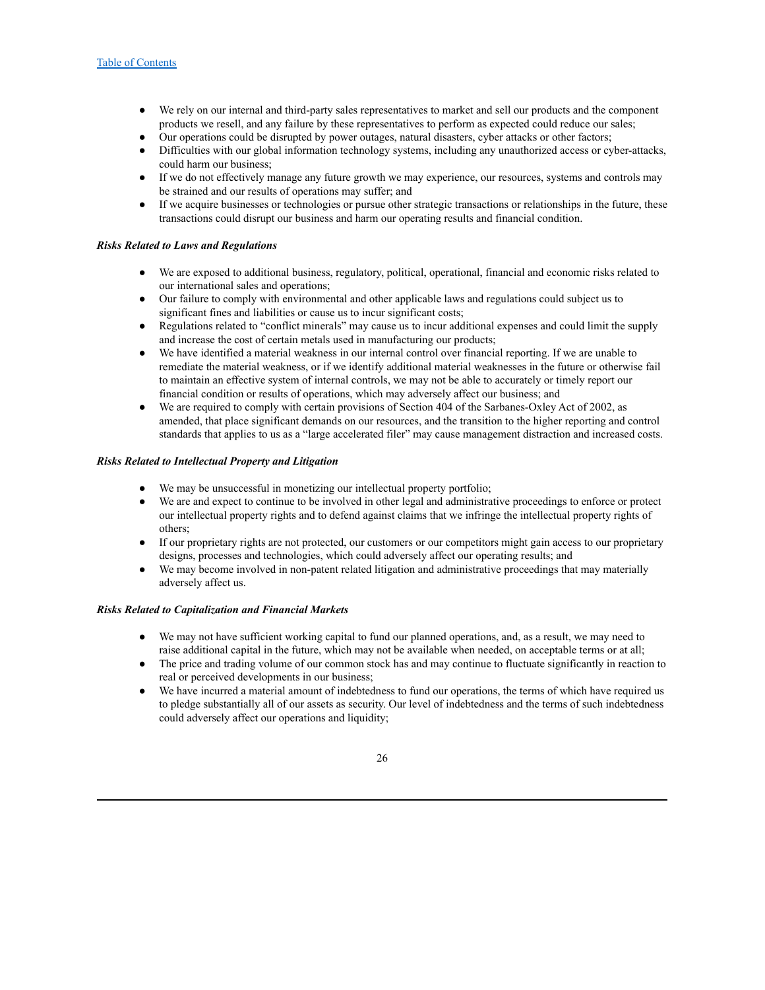- We rely on our internal and third-party sales representatives to market and sell our products and the component products we resell, and any failure by these representatives to perform as expected could reduce our sales;
- Our operations could be disrupted by power outages, natural disasters, cyber attacks or other factors;
- Difficulties with our global information technology systems, including any unauthorized access or cyber-attacks, could harm our business;
- If we do not effectively manage any future growth we may experience, our resources, systems and controls may be strained and our results of operations may suffer; and
- If we acquire businesses or technologies or pursue other strategic transactions or relationships in the future, these transactions could disrupt our business and harm our operating results and financial condition.

### *Risks Related to Laws and Regulations*

- We are exposed to additional business, regulatory, political, operational, financial and economic risks related to our international sales and operations;
- Our failure to comply with environmental and other applicable laws and regulations could subject us to significant fines and liabilities or cause us to incur significant costs;
- Regulations related to "conflict minerals" may cause us to incur additional expenses and could limit the supply and increase the cost of certain metals used in manufacturing our products;
- We have identified a material weakness in our internal control over financial reporting. If we are unable to remediate the material weakness, or if we identify additional material weaknesses in the future or otherwise fail to maintain an effective system of internal controls, we may not be able to accurately or timely report our financial condition or results of operations, which may adversely affect our business; and
- We are required to comply with certain provisions of Section 404 of the Sarbanes-Oxley Act of 2002, as amended, that place significant demands on our resources, and the transition to the higher reporting and control standards that applies to us as a "large accelerated filer" may cause management distraction and increased costs.

# *Risks Related to Intellectual Property and Litigation*

- We may be unsuccessful in monetizing our intellectual property portfolio;
- We are and expect to continue to be involved in other legal and administrative proceedings to enforce or protect our intellectual property rights and to defend against claims that we infringe the intellectual property rights of others;
- If our proprietary rights are not protected, our customers or our competitors might gain access to our proprietary designs, processes and technologies, which could adversely affect our operating results; and
- We may become involved in non-patent related litigation and administrative proceedings that may materially adversely affect us.

#### *Risks Related to Capitalization and Financial Markets*

- We may not have sufficient working capital to fund our planned operations, and, as a result, we may need to raise additional capital in the future, which may not be available when needed, on acceptable terms or at all;
- The price and trading volume of our common stock has and may continue to fluctuate significantly in reaction to real or perceived developments in our business;
- We have incurred a material amount of indebtedness to fund our operations, the terms of which have required us to pledge substantially all of our assets as security. Our level of indebtedness and the terms of such indebtedness could adversely affect our operations and liquidity;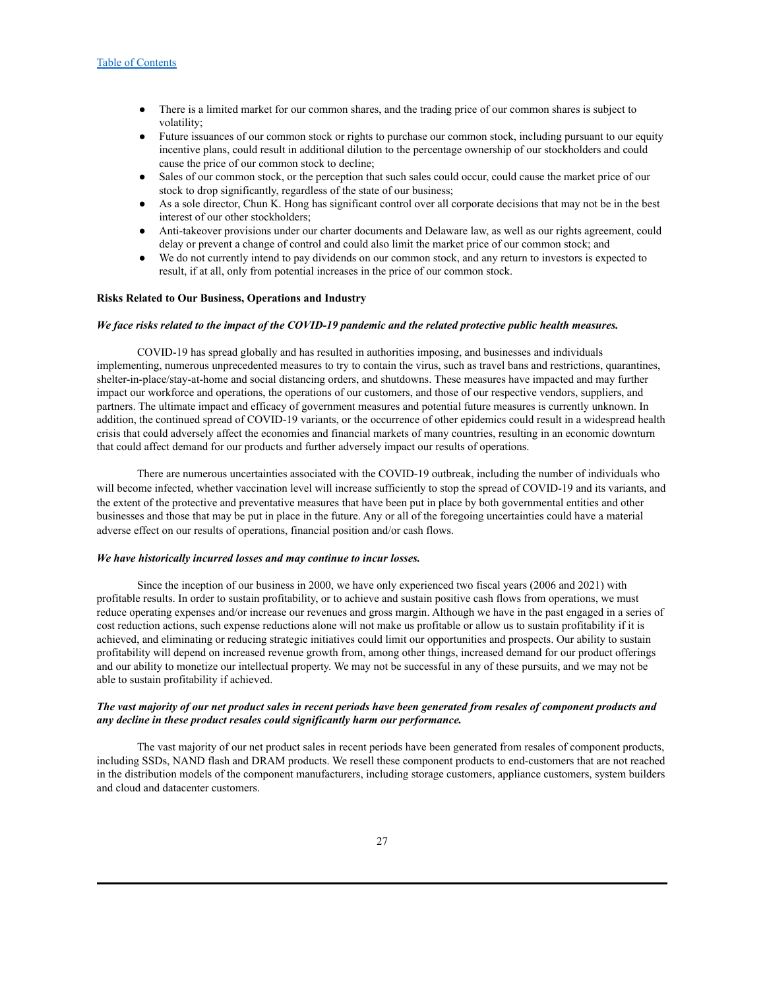- There is a limited market for our common shares, and the trading price of our common shares is subject to volatility;
- Future issuances of our common stock or rights to purchase our common stock, including pursuant to our equity incentive plans, could result in additional dilution to the percentage ownership of our stockholders and could cause the price of our common stock to decline;
- Sales of our common stock, or the perception that such sales could occur, could cause the market price of our stock to drop significantly, regardless of the state of our business;
- As a sole director, Chun K. Hong has significant control over all corporate decisions that may not be in the best interest of our other stockholders;
- Anti-takeover provisions under our charter documents and Delaware law, as well as our rights agreement, could delay or prevent a change of control and could also limit the market price of our common stock; and
- We do not currently intend to pay dividends on our common stock, and any return to investors is expected to result, if at all, only from potential increases in the price of our common stock.

# **Risks Related to Our Business, Operations and Industry**

### We face risks related to the impact of the COVID-19 pandemic and the related protective public health measures.

COVID-19 has spread globally and has resulted in authorities imposing, and businesses and individuals implementing, numerous unprecedented measures to try to contain the virus, such as travel bans and restrictions, quarantines, shelter-in-place/stay-at-home and social distancing orders, and shutdowns. These measures have impacted and may further impact our workforce and operations, the operations of our customers, and those of our respective vendors, suppliers, and partners. The ultimate impact and efficacy of government measures and potential future measures is currently unknown. In addition, the continued spread of COVID-19 variants, or the occurrence of other epidemics could result in a widespread health crisis that could adversely affect the economies and financial markets of many countries, resulting in an economic downturn that could affect demand for our products and further adversely impact our results of operations.

There are numerous uncertainties associated with the COVID-19 outbreak, including the number of individuals who will become infected, whether vaccination level will increase sufficiently to stop the spread of COVID-19 and its variants, and the extent of the protective and preventative measures that have been put in place by both governmental entities and other businesses and those that may be put in place in the future. Any or all of the foregoing uncertainties could have a material adverse effect on our results of operations, financial position and/or cash flows.

### *We have historically incurred losses and may continue to incur losses.*

Since the inception of our business in 2000, we have only experienced two fiscal years (2006 and 2021) with profitable results. In order to sustain profitability, or to achieve and sustain positive cash flows from operations, we must reduce operating expenses and/or increase our revenues and gross margin. Although we have in the past engaged in a series of cost reduction actions, such expense reductions alone will not make us profitable or allow us to sustain profitability if it is achieved, and eliminating or reducing strategic initiatives could limit our opportunities and prospects. Our ability to sustain profitability will depend on increased revenue growth from, among other things, increased demand for our product offerings and our ability to monetize our intellectual property. We may not be successful in any of these pursuits, and we may not be able to sustain profitability if achieved.

# The vast majority of our net product sales in recent periods have been generated from resales of component products and *any decline in these product resales could significantly harm our performance.*

The vast majority of our net product sales in recent periods have been generated from resales of component products, including SSDs, NAND flash and DRAM products. We resell these component products to end-customers that are not reached in the distribution models of the component manufacturers, including storage customers, appliance customers, system builders and cloud and datacenter customers.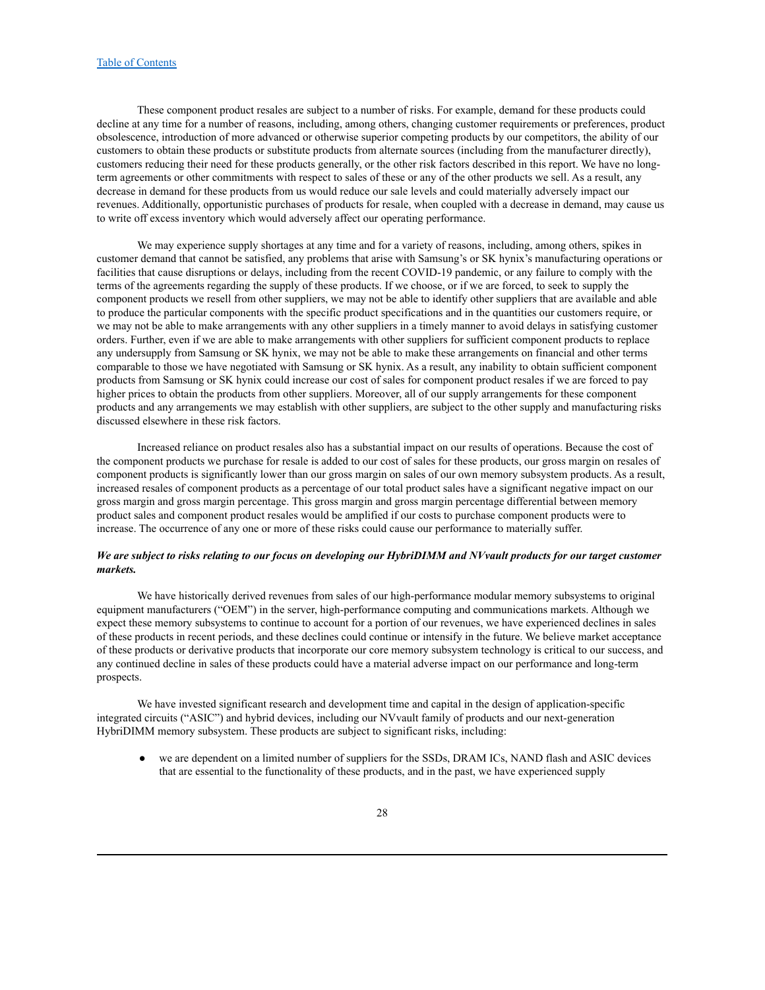### Table of [Contents](#page-1-0)

These component product resales are subject to a number of risks. For example, demand for these products could decline at any time for a number of reasons, including, among others, changing customer requirements or preferences, product obsolescence, introduction of more advanced or otherwise superior competing products by our competitors, the ability of our customers to obtain these products or substitute products from alternate sources (including from the manufacturer directly), customers reducing their need for these products generally, or the other risk factors described in this report. We have no longterm agreements or other commitments with respect to sales of these or any of the other products we sell. As a result, any decrease in demand for these products from us would reduce our sale levels and could materially adversely impact our revenues. Additionally, opportunistic purchases of products for resale, when coupled with a decrease in demand, may cause us to write off excess inventory which would adversely affect our operating performance.

We may experience supply shortages at any time and for a variety of reasons, including, among others, spikes in customer demand that cannot be satisfied, any problems that arise with Samsung's or SK hynix's manufacturing operations or facilities that cause disruptions or delays, including from the recent COVID-19 pandemic, or any failure to comply with the terms of the agreements regarding the supply of these products. If we choose, or if we are forced, to seek to supply the component products we resell from other suppliers, we may not be able to identify other suppliers that are available and able to produce the particular components with the specific product specifications and in the quantities our customers require, or we may not be able to make arrangements with any other suppliers in a timely manner to avoid delays in satisfying customer orders. Further, even if we are able to make arrangements with other suppliers for sufficient component products to replace any undersupply from Samsung or SK hynix, we may not be able to make these arrangements on financial and other terms comparable to those we have negotiated with Samsung or SK hynix. As a result, any inability to obtain sufficient component products from Samsung or SK hynix could increase our cost of sales for component product resales if we are forced to pay higher prices to obtain the products from other suppliers. Moreover, all of our supply arrangements for these component products and any arrangements we may establish with other suppliers, are subject to the other supply and manufacturing risks discussed elsewhere in these risk factors.

Increased reliance on product resales also has a substantial impact on our results of operations. Because the cost of the component products we purchase for resale is added to our cost of sales for these products, our gross margin on resales of component products is significantly lower than our gross margin on sales of our own memory subsystem products. As a result, increased resales of component products as a percentage of our total product sales have a significant negative impact on our gross margin and gross margin percentage. This gross margin and gross margin percentage differential between memory product sales and component product resales would be amplified if our costs to purchase component products were to increase. The occurrence of any one or more of these risks could cause our performance to materially suffer.

# We are subject to risks relating to our focus on developing our HybriDIMM and NVvault products for our target customer *markets.*

We have historically derived revenues from sales of our high-performance modular memory subsystems to original equipment manufacturers ("OEM") in the server, high-performance computing and communications markets. Although we expect these memory subsystems to continue to account for a portion of our revenues, we have experienced declines in sales of these products in recent periods, and these declines could continue or intensify in the future. We believe market acceptance of these products or derivative products that incorporate our core memory subsystem technology is critical to our success, and any continued decline in sales of these products could have a material adverse impact on our performance and long-term prospects.

We have invested significant research and development time and capital in the design of application-specific integrated circuits ("ASIC") and hybrid devices, including our NVvault family of products and our next-generation HybriDIMM memory subsystem. These products are subject to significant risks, including:

we are dependent on a limited number of suppliers for the SSDs, DRAM ICs, NAND flash and ASIC devices that are essential to the functionality of these products, and in the past, we have experienced supply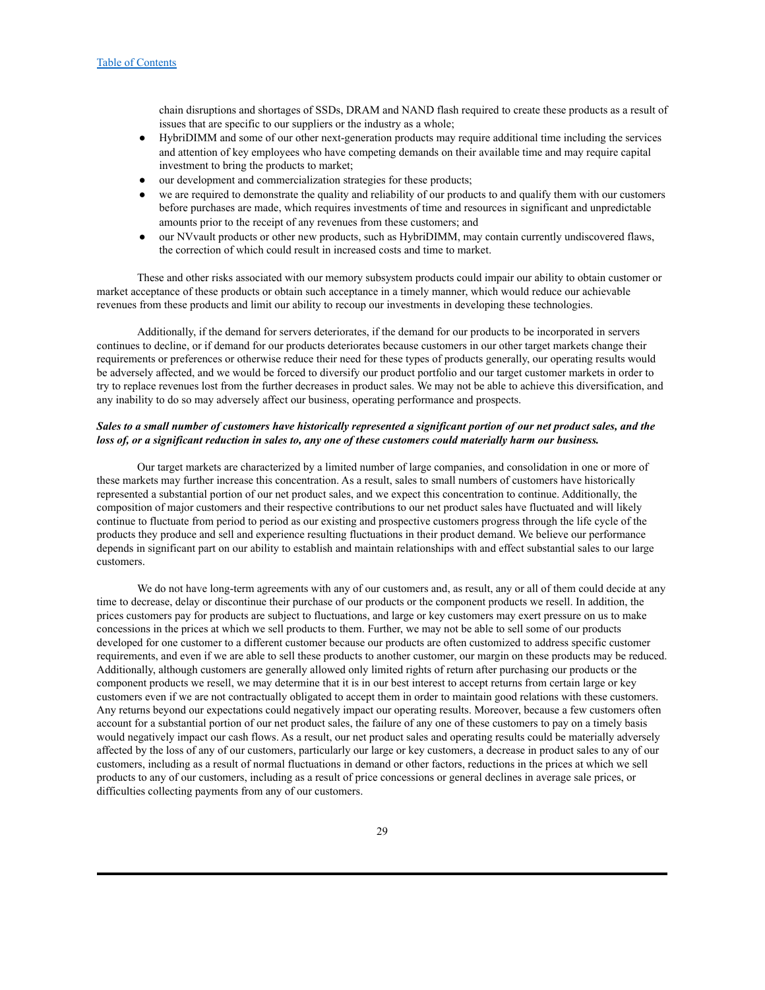chain disruptions and shortages of SSDs, DRAM and NAND flash required to create these products as a result of issues that are specific to our suppliers or the industry as a whole;

- HybriDIMM and some of our other next-generation products may require additional time including the services and attention of key employees who have competing demands on their available time and may require capital investment to bring the products to market;
- our development and commercialization strategies for these products;
- we are required to demonstrate the quality and reliability of our products to and qualify them with our customers before purchases are made, which requires investments of time and resources in significant and unpredictable amounts prior to the receipt of any revenues from these customers; and
- our NVvault products or other new products, such as HybriDIMM, may contain currently undiscovered flaws, the correction of which could result in increased costs and time to market.

These and other risks associated with our memory subsystem products could impair our ability to obtain customer or market acceptance of these products or obtain such acceptance in a timely manner, which would reduce our achievable revenues from these products and limit our ability to recoup our investments in developing these technologies.

Additionally, if the demand for servers deteriorates, if the demand for our products to be incorporated in servers continues to decline, or if demand for our products deteriorates because customers in our other target markets change their requirements or preferences or otherwise reduce their need for these types of products generally, our operating results would be adversely affected, and we would be forced to diversify our product portfolio and our target customer markets in order to try to replace revenues lost from the further decreases in product sales. We may not be able to achieve this diversification, and any inability to do so may adversely affect our business, operating performance and prospects.

# Sales to a small number of customers have historically represented a significant portion of our net product sales, and the loss of, or a significant reduction in sales to, any one of these customers could materially harm our business.

Our target markets are characterized by a limited number of large companies, and consolidation in one or more of these markets may further increase this concentration. As a result, sales to small numbers of customers have historically represented a substantial portion of our net product sales, and we expect this concentration to continue. Additionally, the composition of major customers and their respective contributions to our net product sales have fluctuated and will likely continue to fluctuate from period to period as our existing and prospective customers progress through the life cycle of the products they produce and sell and experience resulting fluctuations in their product demand. We believe our performance depends in significant part on our ability to establish and maintain relationships with and effect substantial sales to our large customers.

We do not have long-term agreements with any of our customers and, as result, any or all of them could decide at any time to decrease, delay or discontinue their purchase of our products or the component products we resell. In addition, the prices customers pay for products are subject to fluctuations, and large or key customers may exert pressure on us to make concessions in the prices at which we sell products to them. Further, we may not be able to sell some of our products developed for one customer to a different customer because our products are often customized to address specific customer requirements, and even if we are able to sell these products to another customer, our margin on these products may be reduced. Additionally, although customers are generally allowed only limited rights of return after purchasing our products or the component products we resell, we may determine that it is in our best interest to accept returns from certain large or key customers even if we are not contractually obligated to accept them in order to maintain good relations with these customers. Any returns beyond our expectations could negatively impact our operating results. Moreover, because a few customers often account for a substantial portion of our net product sales, the failure of any one of these customers to pay on a timely basis would negatively impact our cash flows. As a result, our net product sales and operating results could be materially adversely affected by the loss of any of our customers, particularly our large or key customers, a decrease in product sales to any of our customers, including as a result of normal fluctuations in demand or other factors, reductions in the prices at which we sell products to any of our customers, including as a result of price concessions or general declines in average sale prices, or difficulties collecting payments from any of our customers.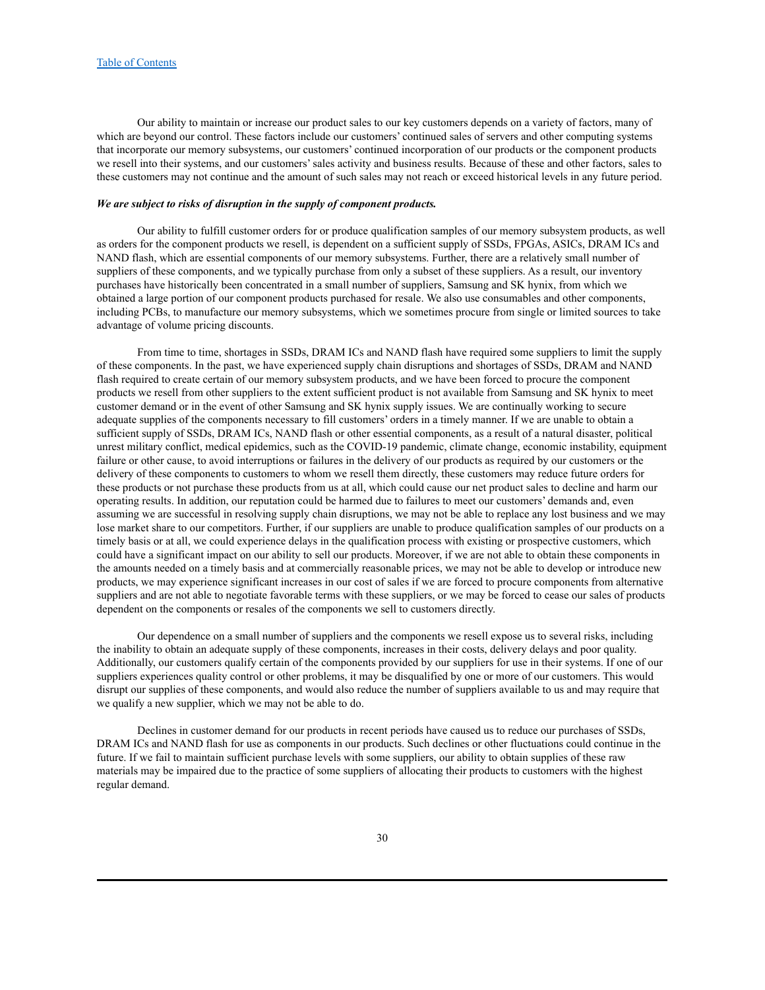Our ability to maintain or increase our product sales to our key customers depends on a variety of factors, many of which are beyond our control. These factors include our customers' continued sales of servers and other computing systems that incorporate our memory subsystems, our customers' continued incorporation of our products or the component products we resell into their systems, and our customers'sales activity and business results. Because of these and other factors, sales to these customers may not continue and the amount of such sales may not reach or exceed historical levels in any future period.

### *We are subject to risks of disruption in the supply of component products.*

Our ability to fulfill customer orders for or produce qualification samples of our memory subsystem products, as well as orders for the component products we resell, is dependent on a sufficient supply of SSDs, FPGAs, ASICs, DRAM ICs and NAND flash, which are essential components of our memory subsystems. Further, there are a relatively small number of suppliers of these components, and we typically purchase from only a subset of these suppliers. As a result, our inventory purchases have historically been concentrated in a small number of suppliers, Samsung and SK hynix, from which we obtained a large portion of our component products purchased for resale. We also use consumables and other components, including PCBs, to manufacture our memory subsystems, which we sometimes procure from single or limited sources to take advantage of volume pricing discounts.

From time to time, shortages in SSDs, DRAM ICs and NAND flash have required some suppliers to limit the supply of these components. In the past, we have experienced supply chain disruptions and shortages of SSDs, DRAM and NAND flash required to create certain of our memory subsystem products, and we have been forced to procure the component products we resell from other suppliers to the extent sufficient product is not available from Samsung and SK hynix to meet customer demand or in the event of other Samsung and SK hynix supply issues. We are continually working to secure adequate supplies of the components necessary to fill customers' orders in a timely manner. If we are unable to obtain a sufficient supply of SSDs, DRAM ICs, NAND flash or other essential components, as a result of a natural disaster, political unrest military conflict, medical epidemics, such as the COVID-19 pandemic, climate change, economic instability, equipment failure or other cause, to avoid interruptions or failures in the delivery of our products as required by our customers or the delivery of these components to customers to whom we resell them directly, these customers may reduce future orders for these products or not purchase these products from us at all, which could cause our net product sales to decline and harm our operating results. In addition, our reputation could be harmed due to failures to meet our customers' demands and, even assuming we are successful in resolving supply chain disruptions, we may not be able to replace any lost business and we may lose market share to our competitors. Further, if our suppliers are unable to produce qualification samples of our products on a timely basis or at all, we could experience delays in the qualification process with existing or prospective customers, which could have a significant impact on our ability to sell our products. Moreover, if we are not able to obtain these components in the amounts needed on a timely basis and at commercially reasonable prices, we may not be able to develop or introduce new products, we may experience significant increases in our cost of sales if we are forced to procure components from alternative suppliers and are not able to negotiate favorable terms with these suppliers, or we may be forced to cease our sales of products dependent on the components or resales of the components we sell to customers directly.

Our dependence on a small number of suppliers and the components we resell expose us to several risks, including the inability to obtain an adequate supply of these components, increases in their costs, delivery delays and poor quality. Additionally, our customers qualify certain of the components provided by our suppliers for use in their systems. If one of our suppliers experiences quality control or other problems, it may be disqualified by one or more of our customers. This would disrupt our supplies of these components, and would also reduce the number of suppliers available to us and may require that we qualify a new supplier, which we may not be able to do.

Declines in customer demand for our products in recent periods have caused us to reduce our purchases of SSDs, DRAM ICs and NAND flash for use as components in our products. Such declines or other fluctuations could continue in the future. If we fail to maintain sufficient purchase levels with some suppliers, our ability to obtain supplies of these raw materials may be impaired due to the practice of some suppliers of allocating their products to customers with the highest regular demand.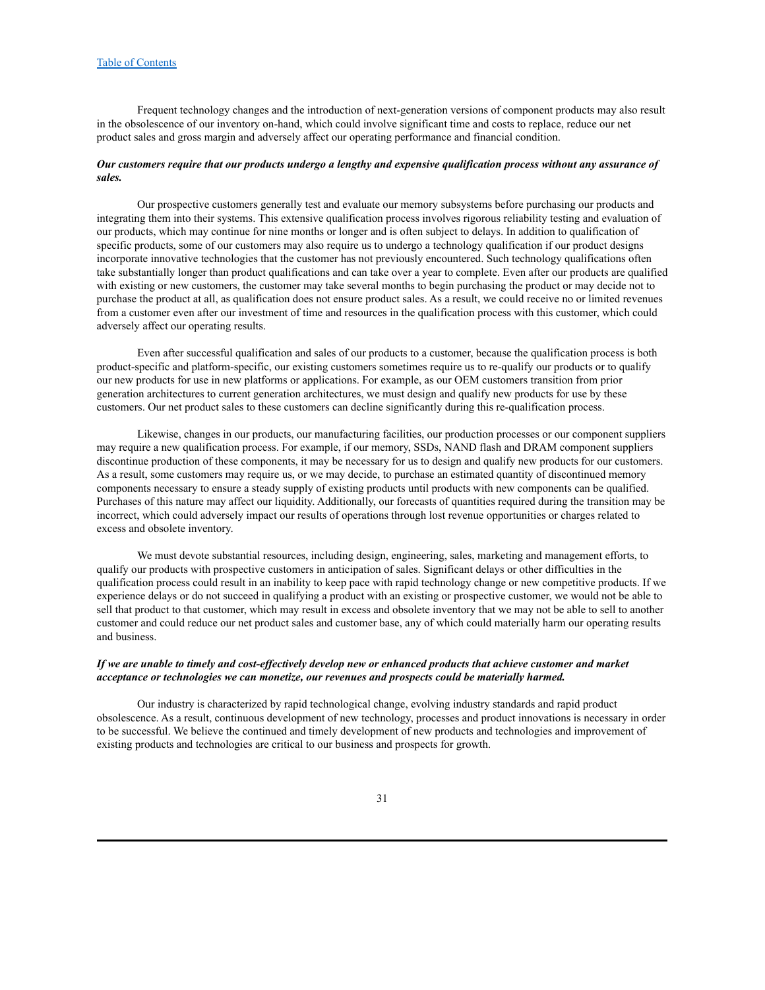### Table of [Contents](#page-1-0)

Frequent technology changes and the introduction of next-generation versions of component products may also result in the obsolescence of our inventory on-hand, which could involve significant time and costs to replace, reduce our net product sales and gross margin and adversely affect our operating performance and financial condition.

# Our customers require that our products undergo a lengthy and expensive qualification process without any assurance of *sales.*

Our prospective customers generally test and evaluate our memory subsystems before purchasing our products and integrating them into their systems. This extensive qualification process involves rigorous reliability testing and evaluation of our products, which may continue for nine months or longer and is often subject to delays. In addition to qualification of specific products, some of our customers may also require us to undergo a technology qualification if our product designs incorporate innovative technologies that the customer has not previously encountered. Such technology qualifications often take substantially longer than product qualifications and can take over a year to complete. Even after our products are qualified with existing or new customers, the customer may take several months to begin purchasing the product or may decide not to purchase the product at all, as qualification does not ensure product sales. As a result, we could receive no or limited revenues from a customer even after our investment of time and resources in the qualification process with this customer, which could adversely affect our operating results.

Even after successful qualification and sales of our products to a customer, because the qualification process is both product-specific and platform-specific, our existing customers sometimes require us to re-qualify our products or to qualify our new products for use in new platforms or applications. For example, as our OEM customers transition from prior generation architectures to current generation architectures, we must design and qualify new products for use by these customers. Our net product sales to these customers can decline significantly during this re-qualification process.

Likewise, changes in our products, our manufacturing facilities, our production processes or our component suppliers may require a new qualification process. For example, if our memory, SSDs, NAND flash and DRAM component suppliers discontinue production of these components, it may be necessary for us to design and qualify new products for our customers. As a result, some customers may require us, or we may decide, to purchase an estimated quantity of discontinued memory components necessary to ensure a steady supply of existing products until products with new components can be qualified. Purchases of this nature may affect our liquidity. Additionally, our forecasts of quantities required during the transition may be incorrect, which could adversely impact our results of operations through lost revenue opportunities or charges related to excess and obsolete inventory.

We must devote substantial resources, including design, engineering, sales, marketing and management efforts, to qualify our products with prospective customers in anticipation of sales. Significant delays or other difficulties in the qualification process could result in an inability to keep pace with rapid technology change or new competitive products. If we experience delays or do not succeed in qualifying a product with an existing or prospective customer, we would not be able to sell that product to that customer, which may result in excess and obsolete inventory that we may not be able to sell to another customer and could reduce our net product sales and customer base, any of which could materially harm our operating results and business.

# If we are unable to timely and cost-effectively develop new or enhanced products that achieve customer and market *acceptance or technologies we can monetize, our revenues and prospects could be materially harmed.*

Our industry is characterized by rapid technological change, evolving industry standards and rapid product obsolescence. As a result, continuous development of new technology, processes and product innovations is necessary in order to be successful. We believe the continued and timely development of new products and technologies and improvement of existing products and technologies are critical to our business and prospects for growth.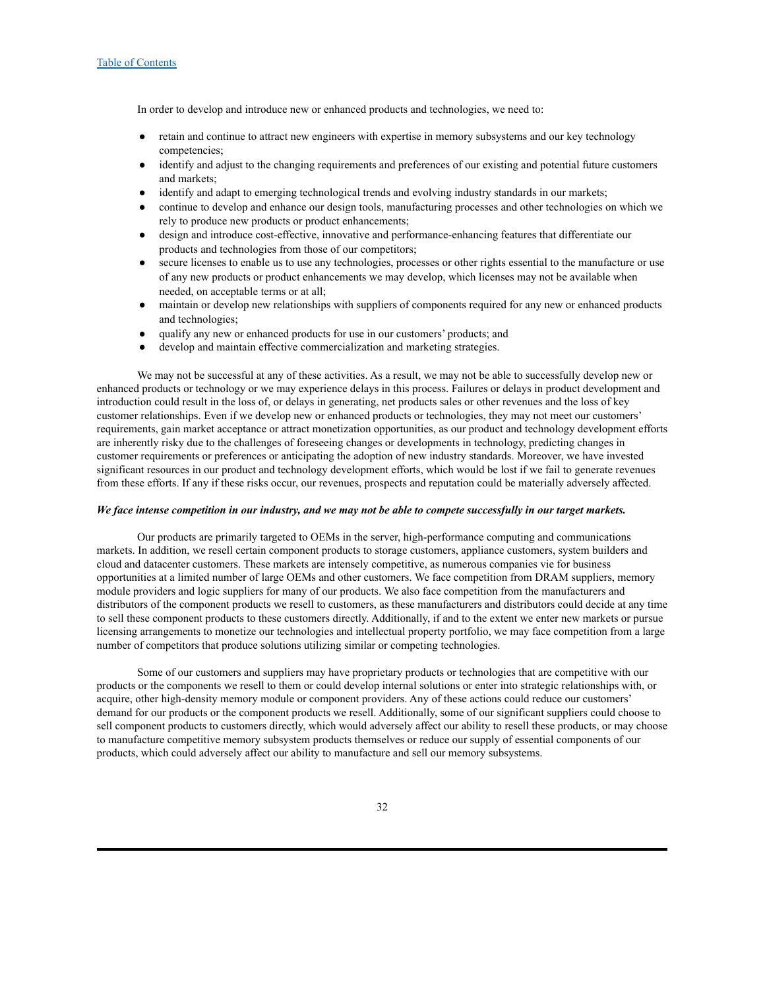In order to develop and introduce new or enhanced products and technologies, we need to:

- retain and continue to attract new engineers with expertise in memory subsystems and our key technology competencies;
- identify and adjust to the changing requirements and preferences of our existing and potential future customers and markets;
- identify and adapt to emerging technological trends and evolving industry standards in our markets;
- continue to develop and enhance our design tools, manufacturing processes and other technologies on which we rely to produce new products or product enhancements;
- design and introduce cost-effective, innovative and performance-enhancing features that differentiate our products and technologies from those of our competitors;
- secure licenses to enable us to use any technologies, processes or other rights essential to the manufacture or use of any new products or product enhancements we may develop, which licenses may not be available when needed, on acceptable terms or at all;
- maintain or develop new relationships with suppliers of components required for any new or enhanced products and technologies;
- qualify any new or enhanced products for use in our customers' products; and
- develop and maintain effective commercialization and marketing strategies.

We may not be successful at any of these activities. As a result, we may not be able to successfully develop new or enhanced products or technology or we may experience delays in this process. Failures or delays in product development and introduction could result in the loss of, or delays in generating, net products sales or other revenues and the loss of key customer relationships. Even if we develop new or enhanced products or technologies, they may not meet our customers' requirements, gain market acceptance or attract monetization opportunities, as our product and technology development efforts are inherently risky due to the challenges of foreseeing changes or developments in technology, predicting changes in customer requirements or preferences or anticipating the adoption of new industry standards. Moreover, we have invested significant resources in our product and technology development efforts, which would be lost if we fail to generate revenues from these efforts. If any if these risks occur, our revenues, prospects and reputation could be materially adversely affected.

### We face intense competition in our industry, and we may not be able to compete successfully in our target markets.

Our products are primarily targeted to OEMs in the server, high-performance computing and communications markets. In addition, we resell certain component products to storage customers, appliance customers, system builders and cloud and datacenter customers. These markets are intensely competitive, as numerous companies vie for business opportunities at a limited number of large OEMs and other customers. We face competition from DRAM suppliers, memory module providers and logic suppliers for many of our products. We also face competition from the manufacturers and distributors of the component products we resell to customers, as these manufacturers and distributors could decide at any time to sell these component products to these customers directly. Additionally, if and to the extent we enter new markets or pursue licensing arrangements to monetize our technologies and intellectual property portfolio, we may face competition from a large number of competitors that produce solutions utilizing similar or competing technologies.

Some of our customers and suppliers may have proprietary products or technologies that are competitive with our products or the components we resell to them or could develop internal solutions or enter into strategic relationships with, or acquire, other high-density memory module or component providers. Any of these actions could reduce our customers' demand for our products or the component products we resell. Additionally, some of our significant suppliers could choose to sell component products to customers directly, which would adversely affect our ability to resell these products, or may choose to manufacture competitive memory subsystem products themselves or reduce our supply of essential components of our products, which could adversely affect our ability to manufacture and sell our memory subsystems.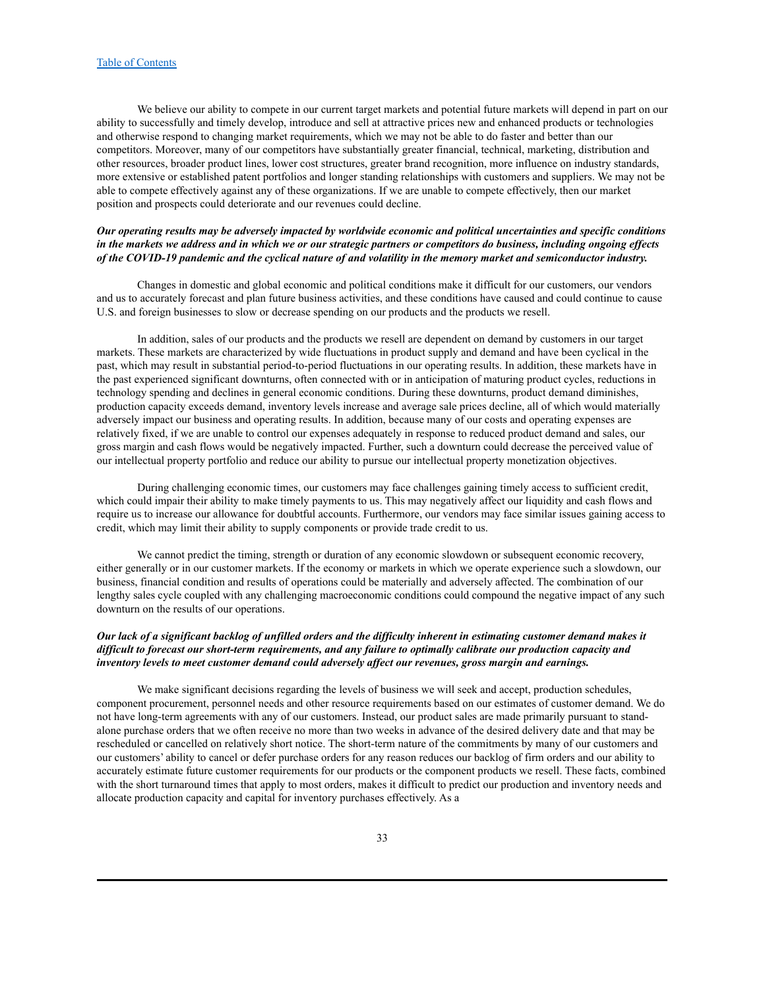We believe our ability to compete in our current target markets and potential future markets will depend in part on our ability to successfully and timely develop, introduce and sell at attractive prices new and enhanced products or technologies and otherwise respond to changing market requirements, which we may not be able to do faster and better than our competitors. Moreover, many of our competitors have substantially greater financial, technical, marketing, distribution and other resources, broader product lines, lower cost structures, greater brand recognition, more influence on industry standards, more extensive or established patent portfolios and longer standing relationships with customers and suppliers. We may not be able to compete effectively against any of these organizations. If we are unable to compete effectively, then our market position and prospects could deteriorate and our revenues could decline.

# Our operating results may be adversely impacted by worldwide economic and political uncertainties and specific conditions in the markets we address and in which we or our strategic partners or competitors do business, including ongoing effects of the COVID-19 pandemic and the cyclical nature of and volatility in the memory market and semiconductor industry.

Changes in domestic and global economic and political conditions make it difficult for our customers, our vendors and us to accurately forecast and plan future business activities, and these conditions have caused and could continue to cause U.S. and foreign businesses to slow or decrease spending on our products and the products we resell.

In addition, sales of our products and the products we resell are dependent on demand by customers in our target markets. These markets are characterized by wide fluctuations in product supply and demand and have been cyclical in the past, which may result in substantial period-to-period fluctuations in our operating results. In addition, these markets have in the past experienced significant downturns, often connected with or in anticipation of maturing product cycles, reductions in technology spending and declines in general economic conditions. During these downturns, product demand diminishes, production capacity exceeds demand, inventory levels increase and average sale prices decline, all of which would materially adversely impact our business and operating results. In addition, because many of our costs and operating expenses are relatively fixed, if we are unable to control our expenses adequately in response to reduced product demand and sales, our gross margin and cash flows would be negatively impacted. Further, such a downturn could decrease the perceived value of our intellectual property portfolio and reduce our ability to pursue our intellectual property monetization objectives.

During challenging economic times, our customers may face challenges gaining timely access to sufficient credit, which could impair their ability to make timely payments to us. This may negatively affect our liquidity and cash flows and require us to increase our allowance for doubtful accounts. Furthermore, our vendors may face similar issues gaining access to credit, which may limit their ability to supply components or provide trade credit to us.

We cannot predict the timing, strength or duration of any economic slowdown or subsequent economic recovery, either generally or in our customer markets. If the economy or markets in which we operate experience such a slowdown, our business, financial condition and results of operations could be materially and adversely affected. The combination of our lengthy sales cycle coupled with any challenging macroeconomic conditions could compound the negative impact of any such downturn on the results of our operations.

# Our lack of a significant backlog of unfilled orders and the difficulty inherent in estimating customer demand makes it difficult to forecast our short-term requirements, and any failure to optimally calibrate our production capacity and *inventory levels to meet customer demand could adversely af ect our revenues, gross margin and earnings.*

We make significant decisions regarding the levels of business we will seek and accept, production schedules, component procurement, personnel needs and other resource requirements based on our estimates of customer demand. We do not have long-term agreements with any of our customers. Instead, our product sales are made primarily pursuant to standalone purchase orders that we often receive no more than two weeks in advance of the desired delivery date and that may be rescheduled or cancelled on relatively short notice. The short-term nature of the commitments by many of our customers and our customers' ability to cancel or defer purchase orders for any reason reduces our backlog of firm orders and our ability to accurately estimate future customer requirements for our products or the component products we resell. These facts, combined with the short turnaround times that apply to most orders, makes it difficult to predict our production and inventory needs and allocate production capacity and capital for inventory purchases effectively. As a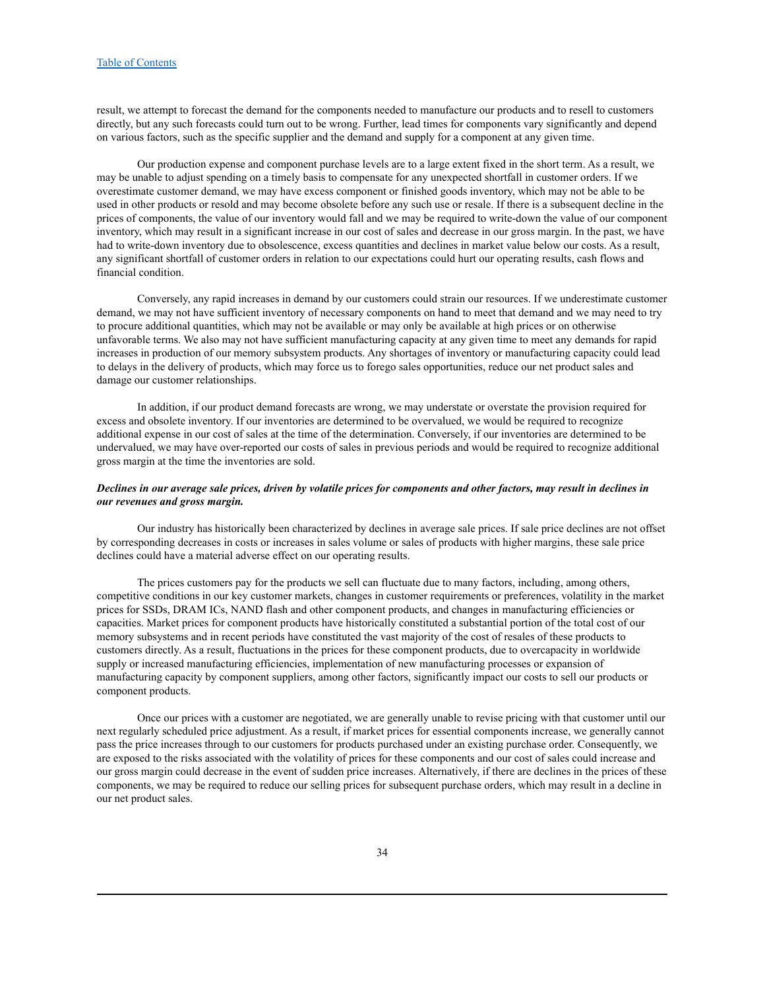result, we attempt to forecast the demand for the components needed to manufacture our products and to resell to customers directly, but any such forecasts could turn out to be wrong. Further, lead times for components vary significantly and depend on various factors, such as the specific supplier and the demand and supply for a component at any given time.

Our production expense and component purchase levels are to a large extent fixed in the short term. As a result, we may be unable to adjust spending on a timely basis to compensate for any unexpected shortfall in customer orders. If we overestimate customer demand, we may have excess component or finished goods inventory, which may not be able to be used in other products or resold and may become obsolete before any such use or resale. If there is a subsequent decline in the prices of components, the value of our inventory would fall and we may be required to write-down the value of our component inventory, which may result in a significant increase in our cost of sales and decrease in our gross margin. In the past, we have had to write-down inventory due to obsolescence, excess quantities and declines in market value below our costs. As a result, any significant shortfall of customer orders in relation to our expectations could hurt our operating results, cash flows and financial condition.

Conversely, any rapid increases in demand by our customers could strain our resources. If we underestimate customer demand, we may not have sufficient inventory of necessary components on hand to meet that demand and we may need to try to procure additional quantities, which may not be available or may only be available at high prices or on otherwise unfavorable terms. We also may not have sufficient manufacturing capacity at any given time to meet any demands for rapid increases in production of our memory subsystem products. Any shortages of inventory or manufacturing capacity could lead to delays in the delivery of products, which may force us to forego sales opportunities, reduce our net product sales and damage our customer relationships.

In addition, if our product demand forecasts are wrong, we may understate or overstate the provision required for excess and obsolete inventory. If our inventories are determined to be overvalued, we would be required to recognize additional expense in our cost of sales at the time of the determination. Conversely, if our inventories are determined to be undervalued, we may have over-reported our costs of sales in previous periods and would be required to recognize additional gross margin at the time the inventories are sold.

# Declines in our average sale prices, driven by volatile prices for components and other factors, may result in declines in *our revenues and gross margin.*

Our industry has historically been characterized by declines in average sale prices. If sale price declines are not offset by corresponding decreases in costs or increases in sales volume or sales of products with higher margins, these sale price declines could have a material adverse effect on our operating results.

The prices customers pay for the products we sell can fluctuate due to many factors, including, among others, competitive conditions in our key customer markets, changes in customer requirements or preferences, volatility in the market prices for SSDs, DRAM ICs, NAND flash and other component products, and changes in manufacturing efficiencies or capacities. Market prices for component products have historically constituted a substantial portion of the total cost of our memory subsystems and in recent periods have constituted the vast majority of the cost of resales of these products to customers directly. As a result, fluctuations in the prices for these component products, due to overcapacity in worldwide supply or increased manufacturing efficiencies, implementation of new manufacturing processes or expansion of manufacturing capacity by component suppliers, among other factors, significantly impact our costs to sell our products or component products.

Once our prices with a customer are negotiated, we are generally unable to revise pricing with that customer until our next regularly scheduled price adjustment. As a result, if market prices for essential components increase, we generally cannot pass the price increases through to our customers for products purchased under an existing purchase order. Consequently, we are exposed to the risks associated with the volatility of prices for these components and our cost of sales could increase and our gross margin could decrease in the event of sudden price increases. Alternatively, if there are declines in the prices of these components, we may be required to reduce our selling prices for subsequent purchase orders, which may result in a decline in our net product sales.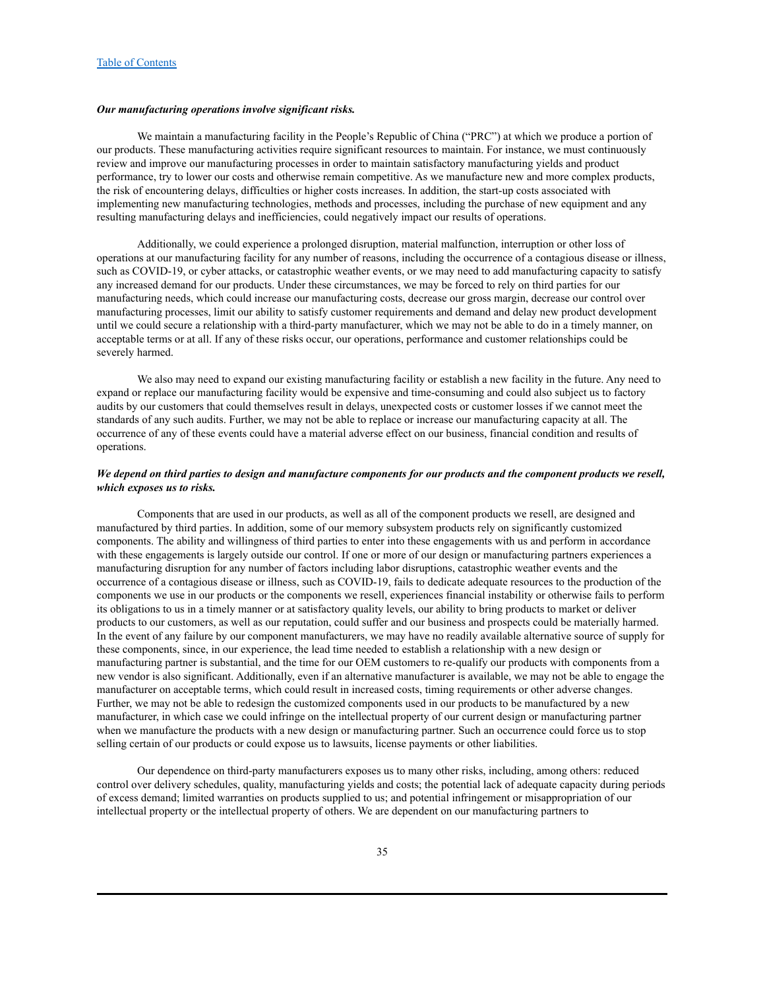### *Our manufacturing operations involve significant risks.*

We maintain a manufacturing facility in the People's Republic of China ("PRC") at which we produce a portion of our products. These manufacturing activities require significant resources to maintain. For instance, we must continuously review and improve our manufacturing processes in order to maintain satisfactory manufacturing yields and product performance, try to lower our costs and otherwise remain competitive. As we manufacture new and more complex products, the risk of encountering delays, difficulties or higher costs increases. In addition, the start-up costs associated with implementing new manufacturing technologies, methods and processes, including the purchase of new equipment and any resulting manufacturing delays and inefficiencies, could negatively impact our results of operations.

Additionally, we could experience a prolonged disruption, material malfunction, interruption or other loss of operations at our manufacturing facility for any number of reasons, including the occurrence of a contagious disease or illness, such as COVID-19, or cyber attacks, or catastrophic weather events, or we may need to add manufacturing capacity to satisfy any increased demand for our products. Under these circumstances, we may be forced to rely on third parties for our manufacturing needs, which could increase our manufacturing costs, decrease our gross margin, decrease our control over manufacturing processes, limit our ability to satisfy customer requirements and demand and delay new product development until we could secure a relationship with a third-party manufacturer, which we may not be able to do in a timely manner, on acceptable terms or at all. If any of these risks occur, our operations, performance and customer relationships could be severely harmed.

We also may need to expand our existing manufacturing facility or establish a new facility in the future. Any need to expand or replace our manufacturing facility would be expensive and time-consuming and could also subject us to factory audits by our customers that could themselves result in delays, unexpected costs or customer losses if we cannot meet the standards of any such audits. Further, we may not be able to replace or increase our manufacturing capacity at all. The occurrence of any of these events could have a material adverse effect on our business, financial condition and results of operations.

# We depend on third parties to design and manufacture components for our products and the component products we resell, *which exposes us to risks.*

Components that are used in our products, as well as all of the component products we resell, are designed and manufactured by third parties. In addition, some of our memory subsystem products rely on significantly customized components. The ability and willingness of third parties to enter into these engagements with us and perform in accordance with these engagements is largely outside our control. If one or more of our design or manufacturing partners experiences a manufacturing disruption for any number of factors including labor disruptions, catastrophic weather events and the occurrence of a contagious disease or illness, such as COVID-19, fails to dedicate adequate resources to the production of the components we use in our products or the components we resell, experiences financial instability or otherwise fails to perform its obligations to us in a timely manner or at satisfactory quality levels, our ability to bring products to market or deliver products to our customers, as well as our reputation, could suffer and our business and prospects could be materially harmed. In the event of any failure by our component manufacturers, we may have no readily available alternative source of supply for these components, since, in our experience, the lead time needed to establish a relationship with a new design or manufacturing partner is substantial, and the time for our OEM customers to re-qualify our products with components from a new vendor is also significant. Additionally, even if an alternative manufacturer is available, we may not be able to engage the manufacturer on acceptable terms, which could result in increased costs, timing requirements or other adverse changes. Further, we may not be able to redesign the customized components used in our products to be manufactured by a new manufacturer, in which case we could infringe on the intellectual property of our current design or manufacturing partner when we manufacture the products with a new design or manufacturing partner. Such an occurrence could force us to stop selling certain of our products or could expose us to lawsuits, license payments or other liabilities.

Our dependence on third-party manufacturers exposes us to many other risks, including, among others: reduced control over delivery schedules, quality, manufacturing yields and costs; the potential lack of adequate capacity during periods of excess demand; limited warranties on products supplied to us; and potential infringement or misappropriation of our intellectual property or the intellectual property of others. We are dependent on our manufacturing partners to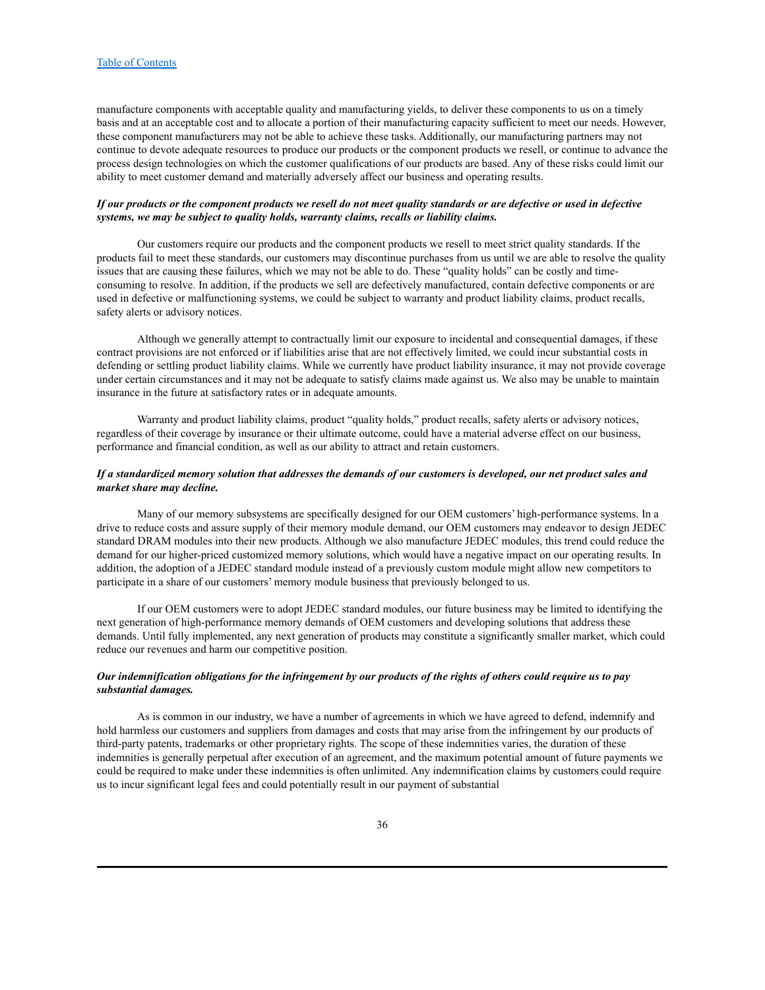# Table of [Contents](#page-1-0)

manufacture components with acceptable quality and manufacturing yields, to deliver these components to us on a timely basis and at an acceptable cost and to allocate a portion of their manufacturing capacity sufficient to meet our needs. However, these component manufacturers may not be able to achieve these tasks. Additionally, our manufacturing partners may not continue to devote adequate resources to produce our products or the component products we resell, or continue to advance the process design technologies on which the customer qualifications of our products are based. Any of these risks could limit our ability to meet customer demand and materially adversely affect our business and operating results.

# If our products or the component products we resell do not meet quality standards or are defective or used in defective *systems, we may be subject to quality holds, warranty claims, recalls or liability claims.*

Our customers require our products and the component products we resell to meet strict quality standards. If the products fail to meet these standards, our customers may discontinue purchases from us until we are able to resolve the quality issues that are causing these failures, which we may not be able to do. These "quality holds" can be costly and timeconsuming to resolve. In addition, if the products we sell are defectively manufactured, contain defective components or are used in defective or malfunctioning systems, we could be subject to warranty and product liability claims, product recalls, safety alerts or advisory notices.

Although we generally attempt to contractually limit our exposure to incidental and consequential damages, if these contract provisions are not enforced or if liabilities arise that are not effectively limited, we could incur substantial costs in defending or settling product liability claims. While we currently have product liability insurance, it may not provide coverage under certain circumstances and it may not be adequate to satisfy claims made against us. We also may be unable to maintain insurance in the future at satisfactory rates or in adequate amounts.

Warranty and product liability claims, product "quality holds," product recalls, safety alerts or advisory notices, regardless of their coverage by insurance or their ultimate outcome, could have a material adverse effect on our business, performance and financial condition, as well as our ability to attract and retain customers.

# If a standardized memory solution that addresses the demands of our customers is developed, our net product sales and *market share may decline.*

Many of our memory subsystems are specifically designed for our OEM customers' high-performance systems. In a drive to reduce costs and assure supply of their memory module demand, our OEM customers may endeavor to design JEDEC standard DRAM modules into their new products. Although we also manufacture JEDEC modules, this trend could reduce the demand for our higher-priced customized memory solutions, which would have a negative impact on our operating results. In addition, the adoption of a JEDEC standard module instead of a previously custom module might allow new competitors to participate in a share of our customers' memory module business that previously belonged to us.

If our OEM customers were to adopt JEDEC standard modules, our future business may be limited to identifying the next generation of high-performance memory demands of OEM customers and developing solutions that address these demands. Until fully implemented, any next generation of products may constitute a significantly smaller market, which could reduce our revenues and harm our competitive position.

# Our indemnification obligations for the infringement by our products of the rights of others could require us to pay *substantial damages.*

As is common in our industry, we have a number of agreements in which we have agreed to defend, indemnify and hold harmless our customers and suppliers from damages and costs that may arise from the infringement by our products of third-party patents, trademarks or other proprietary rights. The scope of these indemnities varies, the duration of these indemnities is generally perpetual after execution of an agreement, and the maximum potential amount of future payments we could be required to make under these indemnities is often unlimited. Any indemnification claims by customers could require us to incur significant legal fees and could potentially result in our payment of substantial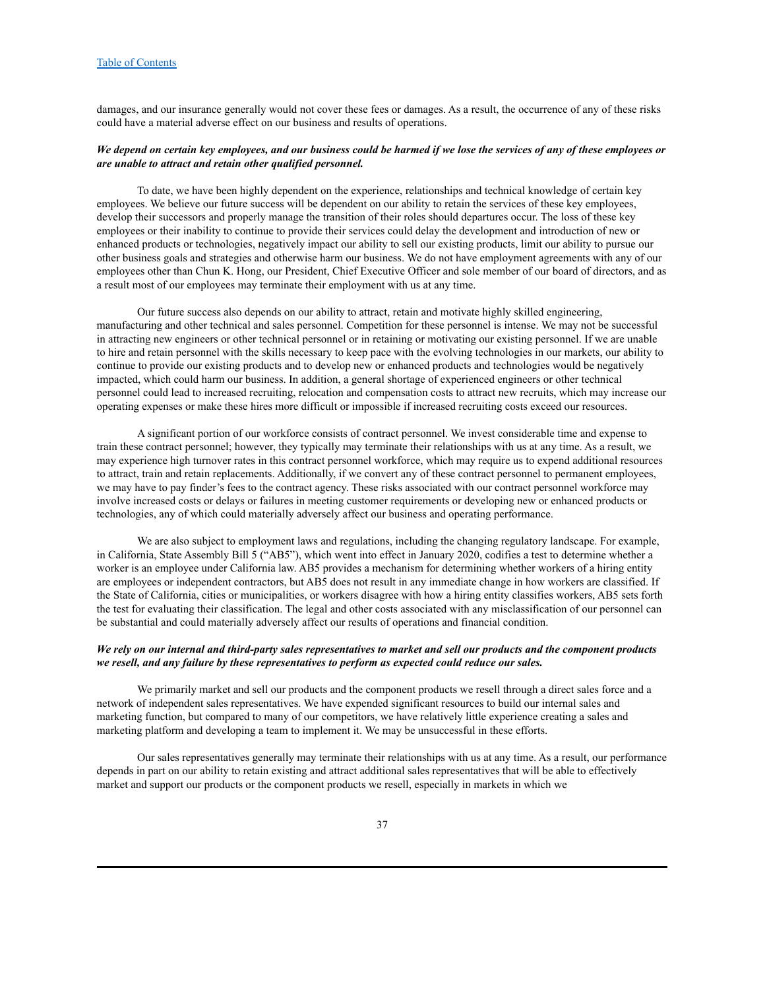# Table of [Contents](#page-1-0)

damages, and our insurance generally would not cover these fees or damages. As a result, the occurrence of any of these risks could have a material adverse effect on our business and results of operations.

# We depend on certain key employees, and our business could be harmed if we lose the services of any of these employees or *are unable to attract and retain other qualified personnel.*

To date, we have been highly dependent on the experience, relationships and technical knowledge of certain key employees. We believe our future success will be dependent on our ability to retain the services of these key employees, develop their successors and properly manage the transition of their roles should departures occur. The loss of these key employees or their inability to continue to provide their services could delay the development and introduction of new or enhanced products or technologies, negatively impact our ability to sell our existing products, limit our ability to pursue our other business goals and strategies and otherwise harm our business. We do not have employment agreements with any of our employees other than Chun K. Hong, our President, Chief Executive Officer and sole member of our board of directors, and as a result most of our employees may terminate their employment with us at any time.

Our future success also depends on our ability to attract, retain and motivate highly skilled engineering, manufacturing and other technical and sales personnel. Competition for these personnel is intense. We may not be successful in attracting new engineers or other technical personnel or in retaining or motivating our existing personnel. If we are unable to hire and retain personnel with the skills necessary to keep pace with the evolving technologies in our markets, our ability to continue to provide our existing products and to develop new or enhanced products and technologies would be negatively impacted, which could harm our business. In addition, a general shortage of experienced engineers or other technical personnel could lead to increased recruiting, relocation and compensation costs to attract new recruits, which may increase our operating expenses or make these hires more difficult or impossible if increased recruiting costs exceed our resources.

A significant portion of our workforce consists of contract personnel. We invest considerable time and expense to train these contract personnel; however, they typically may terminate their relationships with us at any time. As a result, we may experience high turnover rates in this contract personnel workforce, which may require us to expend additional resources to attract, train and retain replacements. Additionally, if we convert any of these contract personnel to permanent employees, we may have to pay finder's fees to the contract agency. These risks associated with our contract personnel workforce may involve increased costs or delays or failures in meeting customer requirements or developing new or enhanced products or technologies, any of which could materially adversely affect our business and operating performance.

We are also subject to employment laws and regulations, including the changing regulatory landscape. For example, in California, State Assembly Bill 5 ("AB5"), which went into effect in January 2020, codifies a test to determine whether a worker is an employee under California law. AB5 provides a mechanism for determining whether workers of a hiring entity are employees or independent contractors, but AB5 does not result in any immediate change in how workers are classified. If the State of California, cities or municipalities, or workers disagree with how a hiring entity classifies workers, AB5 sets forth the test for evaluating their classification. The legal and other costs associated with any misclassification of our personnel can be substantial and could materially adversely affect our results of operations and financial condition.

### We rely on our internal and third-party sales representatives to market and sell our products and the component products *we resell, and any failure by these representatives to perform as expected could reduce our sales.*

We primarily market and sell our products and the component products we resell through a direct sales force and a network of independent sales representatives. We have expended significant resources to build our internal sales and marketing function, but compared to many of our competitors, we have relatively little experience creating a sales and marketing platform and developing a team to implement it. We may be unsuccessful in these efforts.

Our sales representatives generally may terminate their relationships with us at any time. As a result, our performance depends in part on our ability to retain existing and attract additional sales representatives that will be able to effectively market and support our products or the component products we resell, especially in markets in which we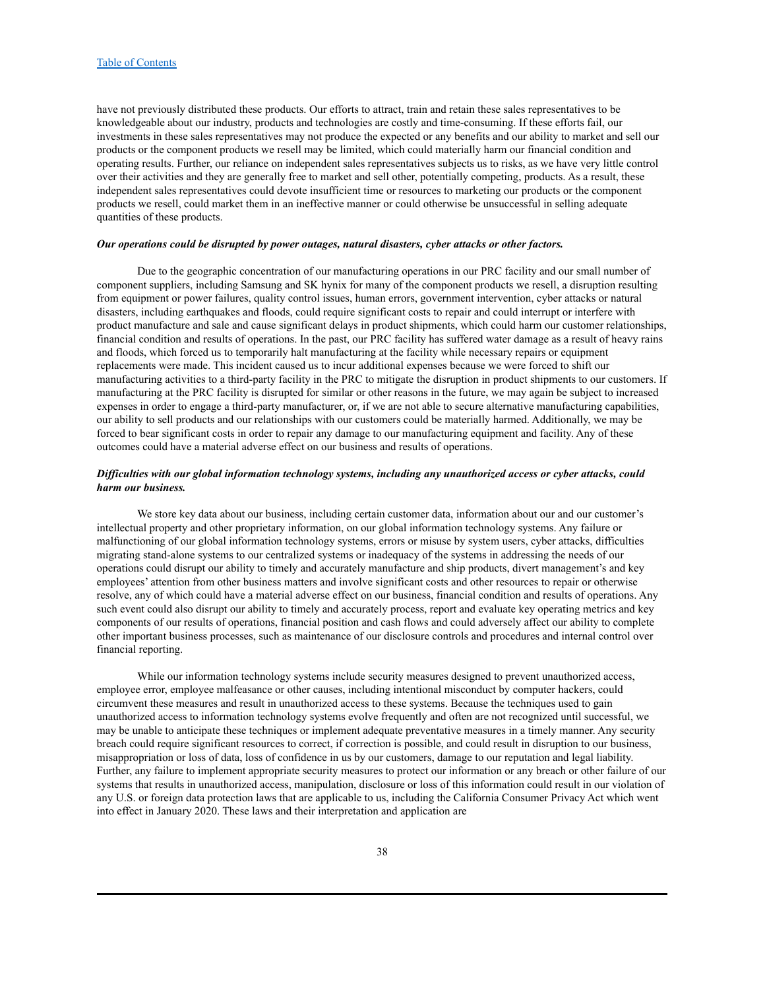have not previously distributed these products. Our efforts to attract, train and retain these sales representatives to be knowledgeable about our industry, products and technologies are costly and time-consuming. If these efforts fail, our investments in these sales representatives may not produce the expected or any benefits and our ability to market and sell our products or the component products we resell may be limited, which could materially harm our financial condition and operating results. Further, our reliance on independent sales representatives subjects us to risks, as we have very little control over their activities and they are generally free to market and sell other, potentially competing, products. As a result, these independent sales representatives could devote insufficient time or resources to marketing our products or the component products we resell, could market them in an ineffective manner or could otherwise be unsuccessful in selling adequate quantities of these products.

#### *Our operations could be disrupted by power outages, natural disasters, cyber attacks or other factors.*

Due to the geographic concentration of our manufacturing operations in our PRC facility and our small number of component suppliers, including Samsung and SK hynix for many of the component products we resell, a disruption resulting from equipment or power failures, quality control issues, human errors, government intervention, cyber attacks or natural disasters, including earthquakes and floods, could require significant costs to repair and could interrupt or interfere with product manufacture and sale and cause significant delays in product shipments, which could harm our customer relationships, financial condition and results of operations. In the past, our PRC facility has suffered water damage as a result of heavy rains and floods, which forced us to temporarily halt manufacturing at the facility while necessary repairs or equipment replacements were made. This incident caused us to incur additional expenses because we were forced to shift our manufacturing activities to a third-party facility in the PRC to mitigate the disruption in product shipments to our customers. If manufacturing at the PRC facility is disrupted for similar or other reasons in the future, we may again be subject to increased expenses in order to engage a third-party manufacturer, or, if we are not able to secure alternative manufacturing capabilities, our ability to sell products and our relationships with our customers could be materially harmed. Additionally, we may be forced to bear significant costs in order to repair any damage to our manufacturing equipment and facility. Any of these outcomes could have a material adverse effect on our business and results of operations.

# Difficulties with our global information technology systems, including any unauthorized access or cyber attacks, could *harm our business.*

We store key data about our business, including certain customer data, information about our and our customer's intellectual property and other proprietary information, on our global information technology systems. Any failure or malfunctioning of our global information technology systems, errors or misuse by system users, cyber attacks, difficulties migrating stand-alone systems to our centralized systems or inadequacy of the systems in addressing the needs of our operations could disrupt our ability to timely and accurately manufacture and ship products, divert management's and key employees' attention from other business matters and involve significant costs and other resources to repair or otherwise resolve, any of which could have a material adverse effect on our business, financial condition and results of operations. Any such event could also disrupt our ability to timely and accurately process, report and evaluate key operating metrics and key components of our results of operations, financial position and cash flows and could adversely affect our ability to complete other important business processes, such as maintenance of our disclosure controls and procedures and internal control over financial reporting.

While our information technology systems include security measures designed to prevent unauthorized access, employee error, employee malfeasance or other causes, including intentional misconduct by computer hackers, could circumvent these measures and result in unauthorized access to these systems. Because the techniques used to gain unauthorized access to information technology systems evolve frequently and often are not recognized until successful, we may be unable to anticipate these techniques or implement adequate preventative measures in a timely manner. Any security breach could require significant resources to correct, if correction is possible, and could result in disruption to our business, misappropriation or loss of data, loss of confidence in us by our customers, damage to our reputation and legal liability. Further, any failure to implement appropriate security measures to protect our information or any breach or other failure of our systems that results in unauthorized access, manipulation, disclosure or loss of this information could result in our violation of any U.S. or foreign data protection laws that are applicable to us, including the California Consumer Privacy Act which went into effect in January 2020. These laws and their interpretation and application are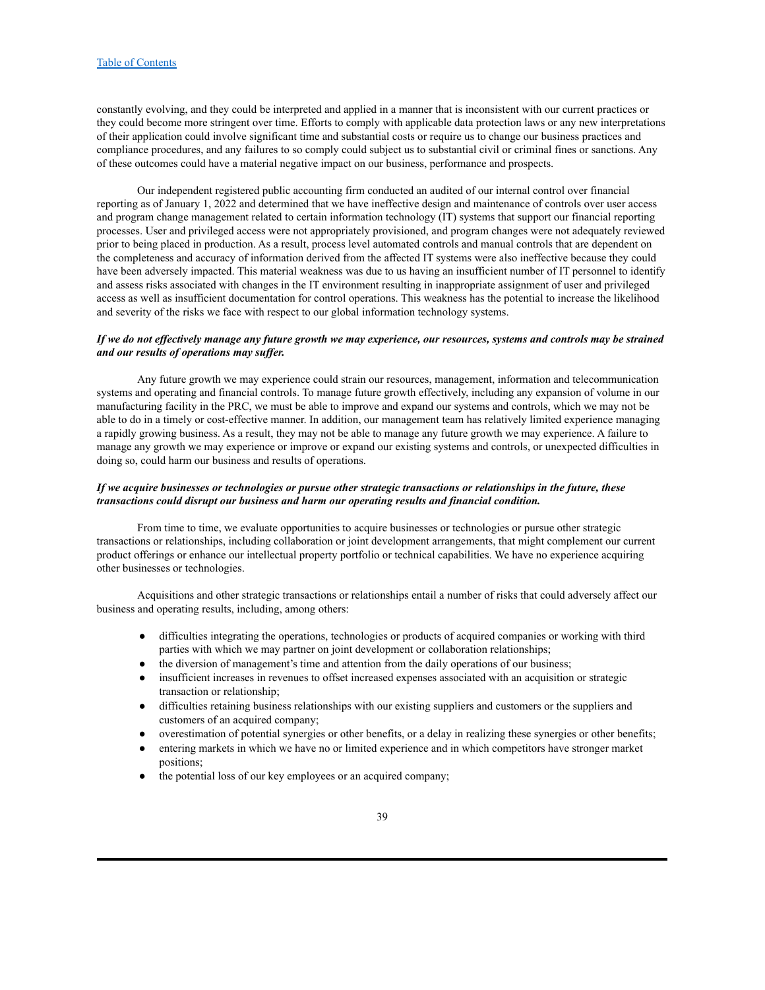constantly evolving, and they could be interpreted and applied in a manner that is inconsistent with our current practices or they could become more stringent over time. Efforts to comply with applicable data protection laws or any new interpretations of their application could involve significant time and substantial costs or require us to change our business practices and compliance procedures, and any failures to so comply could subject us to substantial civil or criminal fines or sanctions. Any of these outcomes could have a material negative impact on our business, performance and prospects.

Our independent registered public accounting firm conducted an audited of our internal control over financial reporting as of January 1, 2022 and determined that we have ineffective design and maintenance of controls over user access and program change management related to certain information technology (IT) systems that support our financial reporting processes. User and privileged access were not appropriately provisioned, and program changes were not adequately reviewed prior to being placed in production. As a result, process level automated controls and manual controls that are dependent on the completeness and accuracy of information derived from the affected IT systems were also ineffective because they could have been adversely impacted. This material weakness was due to us having an insufficient number of IT personnel to identify and assess risks associated with changes in the IT environment resulting in inappropriate assignment of user and privileged access as well as insufficient documentation for control operations. This weakness has the potential to increase the likelihood and severity of the risks we face with respect to our global information technology systems.

# If we do not effectively manage any future growth we may experience, our resources, systems and controls may be strained *and our results of operations may suf er.*

Any future growth we may experience could strain our resources, management, information and telecommunication systems and operating and financial controls. To manage future growth effectively, including any expansion of volume in our manufacturing facility in the PRC, we must be able to improve and expand our systems and controls, which we may not be able to do in a timely or cost-effective manner. In addition, our management team has relatively limited experience managing a rapidly growing business. As a result, they may not be able to manage any future growth we may experience. A failure to manage any growth we may experience or improve or expand our existing systems and controls, or unexpected difficulties in doing so, could harm our business and results of operations.

### If we acquire businesses or technologies or pursue other strategic transactions or relationships in the future, these *transactions could disrupt our business and harm our operating results and financial condition.*

From time to time, we evaluate opportunities to acquire businesses or technologies or pursue other strategic transactions or relationships, including collaboration or joint development arrangements, that might complement our current product offerings or enhance our intellectual property portfolio or technical capabilities. We have no experience acquiring other businesses or technologies.

Acquisitions and other strategic transactions or relationships entail a number of risks that could adversely affect our business and operating results, including, among others:

- difficulties integrating the operations, technologies or products of acquired companies or working with third parties with which we may partner on joint development or collaboration relationships;
- the diversion of management's time and attention from the daily operations of our business;
- insufficient increases in revenues to offset increased expenses associated with an acquisition or strategic transaction or relationship;
- difficulties retaining business relationships with our existing suppliers and customers or the suppliers and customers of an acquired company;
- overestimation of potential synergies or other benefits, or a delay in realizing these synergies or other benefits;
- entering markets in which we have no or limited experience and in which competitors have stronger market positions;
- the potential loss of our key employees or an acquired company;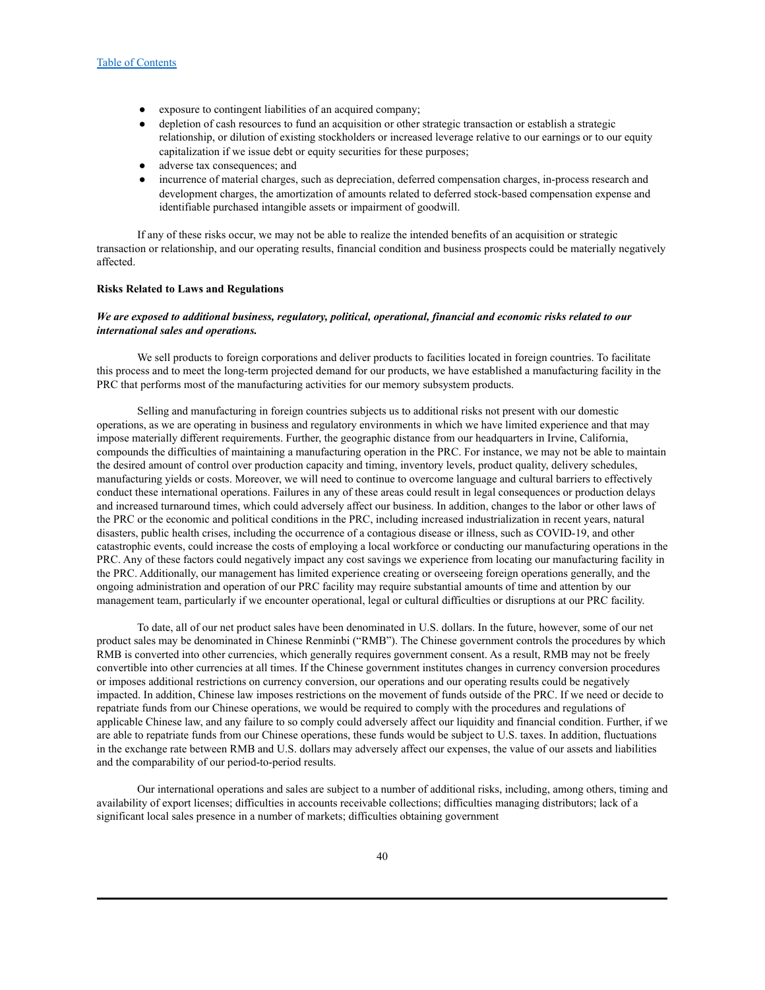- exposure to contingent liabilities of an acquired company;
- depletion of cash resources to fund an acquisition or other strategic transaction or establish a strategic relationship, or dilution of existing stockholders or increased leverage relative to our earnings or to our equity capitalization if we issue debt or equity securities for these purposes;
- adverse tax consequences; and
- incurrence of material charges, such as depreciation, deferred compensation charges, in-process research and development charges, the amortization of amounts related to deferred stock-based compensation expense and identifiable purchased intangible assets or impairment of goodwill.

If any of these risks occur, we may not be able to realize the intended benefits of an acquisition or strategic transaction or relationship, and our operating results, financial condition and business prospects could be materially negatively affected.

#### **Risks Related to Laws and Regulations**

# We are exposed to additional business, regulatory, political, operational, financial and economic risks related to our *international sales and operations.*

We sell products to foreign corporations and deliver products to facilities located in foreign countries. To facilitate this process and to meet the long-term projected demand for our products, we have established a manufacturing facility in the PRC that performs most of the manufacturing activities for our memory subsystem products.

Selling and manufacturing in foreign countries subjects us to additional risks not present with our domestic operations, as we are operating in business and regulatory environments in which we have limited experience and that may impose materially different requirements. Further, the geographic distance from our headquarters in Irvine, California, compounds the difficulties of maintaining a manufacturing operation in the PRC. For instance, we may not be able to maintain the desired amount of control over production capacity and timing, inventory levels, product quality, delivery schedules, manufacturing yields or costs. Moreover, we will need to continue to overcome language and cultural barriers to effectively conduct these international operations. Failures in any of these areas could result in legal consequences or production delays and increased turnaround times, which could adversely affect our business. In addition, changes to the labor or other laws of the PRC or the economic and political conditions in the PRC, including increased industrialization in recent years, natural disasters, public health crises, including the occurrence of a contagious disease or illness, such as COVID-19, and other catastrophic events, could increase the costs of employing a local workforce or conducting our manufacturing operations in the PRC. Any of these factors could negatively impact any cost savings we experience from locating our manufacturing facility in the PRC. Additionally, our management has limited experience creating or overseeing foreign operations generally, and the ongoing administration and operation of our PRC facility may require substantial amounts of time and attention by our management team, particularly if we encounter operational, legal or cultural difficulties or disruptions at our PRC facility.

To date, all of our net product sales have been denominated in U.S. dollars. In the future, however, some of our net product sales may be denominated in Chinese Renminbi ("RMB"). The Chinese government controls the procedures by which RMB is converted into other currencies, which generally requires government consent. As a result, RMB may not be freely convertible into other currencies at all times. If the Chinese government institutes changes in currency conversion procedures or imposes additional restrictions on currency conversion, our operations and our operating results could be negatively impacted. In addition, Chinese law imposes restrictions on the movement of funds outside of the PRC. If we need or decide to repatriate funds from our Chinese operations, we would be required to comply with the procedures and regulations of applicable Chinese law, and any failure to so comply could adversely affect our liquidity and financial condition. Further, if we are able to repatriate funds from our Chinese operations, these funds would be subject to U.S. taxes. In addition, fluctuations in the exchange rate between RMB and U.S. dollars may adversely affect our expenses, the value of our assets and liabilities and the comparability of our period-to-period results.

Our international operations and sales are subject to a number of additional risks, including, among others, timing and availability of export licenses; difficulties in accounts receivable collections; difficulties managing distributors; lack of a significant local sales presence in a number of markets; difficulties obtaining government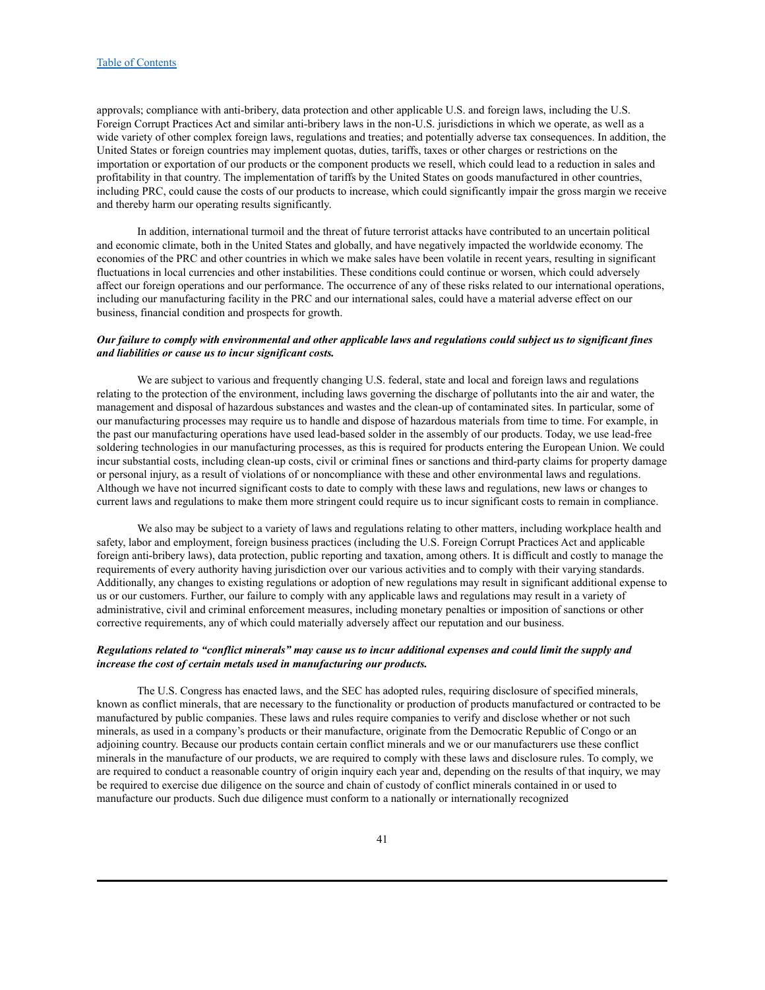approvals; compliance with anti-bribery, data protection and other applicable U.S. and foreign laws, including the U.S. Foreign Corrupt Practices Act and similar anti-bribery laws in the non-U.S. jurisdictions in which we operate, as well as a wide variety of other complex foreign laws, regulations and treaties; and potentially adverse tax consequences. In addition, the United States or foreign countries may implement quotas, duties, tariffs, taxes or other charges or restrictions on the importation or exportation of our products or the component products we resell, which could lead to a reduction in sales and profitability in that country. The implementation of tariffs by the United States on goods manufactured in other countries, including PRC, could cause the costs of our products to increase, which could significantly impair the gross margin we receive and thereby harm our operating results significantly.

In addition, international turmoil and the threat of future terrorist attacks have contributed to an uncertain political and economic climate, both in the United States and globally, and have negatively impacted the worldwide economy. The economies of the PRC and other countries in which we make sales have been volatile in recent years, resulting in significant fluctuations in local currencies and other instabilities. These conditions could continue or worsen, which could adversely affect our foreign operations and our performance. The occurrence of any of these risks related to our international operations, including our manufacturing facility in the PRC and our international sales, could have a material adverse effect on our business, financial condition and prospects for growth.

# Our failure to comply with environmental and other applicable laws and regulations could subject us to significant fines *and liabilities or cause us to incur significant costs.*

We are subject to various and frequently changing U.S. federal, state and local and foreign laws and regulations relating to the protection of the environment, including laws governing the discharge of pollutants into the air and water, the management and disposal of hazardous substances and wastes and the clean-up of contaminated sites. In particular, some of our manufacturing processes may require us to handle and dispose of hazardous materials from time to time. For example, in the past our manufacturing operations have used lead-based solder in the assembly of our products. Today, we use lead-free soldering technologies in our manufacturing processes, as this is required for products entering the European Union. We could incur substantial costs, including clean-up costs, civil or criminal fines or sanctions and third-party claims for property damage or personal injury, as a result of violations of or noncompliance with these and other environmental laws and regulations. Although we have not incurred significant costs to date to comply with these laws and regulations, new laws or changes to current laws and regulations to make them more stringent could require us to incur significant costs to remain in compliance.

We also may be subject to a variety of laws and regulations relating to other matters, including workplace health and safety, labor and employment, foreign business practices (including the U.S. Foreign Corrupt Practices Act and applicable foreign anti-bribery laws), data protection, public reporting and taxation, among others. It is difficult and costly to manage the requirements of every authority having jurisdiction over our various activities and to comply with their varying standards. Additionally, any changes to existing regulations or adoption of new regulations may result in significant additional expense to us or our customers. Further, our failure to comply with any applicable laws and regulations may result in a variety of administrative, civil and criminal enforcement measures, including monetary penalties or imposition of sanctions or other corrective requirements, any of which could materially adversely affect our reputation and our business.

# Regulations related to "conflict minerals" may cause us to incur additional expenses and could limit the supply and *increase the cost of certain metals used in manufacturing our products.*

The U.S. Congress has enacted laws, and the SEC has adopted rules, requiring disclosure of specified minerals, known as conflict minerals, that are necessary to the functionality or production of products manufactured or contracted to be manufactured by public companies. These laws and rules require companies to verify and disclose whether or not such minerals, as used in a company's products or their manufacture, originate from the Democratic Republic of Congo or an adjoining country. Because our products contain certain conflict minerals and we or our manufacturers use these conflict minerals in the manufacture of our products, we are required to comply with these laws and disclosure rules. To comply, we are required to conduct a reasonable country of origin inquiry each year and, depending on the results of that inquiry, we may be required to exercise due diligence on the source and chain of custody of conflict minerals contained in or used to manufacture our products. Such due diligence must conform to a nationally or internationally recognized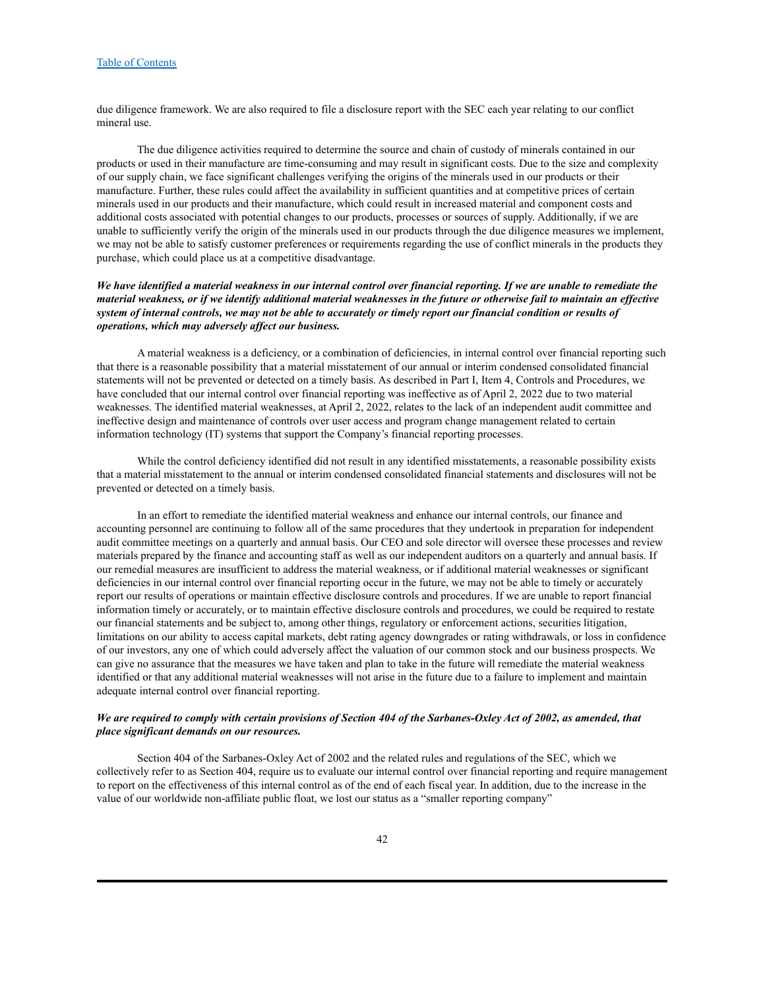due diligence framework. We are also required to file a disclosure report with the SEC each year relating to our conflict mineral use.

The due diligence activities required to determine the source and chain of custody of minerals contained in our products or used in their manufacture are time-consuming and may result in significant costs. Due to the size and complexity of our supply chain, we face significant challenges verifying the origins of the minerals used in our products or their manufacture. Further, these rules could affect the availability in sufficient quantities and at competitive prices of certain minerals used in our products and their manufacture, which could result in increased material and component costs and additional costs associated with potential changes to our products, processes or sources of supply. Additionally, if we are unable to sufficiently verify the origin of the minerals used in our products through the due diligence measures we implement, we may not be able to satisfy customer preferences or requirements regarding the use of conflict minerals in the products they purchase, which could place us at a competitive disadvantage.

# We have identified a material weakness in our internal control over financial reporting. If we are unable to remediate the material weakness, or if we identify additional material weaknesses in the future or otherwise fail to maintain an effective system of internal controls, we may not be able to accurately or timely report our financial condition or results of *operations, which may adversely af ect our business.*

A material weakness is a deficiency, or a combination of deficiencies, in internal control over financial reporting such that there is a reasonable possibility that a material misstatement of our annual or interim condensed consolidated financial statements will not be prevented or detected on a timely basis. As described in Part I, Item 4, Controls and Procedures, we have concluded that our internal control over financial reporting was ineffective as of April 2, 2022 due to two material weaknesses. The identified material weaknesses, at April 2, 2022, relates to the lack of an independent audit committee and ineffective design and maintenance of controls over user access and program change management related to certain information technology (IT) systems that support the Company's financial reporting processes.

While the control deficiency identified did not result in any identified misstatements, a reasonable possibility exists that a material misstatement to the annual or interim condensed consolidated financial statements and disclosures will not be prevented or detected on a timely basis.

In an effort to remediate the identified material weakness and enhance our internal controls, our finance and accounting personnel are continuing to follow all of the same procedures that they undertook in preparation for independent audit committee meetings on a quarterly and annual basis. Our CEO and sole director will oversee these processes and review materials prepared by the finance and accounting staff as well as our independent auditors on a quarterly and annual basis. If our remedial measures are insufficient to address the material weakness, or if additional material weaknesses or significant deficiencies in our internal control over financial reporting occur in the future, we may not be able to timely or accurately report our results of operations or maintain effective disclosure controls and procedures. If we are unable to report financial information timely or accurately, or to maintain effective disclosure controls and procedures, we could be required to restate our financial statements and be subject to, among other things, regulatory or enforcement actions, securities litigation, limitations on our ability to access capital markets, debt rating agency downgrades or rating withdrawals, or loss in confidence of our investors, any one of which could adversely affect the valuation of our common stock and our business prospects. We can give no assurance that the measures we have taken and plan to take in the future will remediate the material weakness identified or that any additional material weaknesses will not arise in the future due to a failure to implement and maintain adequate internal control over financial reporting.

### We are required to comply with certain provisions of Section 404 of the Sarbanes-Oxley Act of 2002, as amended, that *place significant demands on our resources.*

Section 404 of the Sarbanes-Oxley Act of 2002 and the related rules and regulations of the SEC, which we collectively refer to as Section 404, require us to evaluate our internal control over financial reporting and require management to report on the effectiveness of this internal control as of the end of each fiscal year. In addition, due to the increase in the value of our worldwide non-affiliate public float, we lost our status as a "smaller reporting company"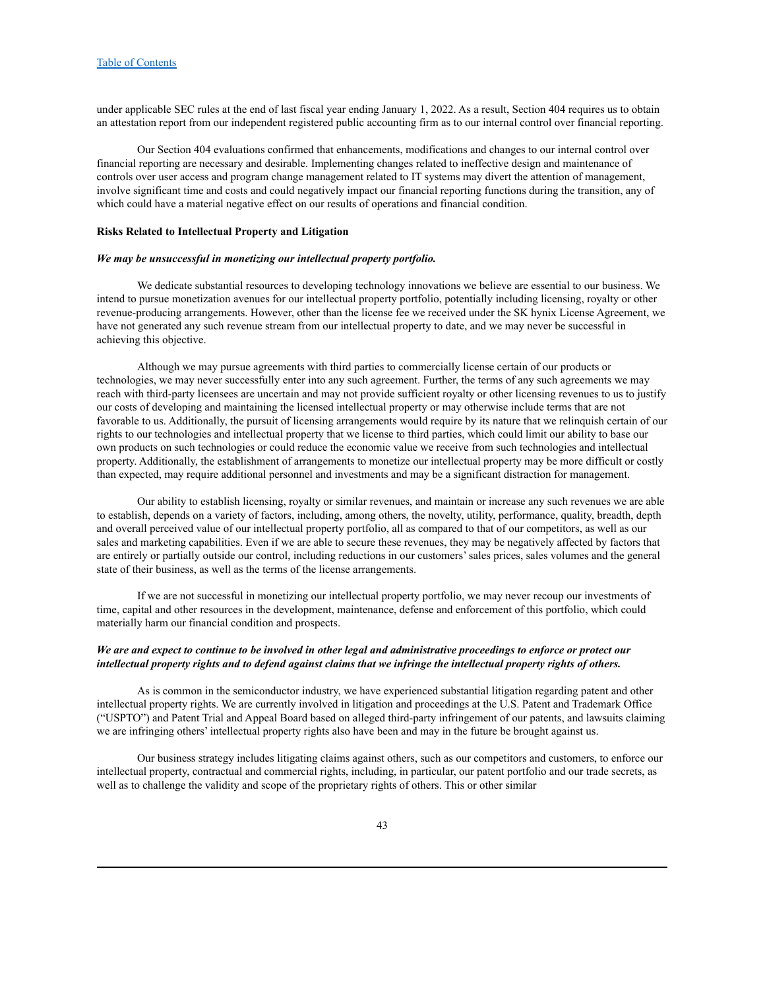under applicable SEC rules at the end of last fiscal year ending January 1, 2022. As a result, Section 404 requires us to obtain an attestation report from our independent registered public accounting firm as to our internal control over financial reporting.

Our Section 404 evaluations confirmed that enhancements, modifications and changes to our internal control over financial reporting are necessary and desirable. Implementing changes related to ineffective design and maintenance of controls over user access and program change management related to IT systems may divert the attention of management, involve significant time and costs and could negatively impact our financial reporting functions during the transition, any of which could have a material negative effect on our results of operations and financial condition.

# **Risks Related to Intellectual Property and Litigation**

#### *We may be unsuccessful in monetizing our intellectual property portfolio.*

We dedicate substantial resources to developing technology innovations we believe are essential to our business. We intend to pursue monetization avenues for our intellectual property portfolio, potentially including licensing, royalty or other revenue-producing arrangements. However, other than the license fee we received under the SK hynix License Agreement, we have not generated any such revenue stream from our intellectual property to date, and we may never be successful in achieving this objective.

Although we may pursue agreements with third parties to commercially license certain of our products or technologies, we may never successfully enter into any such agreement. Further, the terms of any such agreements we may reach with third-party licensees are uncertain and may not provide sufficient royalty or other licensing revenues to us to justify our costs of developing and maintaining the licensed intellectual property or may otherwise include terms that are not favorable to us. Additionally, the pursuit of licensing arrangements would require by its nature that we relinquish certain of our rights to our technologies and intellectual property that we license to third parties, which could limit our ability to base our own products on such technologies or could reduce the economic value we receive from such technologies and intellectual property. Additionally, the establishment of arrangements to monetize our intellectual property may be more difficult or costly than expected, may require additional personnel and investments and may be a significant distraction for management.

Our ability to establish licensing, royalty or similar revenues, and maintain or increase any such revenues we are able to establish, depends on a variety of factors, including, among others, the novelty, utility, performance, quality, breadth, depth and overall perceived value of our intellectual property portfolio, all as compared to that of our competitors, as well as our sales and marketing capabilities. Even if we are able to secure these revenues, they may be negatively affected by factors that are entirely or partially outside our control, including reductions in our customers'sales prices, sales volumes and the general state of their business, as well as the terms of the license arrangements.

If we are not successful in monetizing our intellectual property portfolio, we may never recoup our investments of time, capital and other resources in the development, maintenance, defense and enforcement of this portfolio, which could materially harm our financial condition and prospects.

# We are and expect to continue to be involved in other legal and administrative proceedings to enforce or protect our intellectual property rights and to defend against claims that we infringe the intellectual property rights of others.

As is common in the semiconductor industry, we have experienced substantial litigation regarding patent and other intellectual property rights. We are currently involved in litigation and proceedings at the U.S. Patent and Trademark Office ("USPTO") and Patent Trial and Appeal Board based on alleged third-party infringement of our patents, and lawsuits claiming we are infringing others' intellectual property rights also have been and may in the future be brought against us.

Our business strategy includes litigating claims against others, such as our competitors and customers, to enforce our intellectual property, contractual and commercial rights, including, in particular, our patent portfolio and our trade secrets, as well as to challenge the validity and scope of the proprietary rights of others. This or other similar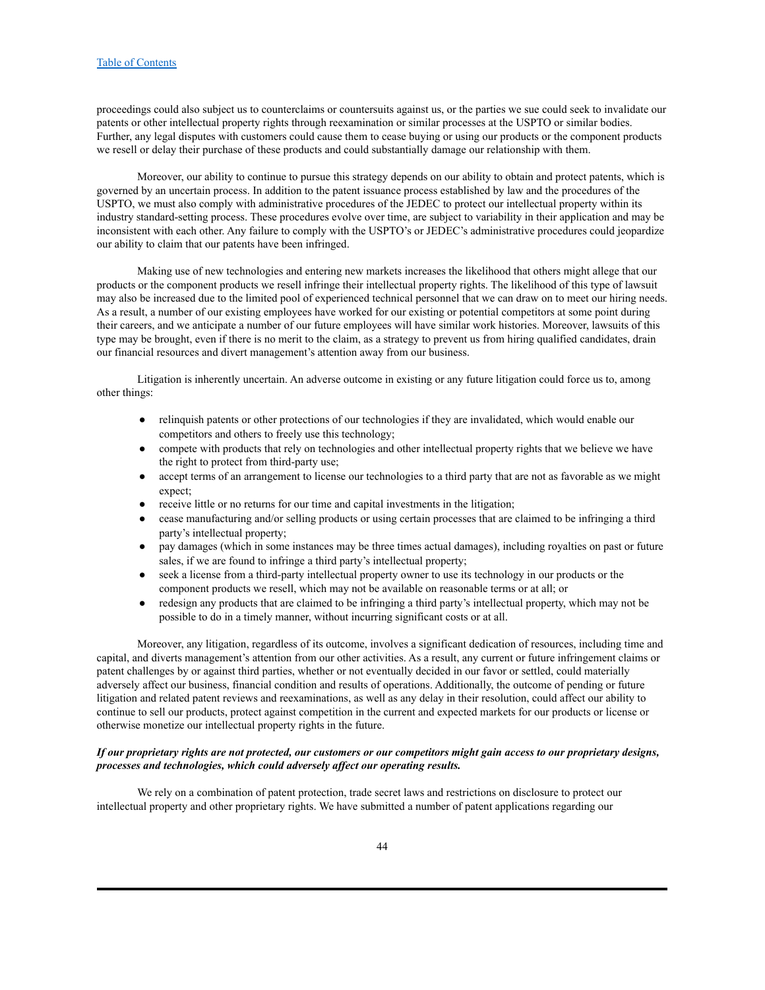proceedings could also subject us to counterclaims or countersuits against us, or the parties we sue could seek to invalidate our patents or other intellectual property rights through reexamination or similar processes at the USPTO or similar bodies. Further, any legal disputes with customers could cause them to cease buying or using our products or the component products we resell or delay their purchase of these products and could substantially damage our relationship with them.

Moreover, our ability to continue to pursue this strategy depends on our ability to obtain and protect patents, which is governed by an uncertain process. In addition to the patent issuance process established by law and the procedures of the USPTO, we must also comply with administrative procedures of the JEDEC to protect our intellectual property within its industry standard-setting process. These procedures evolve over time, are subject to variability in their application and may be inconsistent with each other. Any failure to comply with the USPTO's or JEDEC's administrative procedures could jeopardize our ability to claim that our patents have been infringed.

Making use of new technologies and entering new markets increases the likelihood that others might allege that our products or the component products we resell infringe their intellectual property rights. The likelihood of this type of lawsuit may also be increased due to the limited pool of experienced technical personnel that we can draw on to meet our hiring needs. As a result, a number of our existing employees have worked for our existing or potential competitors at some point during their careers, and we anticipate a number of our future employees will have similar work histories. Moreover, lawsuits of this type may be brought, even if there is no merit to the claim, as a strategy to prevent us from hiring qualified candidates, drain our financial resources and divert management's attention away from our business.

Litigation is inherently uncertain. An adverse outcome in existing or any future litigation could force us to, among other things:

- relinquish patents or other protections of our technologies if they are invalidated, which would enable our competitors and others to freely use this technology;
- compete with products that rely on technologies and other intellectual property rights that we believe we have the right to protect from third-party use;
- accept terms of an arrangement to license our technologies to a third party that are not as favorable as we might expect;
- receive little or no returns for our time and capital investments in the litigation;
- cease manufacturing and/or selling products or using certain processes that are claimed to be infringing a third party's intellectual property;
- pay damages (which in some instances may be three times actual damages), including royalties on past or future sales, if we are found to infringe a third party's intellectual property;
- seek a license from a third-party intellectual property owner to use its technology in our products or the component products we resell, which may not be available on reasonable terms or at all; or
- redesign any products that are claimed to be infringing a third party's intellectual property, which may not be possible to do in a timely manner, without incurring significant costs or at all.

Moreover, any litigation, regardless of its outcome, involves a significant dedication of resources, including time and capital, and diverts management's attention from our other activities. As a result, any current or future infringement claims or patent challenges by or against third parties, whether or not eventually decided in our favor or settled, could materially adversely affect our business, financial condition and results of operations. Additionally, the outcome of pending or future litigation and related patent reviews and reexaminations, as well as any delay in their resolution, could affect our ability to continue to sell our products, protect against competition in the current and expected markets for our products or license or otherwise monetize our intellectual property rights in the future.

# If our proprietary rights are not protected, our customers or our competitors might gain access to our proprietary designs, *processes and technologies, which could adversely af ect our operating results.*

We rely on a combination of patent protection, trade secret laws and restrictions on disclosure to protect our intellectual property and other proprietary rights. We have submitted a number of patent applications regarding our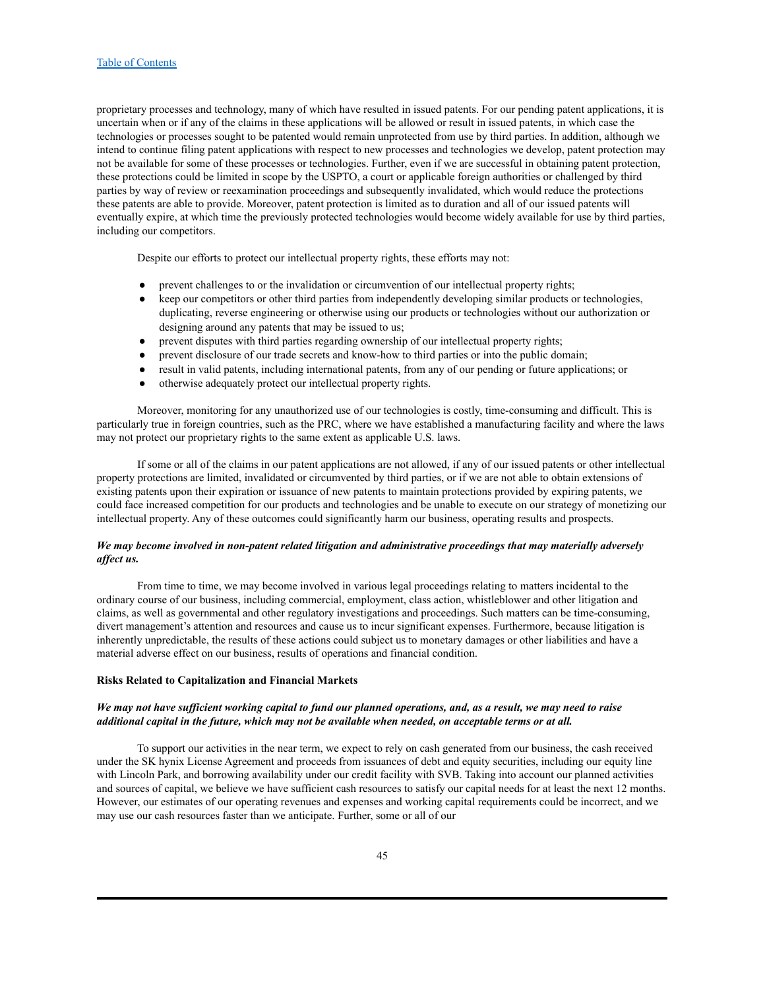proprietary processes and technology, many of which have resulted in issued patents. For our pending patent applications, it is uncertain when or if any of the claims in these applications will be allowed or result in issued patents, in which case the technologies or processes sought to be patented would remain unprotected from use by third parties. In addition, although we intend to continue filing patent applications with respect to new processes and technologies we develop, patent protection may not be available for some of these processes or technologies. Further, even if we are successful in obtaining patent protection, these protections could be limited in scope by the USPTO, a court or applicable foreign authorities or challenged by third parties by way of review or reexamination proceedings and subsequently invalidated, which would reduce the protections these patents are able to provide. Moreover, patent protection is limited as to duration and all of our issued patents will eventually expire, at which time the previously protected technologies would become widely available for use by third parties, including our competitors.

Despite our efforts to protect our intellectual property rights, these efforts may not:

- prevent challenges to or the invalidation or circumvention of our intellectual property rights;
- keep our competitors or other third parties from independently developing similar products or technologies, duplicating, reverse engineering or otherwise using our products or technologies without our authorization or designing around any patents that may be issued to us;
- prevent disputes with third parties regarding ownership of our intellectual property rights;
- prevent disclosure of our trade secrets and know-how to third parties or into the public domain;
- result in valid patents, including international patents, from any of our pending or future applications; or
- otherwise adequately protect our intellectual property rights.

Moreover, monitoring for any unauthorized use of our technologies is costly, time-consuming and difficult. This is particularly true in foreign countries, such as the PRC, where we have established a manufacturing facility and where the laws may not protect our proprietary rights to the same extent as applicable U.S. laws.

If some or all of the claims in our patent applications are not allowed, if any of our issued patents or other intellectual property protections are limited, invalidated or circumvented by third parties, or if we are not able to obtain extensions of existing patents upon their expiration or issuance of new patents to maintain protections provided by expiring patents, we could face increased competition for our products and technologies and be unable to execute on our strategy of monetizing our intellectual property. Any of these outcomes could significantly harm our business, operating results and prospects.

### *We may become involved in non-patent related litigation and administrative proceedings that may materially adversely af ect us.*

From time to time, we may become involved in various legal proceedings relating to matters incidental to the ordinary course of our business, including commercial, employment, class action, whistleblower and other litigation and claims, as well as governmental and other regulatory investigations and proceedings. Such matters can be time-consuming, divert management's attention and resources and cause us to incur significant expenses. Furthermore, because litigation is inherently unpredictable, the results of these actions could subject us to monetary damages or other liabilities and have a material adverse effect on our business, results of operations and financial condition.

# **Risks Related to Capitalization and Financial Markets**

# We may not have sufficient working capital to fund our planned operations, and, as a result, we may need to raise additional capital in the future, which may not be available when needed, on acceptable terms or at all.

To support our activities in the near term, we expect to rely on cash generated from our business, the cash received under the SK hynix License Agreement and proceeds from issuances of debt and equity securities, including our equity line with Lincoln Park, and borrowing availability under our credit facility with SVB. Taking into account our planned activities and sources of capital, we believe we have sufficient cash resources to satisfy our capital needs for at least the next 12 months. However, our estimates of our operating revenues and expenses and working capital requirements could be incorrect, and we may use our cash resources faster than we anticipate. Further, some or all of our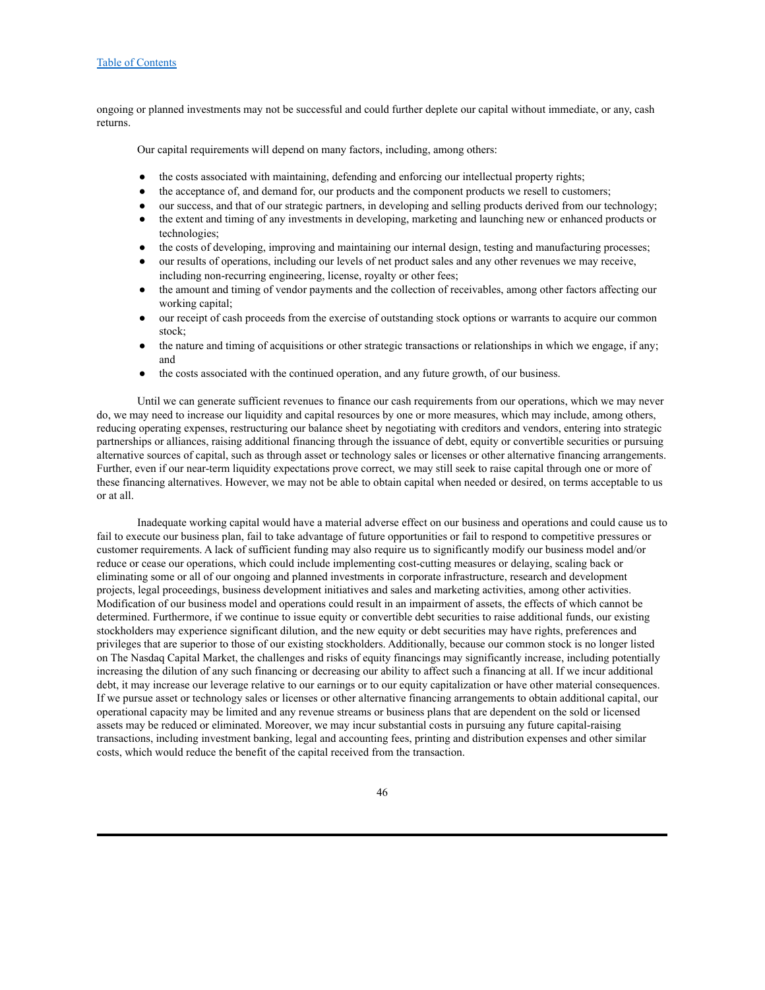ongoing or planned investments may not be successful and could further deplete our capital without immediate, or any, cash returns.

Our capital requirements will depend on many factors, including, among others:

- the costs associated with maintaining, defending and enforcing our intellectual property rights;
- the acceptance of, and demand for, our products and the component products we resell to customers;
- our success, and that of our strategic partners, in developing and selling products derived from our technology;
- the extent and timing of any investments in developing, marketing and launching new or enhanced products or technologies;
- the costs of developing, improving and maintaining our internal design, testing and manufacturing processes;
- our results of operations, including our levels of net product sales and any other revenues we may receive, including non-recurring engineering, license, royalty or other fees;
- the amount and timing of vendor payments and the collection of receivables, among other factors affecting our working capital;
- our receipt of cash proceeds from the exercise of outstanding stock options or warrants to acquire our common stock;
- the nature and timing of acquisitions or other strategic transactions or relationships in which we engage, if any; and
- the costs associated with the continued operation, and any future growth, of our business.

Until we can generate sufficient revenues to finance our cash requirements from our operations, which we may never do, we may need to increase our liquidity and capital resources by one or more measures, which may include, among others, reducing operating expenses, restructuring our balance sheet by negotiating with creditors and vendors, entering into strategic partnerships or alliances, raising additional financing through the issuance of debt, equity or convertible securities or pursuing alternative sources of capital, such as through asset or technology sales or licenses or other alternative financing arrangements. Further, even if our near-term liquidity expectations prove correct, we may still seek to raise capital through one or more of these financing alternatives. However, we may not be able to obtain capital when needed or desired, on terms acceptable to us or at all.

Inadequate working capital would have a material adverse effect on our business and operations and could cause us to fail to execute our business plan, fail to take advantage of future opportunities or fail to respond to competitive pressures or customer requirements. A lack of sufficient funding may also require us to significantly modify our business model and/or reduce or cease our operations, which could include implementing cost-cutting measures or delaying, scaling back or eliminating some or all of our ongoing and planned investments in corporate infrastructure, research and development projects, legal proceedings, business development initiatives and sales and marketing activities, among other activities. Modification of our business model and operations could result in an impairment of assets, the effects of which cannot be determined. Furthermore, if we continue to issue equity or convertible debt securities to raise additional funds, our existing stockholders may experience significant dilution, and the new equity or debt securities may have rights, preferences and privileges that are superior to those of our existing stockholders. Additionally, because our common stock is no longer listed on The Nasdaq Capital Market, the challenges and risks of equity financings may significantly increase, including potentially increasing the dilution of any such financing or decreasing our ability to affect such a financing at all. If we incur additional debt, it may increase our leverage relative to our earnings or to our equity capitalization or have other material consequences. If we pursue asset or technology sales or licenses or other alternative financing arrangements to obtain additional capital, our operational capacity may be limited and any revenue streams or business plans that are dependent on the sold or licensed assets may be reduced or eliminated. Moreover, we may incur substantial costs in pursuing any future capital-raising transactions, including investment banking, legal and accounting fees, printing and distribution expenses and other similar costs, which would reduce the benefit of the capital received from the transaction.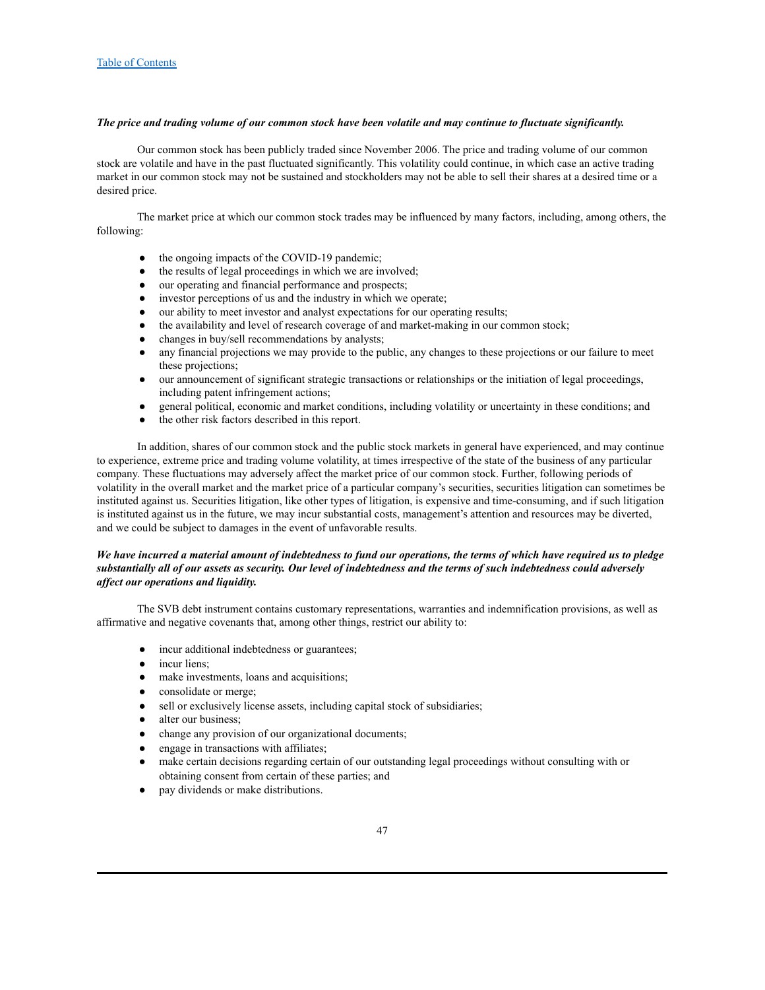### The price and trading volume of our common stock have been volatile and may continue to fluctuate significantly.

Our common stock has been publicly traded since November 2006. The price and trading volume of our common stock are volatile and have in the past fluctuated significantly. This volatility could continue, in which case an active trading market in our common stock may not be sustained and stockholders may not be able to sell their shares at a desired time or a desired price.

The market price at which our common stock trades may be influenced by many factors, including, among others, the following:

- the ongoing impacts of the COVID-19 pandemic:
- the results of legal proceedings in which we are involved;
- our operating and financial performance and prospects;
- investor perceptions of us and the industry in which we operate;
- our ability to meet investor and analyst expectations for our operating results;
- the availability and level of research coverage of and market-making in our common stock;
- changes in buy/sell recommendations by analysts;
- any financial projections we may provide to the public, any changes to these projections or our failure to meet these projections;
- our announcement of significant strategic transactions or relationships or the initiation of legal proceedings, including patent infringement actions;
- general political, economic and market conditions, including volatility or uncertainty in these conditions; and
- the other risk factors described in this report.

In addition, shares of our common stock and the public stock markets in general have experienced, and may continue to experience, extreme price and trading volume volatility, at times irrespective of the state of the business of any particular company. These fluctuations may adversely affect the market price of our common stock. Further, following periods of volatility in the overall market and the market price of a particular company's securities, securities litigation can sometimes be instituted against us. Securities litigation, like other types of litigation, is expensive and time-consuming, and if such litigation is instituted against us in the future, we may incur substantial costs, management's attention and resources may be diverted, and we could be subject to damages in the event of unfavorable results.

# We have incurred a material amount of indebtedness to fund our operations, the terms of which have required us to pledge substantially all of our assets as security. Our level of indebtedness and the terms of such indebtedness could adversely *af ect our operations and liquidity.*

The SVB debt instrument contains customary representations, warranties and indemnification provisions, as well as affirmative and negative covenants that, among other things, restrict our ability to:

- incur additional indebtedness or guarantees;
- incur liens;
- make investments, loans and acquisitions;
- consolidate or merge;
- sell or exclusively license assets, including capital stock of subsidiaries;
- alter our business;
- change any provision of our organizational documents;
- engage in transactions with affiliates;
- make certain decisions regarding certain of our outstanding legal proceedings without consulting with or obtaining consent from certain of these parties; and
- pay dividends or make distributions.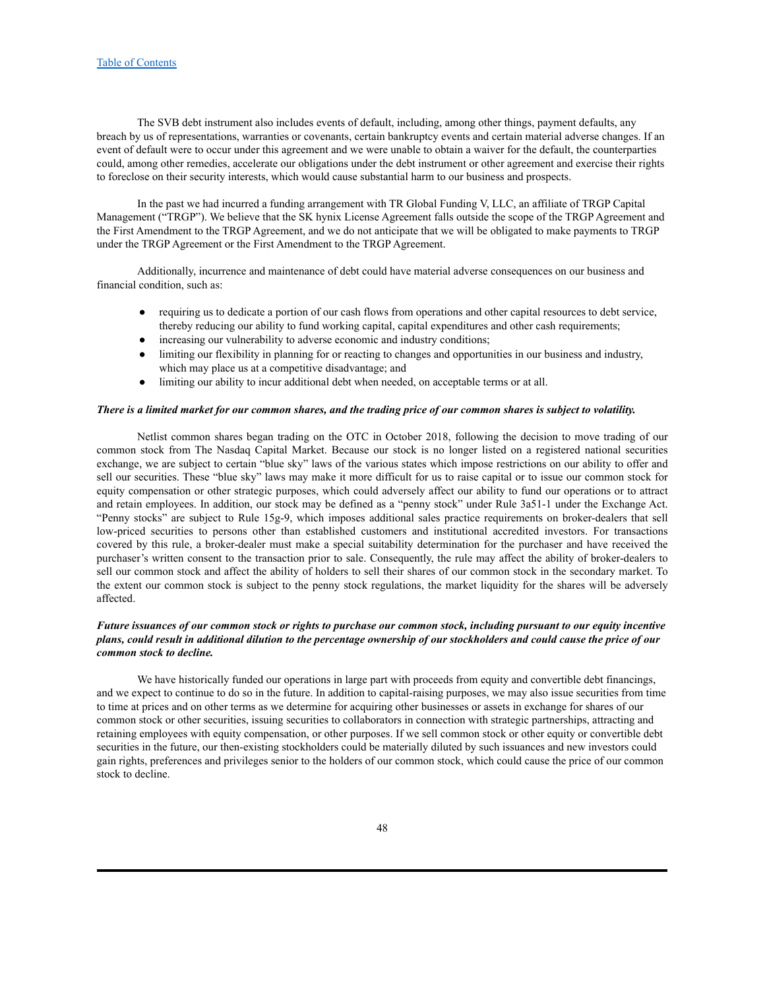The SVB debt instrument also includes events of default, including, among other things, payment defaults, any breach by us of representations, warranties or covenants, certain bankruptcy events and certain material adverse changes. If an event of default were to occur under this agreement and we were unable to obtain a waiver for the default, the counterparties could, among other remedies, accelerate our obligations under the debt instrument or other agreement and exercise their rights to foreclose on their security interests, which would cause substantial harm to our business and prospects.

In the past we had incurred a funding arrangement with TR Global Funding V, LLC, an affiliate of TRGP Capital Management ("TRGP"). We believe that the SK hynix License Agreement falls outside the scope of the TRGP Agreement and the First Amendment to the TRGP Agreement, and we do not anticipate that we will be obligated to make payments to TRGP under the TRGP Agreement or the First Amendment to the TRGP Agreement.

Additionally, incurrence and maintenance of debt could have material adverse consequences on our business and financial condition, such as:

- requiring us to dedicate a portion of our cash flows from operations and other capital resources to debt service, thereby reducing our ability to fund working capital, capital expenditures and other cash requirements;
- increasing our vulnerability to adverse economic and industry conditions;
- limiting our flexibility in planning for or reacting to changes and opportunities in our business and industry, which may place us at a competitive disadvantage; and
- limiting our ability to incur additional debt when needed, on acceptable terms or at all.

#### There is a limited market for our common shares, and the trading price of our common shares is subject to volatility.

Netlist common shares began trading on the OTC in October 2018, following the decision to move trading of our common stock from The Nasdaq Capital Market. Because our stock is no longer listed on a registered national securities exchange, we are subject to certain "blue sky" laws of the various states which impose restrictions on our ability to offer and sell our securities. These "blue sky" laws may make it more difficult for us to raise capital or to issue our common stock for equity compensation or other strategic purposes, which could adversely affect our ability to fund our operations or to attract and retain employees. In addition, our stock may be defined as a "penny stock" under Rule 3a51-1 under the Exchange Act. "Penny stocks" are subject to Rule 15g-9, which imposes additional sales practice requirements on broker-dealers that sell low-priced securities to persons other than established customers and institutional accredited investors. For transactions covered by this rule, a broker-dealer must make a special suitability determination for the purchaser and have received the purchaser's written consent to the transaction prior to sale. Consequently, the rule may affect the ability of broker-dealers to sell our common stock and affect the ability of holders to sell their shares of our common stock in the secondary market. To the extent our common stock is subject to the penny stock regulations, the market liquidity for the shares will be adversely affected.

# Future issuances of our common stock or rights to purchase our common stock, including pursuant to our equity incentive plans, could result in additional dilution to the percentage ownership of our stockholders and could cause the price of our *common stock to decline.*

We have historically funded our operations in large part with proceeds from equity and convertible debt financings, and we expect to continue to do so in the future. In addition to capital-raising purposes, we may also issue securities from time to time at prices and on other terms as we determine for acquiring other businesses or assets in exchange for shares of our common stock or other securities, issuing securities to collaborators in connection with strategic partnerships, attracting and retaining employees with equity compensation, or other purposes. If we sell common stock or other equity or convertible debt securities in the future, our then-existing stockholders could be materially diluted by such issuances and new investors could gain rights, preferences and privileges senior to the holders of our common stock, which could cause the price of our common stock to decline.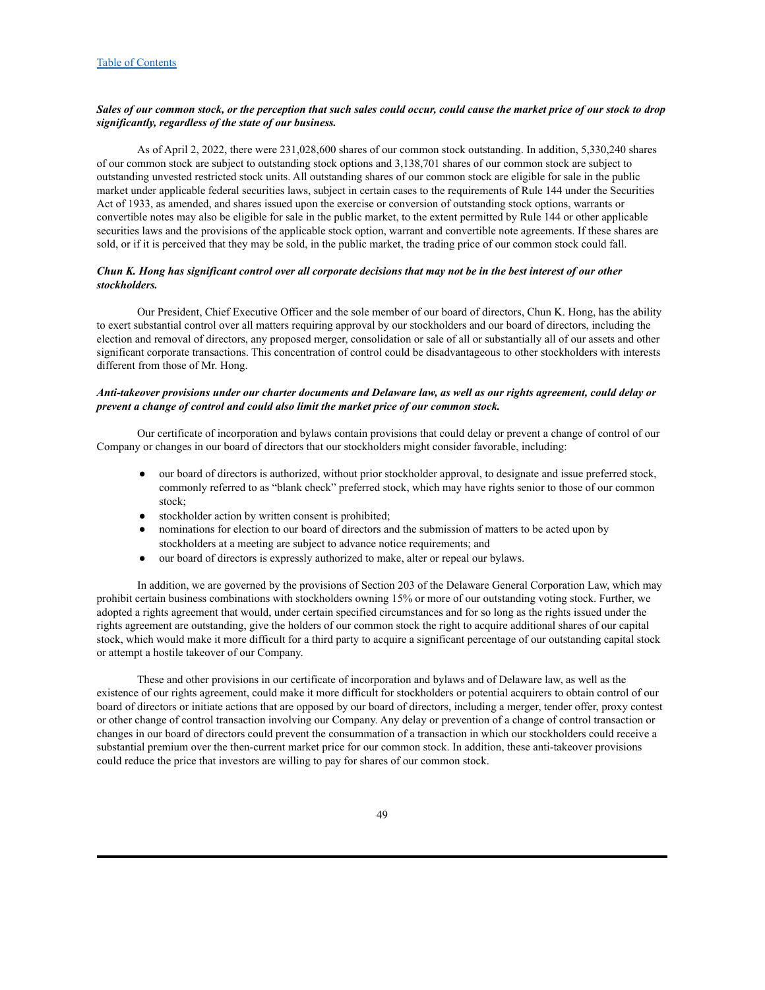# Sales of our common stock, or the perception that such sales could occur, could cause the market price of our stock to drop *significantly, regardless of the state of our business.*

As of April 2, 2022, there were 231,028,600 shares of our common stock outstanding. In addition, 5,330,240 shares of our common stock are subject to outstanding stock options and 3,138,701 shares of our common stock are subject to outstanding unvested restricted stock units. All outstanding shares of our common stock are eligible for sale in the public market under applicable federal securities laws, subject in certain cases to the requirements of Rule 144 under the Securities Act of 1933, as amended, and shares issued upon the exercise or conversion of outstanding stock options, warrants or convertible notes may also be eligible for sale in the public market, to the extent permitted by Rule 144 or other applicable securities laws and the provisions of the applicable stock option, warrant and convertible note agreements. If these shares are sold, or if it is perceived that they may be sold, in the public market, the trading price of our common stock could fall.

# Chun K. Hong has significant control over all corporate decisions that may not be in the best interest of our other *stockholders.*

Our President, Chief Executive Officer and the sole member of our board of directors, Chun K. Hong, has the ability to exert substantial control over all matters requiring approval by our stockholders and our board of directors, including the election and removal of directors, any proposed merger, consolidation or sale of all or substantially all of our assets and other significant corporate transactions. This concentration of control could be disadvantageous to other stockholders with interests different from those of Mr. Hong.

# Anti-takeover provisions under our charter documents and Delaware law, as well as our rights agreement, could delay or *prevent a change of control and could also limit the market price of our common stock.*

Our certificate of incorporation and bylaws contain provisions that could delay or prevent a change of control of our Company or changes in our board of directors that our stockholders might consider favorable, including:

- our board of directors is authorized, without prior stockholder approval, to designate and issue preferred stock, commonly referred to as "blank check" preferred stock, which may have rights senior to those of our common stock;
- stockholder action by written consent is prohibited;
- nominations for election to our board of directors and the submission of matters to be acted upon by stockholders at a meeting are subject to advance notice requirements; and
- our board of directors is expressly authorized to make, alter or repeal our bylaws.

In addition, we are governed by the provisions of Section 203 of the Delaware General Corporation Law, which may prohibit certain business combinations with stockholders owning 15% or more of our outstanding voting stock. Further, we adopted a rights agreement that would, under certain specified circumstances and for so long as the rights issued under the rights agreement are outstanding, give the holders of our common stock the right to acquire additional shares of our capital stock, which would make it more difficult for a third party to acquire a significant percentage of our outstanding capital stock or attempt a hostile takeover of our Company.

These and other provisions in our certificate of incorporation and bylaws and of Delaware law, as well as the existence of our rights agreement, could make it more difficult for stockholders or potential acquirers to obtain control of our board of directors or initiate actions that are opposed by our board of directors, including a merger, tender offer, proxy contest or other change of control transaction involving our Company. Any delay or prevention of a change of control transaction or changes in our board of directors could prevent the consummation of a transaction in which our stockholders could receive a substantial premium over the then-current market price for our common stock. In addition, these anti-takeover provisions could reduce the price that investors are willing to pay for shares of our common stock.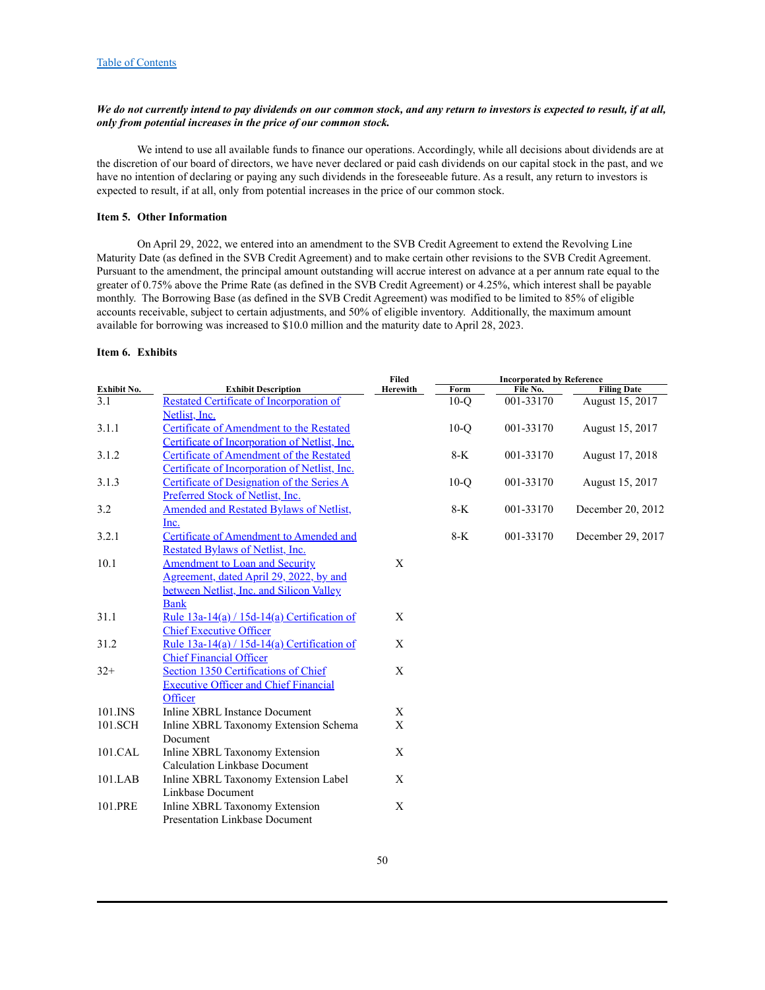# We do not currently intend to pay dividends on our common stock, and any return to investors is expected to result, if at all, *only from potential increases in the price of our common stock.*

We intend to use all available funds to finance our operations. Accordingly, while all decisions about dividends are at the discretion of our board of directors, we have never declared or paid cash dividends on our capital stock in the past, and we have no intention of declaring or paying any such dividends in the foreseeable future. As a result, any return to investors is expected to result, if at all, only from potential increases in the price of our common stock.

# **Item 5. Other Information**

On April 29, 2022, we entered into an amendment to the SVB Credit Agreement to extend the Revolving Line Maturity Date (as defined in the SVB Credit Agreement) and to make certain other revisions to the SVB Credit Agreement. Pursuant to the amendment, the principal amount outstanding will accrue interest on advance at a per annum rate equal to the greater of 0.75% above the Prime Rate (as defined in the SVB Credit Agreement) or 4.25%, which interest shall be payable monthly. The Borrowing Base (as defined in the SVB Credit Agreement) was modified to be limited to 85% of eligible accounts receivable, subject to certain adjustments, and 50% of eligible inventory. Additionally, the maximum amount available for borrowing was increased to \$10.0 million and the maturity date to April 28, 2023.

# <span id="page-49-0"></span>**Item 6. Exhibits**

|             |                                                 | Filed                     | <b>Incorporated by Reference</b> |           |                    |  |
|-------------|-------------------------------------------------|---------------------------|----------------------------------|-----------|--------------------|--|
| Exhibit No. | <b>Exhibit Description</b>                      | Herewith                  | Form                             | File No.  | <b>Filing Date</b> |  |
| 3.1         | <b>Restated Certificate of Incorporation of</b> |                           | $10-Q$                           | 001-33170 | August 15, 2017    |  |
|             | Netlist, Inc.                                   |                           |                                  |           |                    |  |
| 3.1.1       | Certificate of Amendment to the Restated        |                           | $10-Q$                           | 001-33170 | August 15, 2017    |  |
|             | Certificate of Incorporation of Netlist, Inc.   |                           |                                  |           |                    |  |
| 3.1.2       | Certificate of Amendment of the Restated        |                           | $8-K$                            | 001-33170 | August 17, 2018    |  |
|             | Certificate of Incorporation of Netlist, Inc.   |                           |                                  |           |                    |  |
| 3.1.3       | Certificate of Designation of the Series A      |                           | $10-o$                           | 001-33170 | August 15, 2017    |  |
|             | Preferred Stock of Netlist, Inc.                |                           |                                  |           |                    |  |
| 3.2         | <b>Amended and Restated Bylaws of Netlist,</b>  |                           | $8-K$                            | 001-33170 | December 20, 2012  |  |
|             | Inc.                                            |                           |                                  |           |                    |  |
| 3.2.1       | <b>Certificate of Amendment to Amended and</b>  |                           | $8-K$                            | 001-33170 | December 29, 2017  |  |
|             | <b>Restated Bylaws of Netlist, Inc.</b>         |                           |                                  |           |                    |  |
| 10.1        | <b>Amendment to Loan and Security</b>           | X                         |                                  |           |                    |  |
|             | Agreement, dated April 29, 2022, by and         |                           |                                  |           |                    |  |
|             | between Netlist, Inc. and Silicon Valley        |                           |                                  |           |                    |  |
|             | <b>Bank</b>                                     |                           |                                  |           |                    |  |
| 31.1        | Rule 13a-14(a) / 15d-14(a) Certification of     | X                         |                                  |           |                    |  |
|             | <b>Chief Executive Officer</b>                  |                           |                                  |           |                    |  |
| 31.2        | Rule $13a-14(a)$ / $15d-14(a)$ Certification of | X                         |                                  |           |                    |  |
|             | <b>Chief Financial Officer</b>                  |                           |                                  |           |                    |  |
| $32+$       | Section 1350 Certifications of Chief            | X                         |                                  |           |                    |  |
|             | <b>Executive Officer and Chief Financial</b>    |                           |                                  |           |                    |  |
|             | Officer                                         |                           |                                  |           |                    |  |
| 101.INS     | Inline XBRL Instance Document                   | X                         |                                  |           |                    |  |
| 101.SCH     | Inline XBRL Taxonomy Extension Schema           | $\boldsymbol{\mathrm{X}}$ |                                  |           |                    |  |
|             | Document                                        |                           |                                  |           |                    |  |
| 101.CAL     | Inline XBRL Taxonomy Extension                  | X                         |                                  |           |                    |  |
|             | <b>Calculation Linkbase Document</b>            |                           |                                  |           |                    |  |
| 101.LAB     | Inline XBRL Taxonomy Extension Label            | X                         |                                  |           |                    |  |
|             | Linkbase Document                               |                           |                                  |           |                    |  |
| 101.PRE     | Inline XBRL Taxonomy Extension                  | X                         |                                  |           |                    |  |
|             | <b>Presentation Linkbase Document</b>           |                           |                                  |           |                    |  |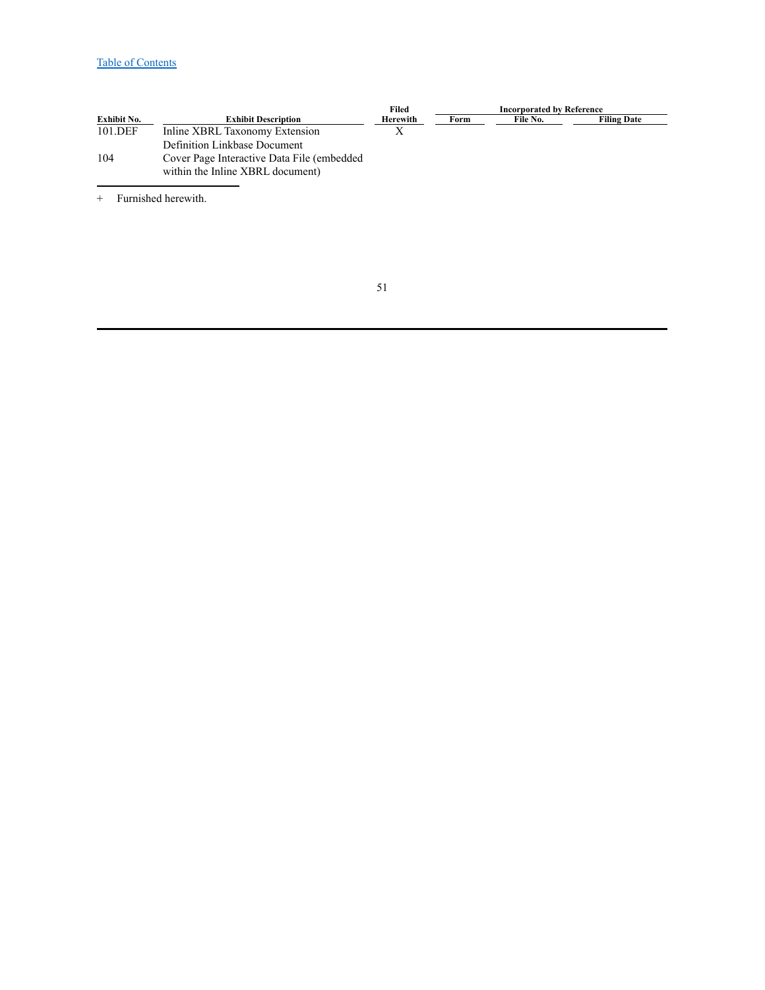|             |                                            | Filed           | <b>Incorporated by Reference</b> |          |                    |  |
|-------------|--------------------------------------------|-----------------|----------------------------------|----------|--------------------|--|
| Exhibit No. | <b>Exhibit Description</b>                 | <b>Herewith</b> | Form                             | File No. | <b>Filing Date</b> |  |
| 101.DEF     | Inline XBRL Taxonomy Extension             |                 |                                  |          |                    |  |
|             | Definition Linkbase Document               |                 |                                  |          |                    |  |
| 104         | Cover Page Interactive Data File (embedded |                 |                                  |          |                    |  |
|             | within the Inline XBRL document)           |                 |                                  |          |                    |  |
|             |                                            |                 |                                  |          |                    |  |

+ Furnished herewith.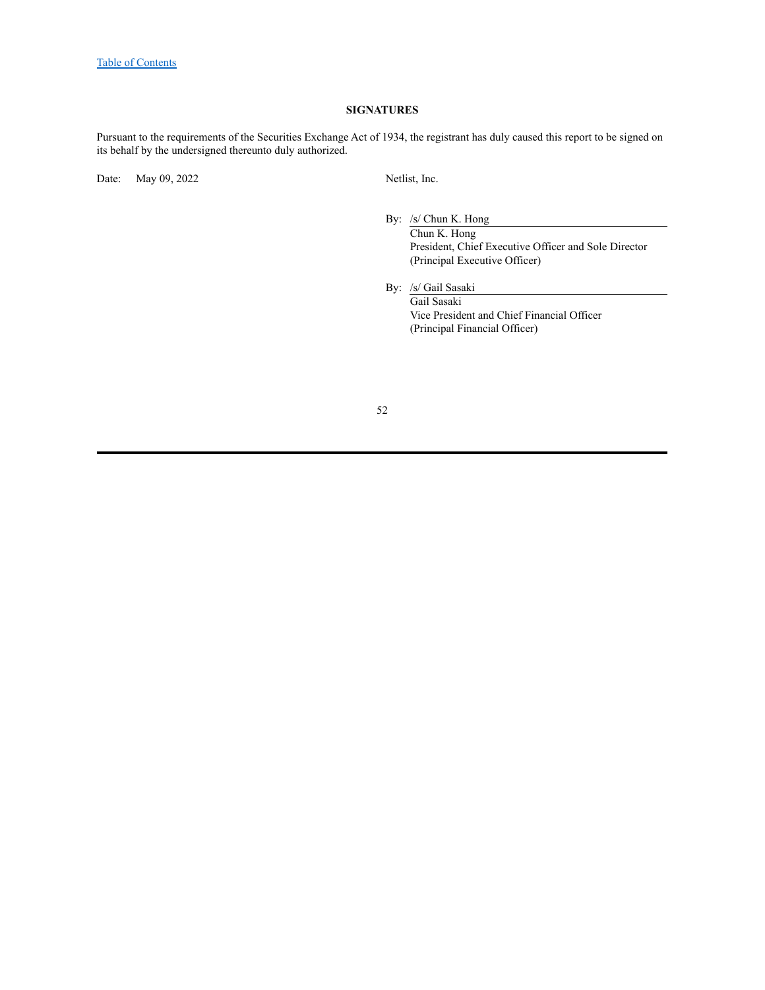# **SIGNATURES**

<span id="page-51-0"></span>Pursuant to the requirements of the Securities Exchange Act of 1934, the registrant has duly caused this report to be signed on its behalf by the undersigned thereunto duly authorized.

Date: May 09, 2022 Netlist, Inc.

- By: /s/ Chun K. Hong Chun K. Hong President, Chief Executive Officer and Sole Director (Principal Executive Officer)
- By: /s/ Gail Sasaki Gail Sasaki Vice President and Chief Financial Officer (Principal Financial Officer)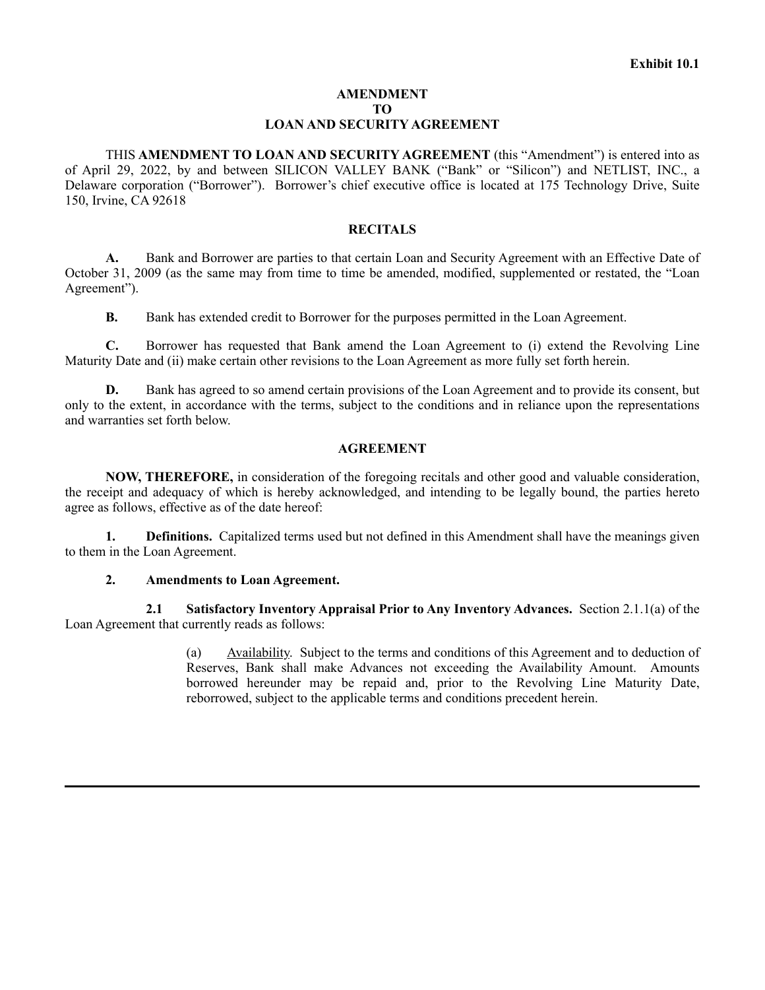# **AMENDMENT TO LOAN AND SECURITY AGREEMENT**

<span id="page-52-0"></span>THIS **AMENDMENT TO LOAN AND SECURITY AGREEMENT** (this "Amendment") is entered into as of April 29, 2022, by and between SILICON VALLEY BANK ("Bank" or "Silicon") and NETLIST, INC., a Delaware corporation ("Borrower"). Borrower's chief executive office is located at 175 Technology Drive, Suite 150, Irvine, CA 92618

# **RECITALS**

**A.** Bank and Borrower are parties to that certain Loan and Security Agreement with an Effective Date of October 31, 2009 (as the same may from time to time be amended, modified, supplemented or restated, the "Loan Agreement").

**B.** Bank has extended credit to Borrower for the purposes permitted in the Loan Agreement.

**C.** Borrower has requested that Bank amend the Loan Agreement to (i) extend the Revolving Line Maturity Date and (ii) make certain other revisions to the Loan Agreement as more fully set forth herein.

**D.** Bank has agreed to so amend certain provisions of the Loan Agreement and to provide its consent, but only to the extent, in accordance with the terms, subject to the conditions and in reliance upon the representations and warranties set forth below.

# **AGREEMENT**

**NOW, THEREFORE,** in consideration of the foregoing recitals and other good and valuable consideration, the receipt and adequacy of which is hereby acknowledged, and intending to be legally bound, the parties hereto agree as follows, effective as of the date hereof:

**1. Definitions.** Capitalized terms used but not defined in this Amendment shall have the meanings given to them in the Loan Agreement.

# **2. Amendments to Loan Agreement.**

**2.1 Satisfactory Inventory Appraisal Prior to Any Inventory Advances.** Section 2.1.1(a) of the Loan Agreement that currently reads as follows:

> (a) Availability. Subject to the terms and conditions of this Agreement and to deduction of Reserves, Bank shall make Advances not exceeding the Availability Amount. Amounts borrowed hereunder may be repaid and, prior to the Revolving Line Maturity Date, reborrowed, subject to the applicable terms and conditions precedent herein.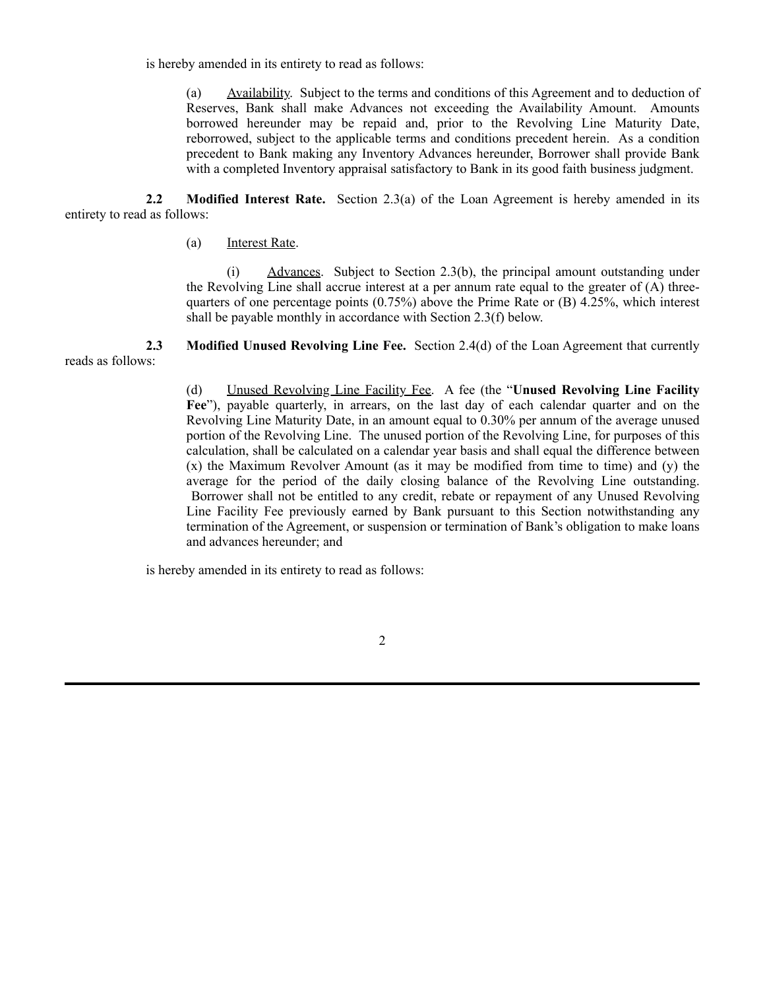is hereby amended in its entirety to read as follows:

(a) Availability. Subject to the terms and conditions of this Agreement and to deduction of Reserves, Bank shall make Advances not exceeding the Availability Amount. Amounts borrowed hereunder may be repaid and, prior to the Revolving Line Maturity Date, reborrowed, subject to the applicable terms and conditions precedent herein. As a condition precedent to Bank making any Inventory Advances hereunder, Borrower shall provide Bank with a completed Inventory appraisal satisfactory to Bank in its good faith business judgment.

**2.2 Modified Interest Rate.** Section 2.3(a) of the Loan Agreement is hereby amended in its entirety to read as follows:

# (a) Interest Rate.

(i) Advances. Subject to Section 2.3(b), the principal amount outstanding under the Revolving Line shall accrue interest at a per annum rate equal to the greater of (A) threequarters of one percentage points (0.75%) above the Prime Rate or (B) 4.25%, which interest shall be payable monthly in accordance with Section 2.3(f) below.

**2.3 Modified Unused Revolving Line Fee.** Section 2.4(d) of the Loan Agreement that currently reads as follows:

> (d) Unused Revolving Line Facility Fee. A fee (the "**Unused Revolving Line Facility Fee**"), payable quarterly, in arrears, on the last day of each calendar quarter and on the Revolving Line Maturity Date, in an amount equal to 0.30% per annum of the average unused portion of the Revolving Line. The unused portion of the Revolving Line, for purposes of this calculation, shall be calculated on a calendar year basis and shall equal the difference between (x) the Maximum Revolver Amount (as it may be modified from time to time) and (y) the average for the period of the daily closing balance of the Revolving Line outstanding. Borrower shall not be entitled to any credit, rebate or repayment of any Unused Revolving Line Facility Fee previously earned by Bank pursuant to this Section notwithstanding any termination of the Agreement, or suspension or termination of Bank's obligation to make loans and advances hereunder; and

is hereby amended in its entirety to read as follows: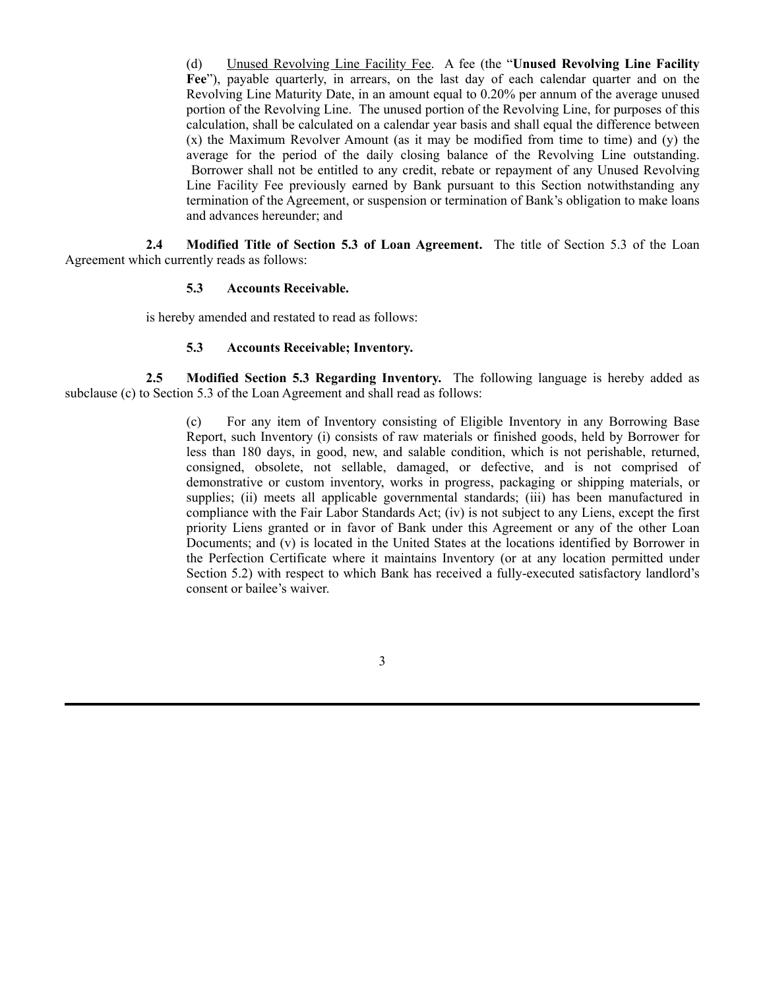(d) Unused Revolving Line Facility Fee. A fee (the "**Unused Revolving Line Facility Fee**"), payable quarterly, in arrears, on the last day of each calendar quarter and on the Revolving Line Maturity Date, in an amount equal to 0.20% per annum of the average unused portion of the Revolving Line. The unused portion of the Revolving Line, for purposes of this calculation, shall be calculated on a calendar year basis and shall equal the difference between  $(x)$  the Maximum Revolver Amount (as it may be modified from time to time) and  $(y)$  the average for the period of the daily closing balance of the Revolving Line outstanding. Borrower shall not be entitled to any credit, rebate or repayment of any Unused Revolving Line Facility Fee previously earned by Bank pursuant to this Section notwithstanding any termination of the Agreement, or suspension or termination of Bank's obligation to make loans and advances hereunder; and

**2.4 Modified Title of Section 5.3 of Loan Agreement.** The title of Section 5.3 of the Loan Agreement which currently reads as follows:

# **5.3 Accounts Receivable.**

is hereby amended and restated to read as follows:

# **5.3 Accounts Receivable; Inventory.**

**2.5 Modified Section 5.3 Regarding Inventory.** The following language is hereby added as subclause (c) to Section 5.3 of the Loan Agreement and shall read as follows:

> (c) For any item of Inventory consisting of Eligible Inventory in any Borrowing Base Report, such Inventory (i) consists of raw materials or finished goods, held by Borrower for less than 180 days, in good, new, and salable condition, which is not perishable, returned, consigned, obsolete, not sellable, damaged, or defective, and is not comprised of demonstrative or custom inventory, works in progress, packaging or shipping materials, or supplies; (ii) meets all applicable governmental standards; (iii) has been manufactured in compliance with the Fair Labor Standards Act; (iv) is not subject to any Liens, except the first priority Liens granted or in favor of Bank under this Agreement or any of the other Loan Documents; and (v) is located in the United States at the locations identified by Borrower in the Perfection Certificate where it maintains Inventory (or at any location permitted under Section 5.2) with respect to which Bank has received a fully-executed satisfactory landlord's consent or bailee's waiver.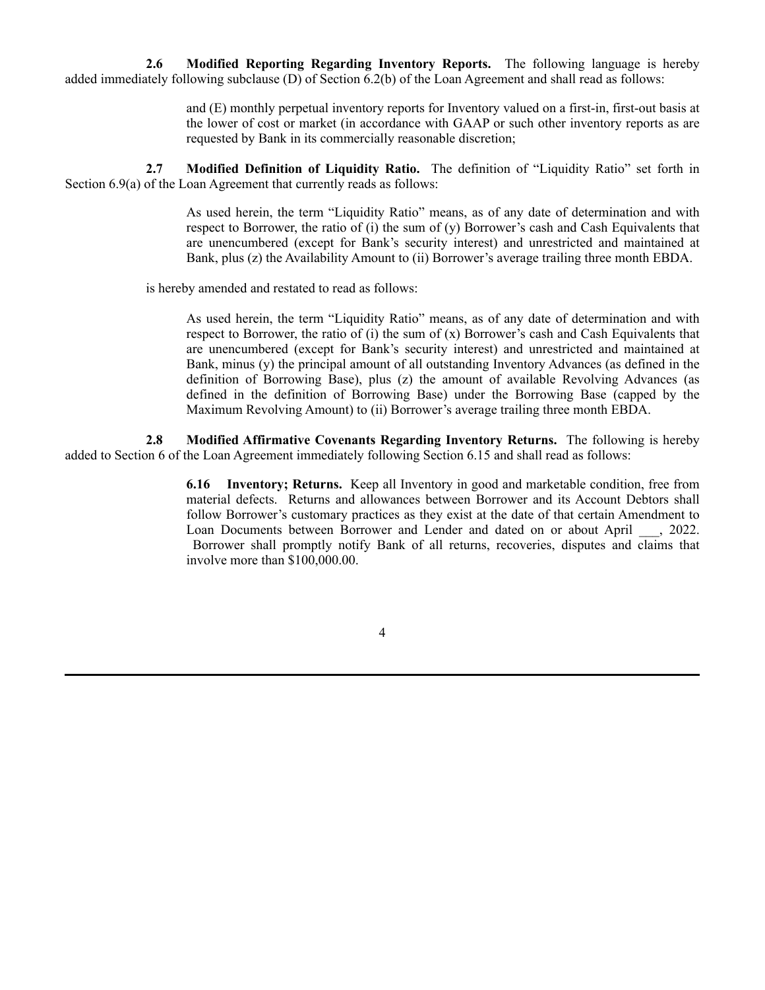**2.6 Modified Reporting Regarding Inventory Reports.** The following language is hereby added immediately following subclause (D) of Section 6.2(b) of the Loan Agreement and shall read as follows:

> and (E) monthly perpetual inventory reports for Inventory valued on a first-in, first-out basis at the lower of cost or market (in accordance with GAAP or such other inventory reports as are requested by Bank in its commercially reasonable discretion;

**2.7 Modified Definition of Liquidity Ratio.** The definition of "Liquidity Ratio" set forth in Section 6.9(a) of the Loan Agreement that currently reads as follows:

> As used herein, the term "Liquidity Ratio" means, as of any date of determination and with respect to Borrower, the ratio of  $(i)$  the sum of  $(y)$  Borrower's cash and Cash Equivalents that are unencumbered (except for Bank's security interest) and unrestricted and maintained at Bank, plus (z) the Availability Amount to (ii) Borrower's average trailing three month EBDA.

is hereby amended and restated to read as follows:

As used herein, the term "Liquidity Ratio" means, as of any date of determination and with respect to Borrower, the ratio of (i) the sum of  $(x)$  Borrower's cash and Cash Equivalents that are unencumbered (except for Bank's security interest) and unrestricted and maintained at Bank, minus (y) the principal amount of all outstanding Inventory Advances (as defined in the definition of Borrowing Base), plus (z) the amount of available Revolving Advances (as defined in the definition of Borrowing Base) under the Borrowing Base (capped by the Maximum Revolving Amount) to (ii) Borrower's average trailing three month EBDA.

**2.8 Modified Affirmative Covenants Regarding Inventory Returns.** The following is hereby added to Section 6 of the Loan Agreement immediately following Section 6.15 and shall read as follows:

> **6.16 Inventory; Returns.** Keep all Inventory in good and marketable condition, free from material defects. Returns and allowances between Borrower and its Account Debtors shall follow Borrower's customary practices as they exist at the date of that certain Amendment to Loan Documents between Borrower and Lender and dated on or about April \_\_\_, 2022. Borrower shall promptly notify Bank of all returns, recoveries, disputes and claims that involve more than \$100,000.00.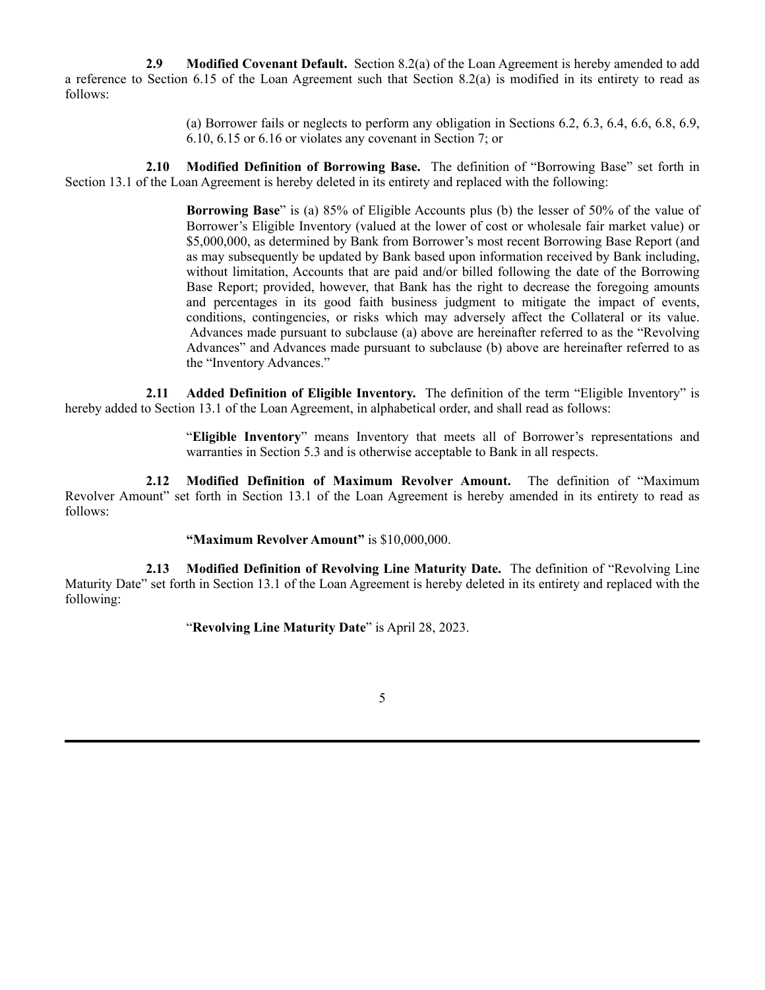**2.9 Modified Covenant Default.** Section 8.2(a) of the Loan Agreement is hereby amended to add a reference to Section 6.15 of the Loan Agreement such that Section 8.2(a) is modified in its entirety to read as follows:

> (a) Borrower fails or neglects to perform any obligation in Sections 6.2, 6.3, 6.4, 6.6, 6.8, 6.9, 6.10, 6.15 or 6.16 or violates any covenant in Section 7; or

**2.10 Modified Definition of Borrowing Base.** The definition of "Borrowing Base" set forth in Section 13.1 of the Loan Agreement is hereby deleted in its entirety and replaced with the following:

> **Borrowing Base**" is (a) 85% of Eligible Accounts plus (b) the lesser of 50% of the value of Borrower's Eligible Inventory (valued at the lower of cost or wholesale fair market value) or \$5,000,000, as determined by Bank from Borrower's most recent Borrowing Base Report (and as may subsequently be updated by Bank based upon information received by Bank including, without limitation, Accounts that are paid and/or billed following the date of the Borrowing Base Report; provided, however, that Bank has the right to decrease the foregoing amounts and percentages in its good faith business judgment to mitigate the impact of events, conditions, contingencies, or risks which may adversely affect the Collateral or its value. Advances made pursuant to subclause (a) above are hereinafter referred to as the "Revolving Advances" and Advances made pursuant to subclause (b) above are hereinafter referred to as the "Inventory Advances."

**2.11 Added Definition of Eligible Inventory.** The definition of the term "Eligible Inventory" is hereby added to Section 13.1 of the Loan Agreement, in alphabetical order, and shall read as follows:

> "**Eligible Inventory**" means Inventory that meets all of Borrower's representations and warranties in Section 5.3 and is otherwise acceptable to Bank in all respects.

**2.12 Modified Definition of Maximum Revolver Amount.** The definition of "Maximum Revolver Amount" set forth in Section 13.1 of the Loan Agreement is hereby amended in its entirety to read as follows:

# **"Maximum Revolver Amount"** is \$10,000,000.

**2.13 Modified Definition of Revolving Line Maturity Date.** The definition of "Revolving Line Maturity Date" set forth in Section 13.1 of the Loan Agreement is hereby deleted in its entirety and replaced with the following:

"**Revolving Line Maturity Date**" is April 28, 2023.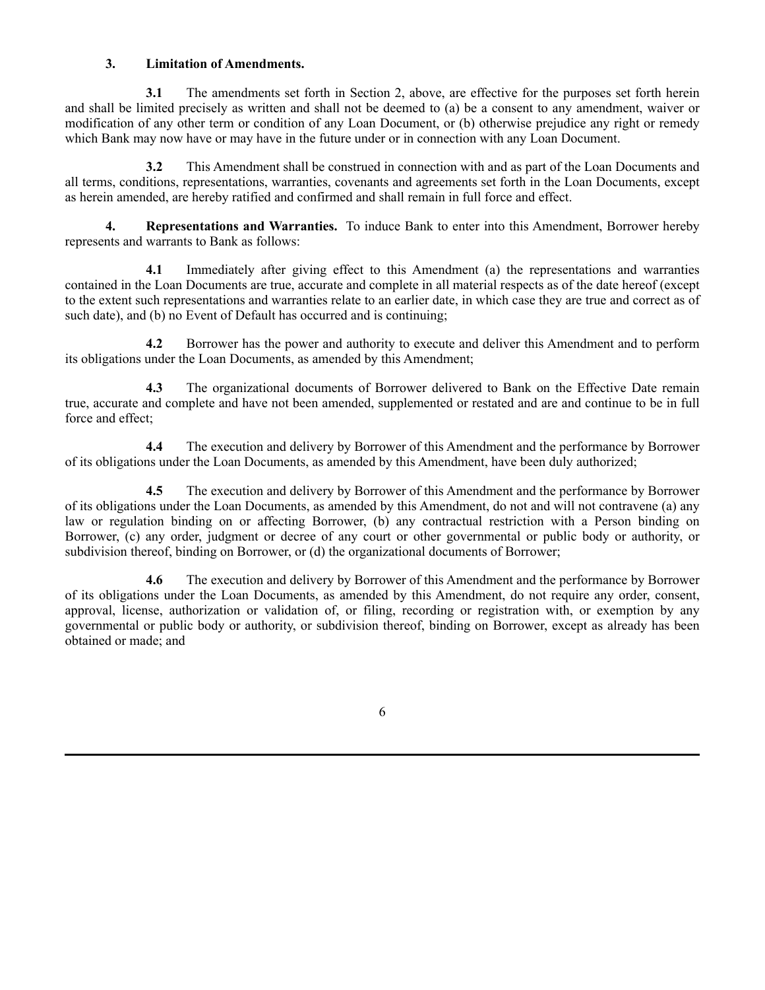# **3. Limitation of Amendments.**

**3.1** The amendments set forth in Section 2, above, are effective for the purposes set forth herein and shall be limited precisely as written and shall not be deemed to (a) be a consent to any amendment, waiver or modification of any other term or condition of any Loan Document, or (b) otherwise prejudice any right or remedy which Bank may now have or may have in the future under or in connection with any Loan Document.

**3.2** This Amendment shall be construed in connection with and as part of the Loan Documents and all terms, conditions, representations, warranties, covenants and agreements set forth in the Loan Documents, except as herein amended, are hereby ratified and confirmed and shall remain in full force and effect.

**4. Representations and Warranties.** To induce Bank to enter into this Amendment, Borrower hereby represents and warrants to Bank as follows:

**4.1** Immediately after giving effect to this Amendment (a) the representations and warranties contained in the Loan Documents are true, accurate and complete in all material respects as of the date hereof (except to the extent such representations and warranties relate to an earlier date, in which case they are true and correct as of such date), and (b) no Event of Default has occurred and is continuing;

**4.2** Borrower has the power and authority to execute and deliver this Amendment and to perform its obligations under the Loan Documents, as amended by this Amendment;

**4.3** The organizational documents of Borrower delivered to Bank on the Effective Date remain true, accurate and complete and have not been amended, supplemented or restated and are and continue to be in full force and effect;

**4.4** The execution and delivery by Borrower of this Amendment and the performance by Borrower of its obligations under the Loan Documents, as amended by this Amendment, have been duly authorized;

**4.5** The execution and delivery by Borrower of this Amendment and the performance by Borrower of its obligations under the Loan Documents, as amended by this Amendment, do not and will not contravene (a) any law or regulation binding on or affecting Borrower, (b) any contractual restriction with a Person binding on Borrower, (c) any order, judgment or decree of any court or other governmental or public body or authority, or subdivision thereof, binding on Borrower, or (d) the organizational documents of Borrower;

**4.6** The execution and delivery by Borrower of this Amendment and the performance by Borrower of its obligations under the Loan Documents, as amended by this Amendment, do not require any order, consent, approval, license, authorization or validation of, or filing, recording or registration with, or exemption by any governmental or public body or authority, or subdivision thereof, binding on Borrower, except as already has been obtained or made; and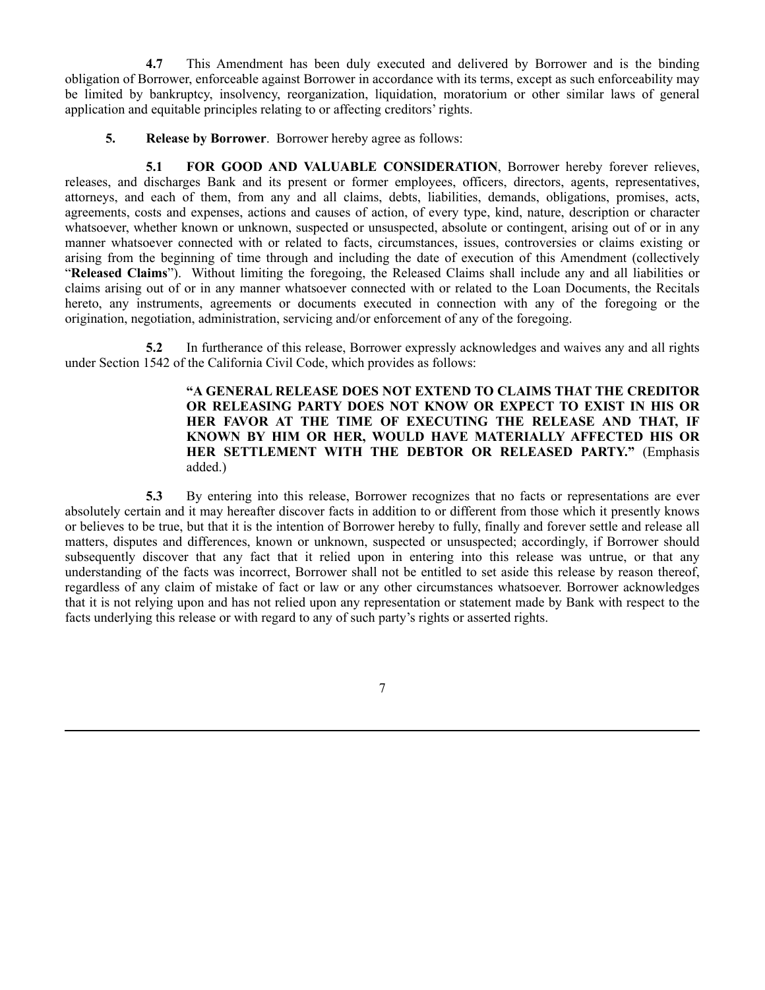**4.7** This Amendment has been duly executed and delivered by Borrower and is the binding obligation of Borrower, enforceable against Borrower in accordance with its terms, except as such enforceability may be limited by bankruptcy, insolvency, reorganization, liquidation, moratorium or other similar laws of general application and equitable principles relating to or affecting creditors' rights.

**5. Release by Borrower**. Borrower hereby agree as follows:

**5.1 FOR GOOD AND VALUABLE CONSIDERATION**, Borrower hereby forever relieves, releases, and discharges Bank and its present or former employees, officers, directors, agents, representatives, attorneys, and each of them, from any and all claims, debts, liabilities, demands, obligations, promises, acts, agreements, costs and expenses, actions and causes of action, of every type, kind, nature, description or character whatsoever, whether known or unknown, suspected or unsuspected, absolute or contingent, arising out of or in any manner whatsoever connected with or related to facts, circumstances, issues, controversies or claims existing or arising from the beginning of time through and including the date of execution of this Amendment (collectively "**Released Claims**"). Without limiting the foregoing, the Released Claims shall include any and all liabilities or claims arising out of or in any manner whatsoever connected with or related to the Loan Documents, the Recitals hereto, any instruments, agreements or documents executed in connection with any of the foregoing or the origination, negotiation, administration, servicing and/or enforcement of any of the foregoing.

**5.2** In furtherance of this release, Borrower expressly acknowledges and waives any and all rights under Section 1542 of the California Civil Code, which provides as follows:

> **"A GENERAL RELEASE DOES NOT EXTEND TO CLAIMS THAT THE CREDITOR OR RELEASING PARTY DOES NOT KNOW OR EXPECT TO EXIST IN HIS OR HER FAVOR AT THE TIME OF EXECUTING THE RELEASE AND THAT, IF KNOWN BY HIM OR HER, WOULD HAVE MATERIALLY AFFECTED HIS OR HER SETTLEMENT WITH THE DEBTOR OR RELEASED PARTY."** (Emphasis added.)

**5.3** By entering into this release, Borrower recognizes that no facts or representations are ever absolutely certain and it may hereafter discover facts in addition to or different from those which it presently knows or believes to be true, but that it is the intention of Borrower hereby to fully, finally and forever settle and release all matters, disputes and differences, known or unknown, suspected or unsuspected; accordingly, if Borrower should subsequently discover that any fact that it relied upon in entering into this release was untrue, or that any understanding of the facts was incorrect, Borrower shall not be entitled to set aside this release by reason thereof, regardless of any claim of mistake of fact or law or any other circumstances whatsoever. Borrower acknowledges that it is not relying upon and has not relied upon any representation or statement made by Bank with respect to the facts underlying this release or with regard to any of such party's rights or asserted rights.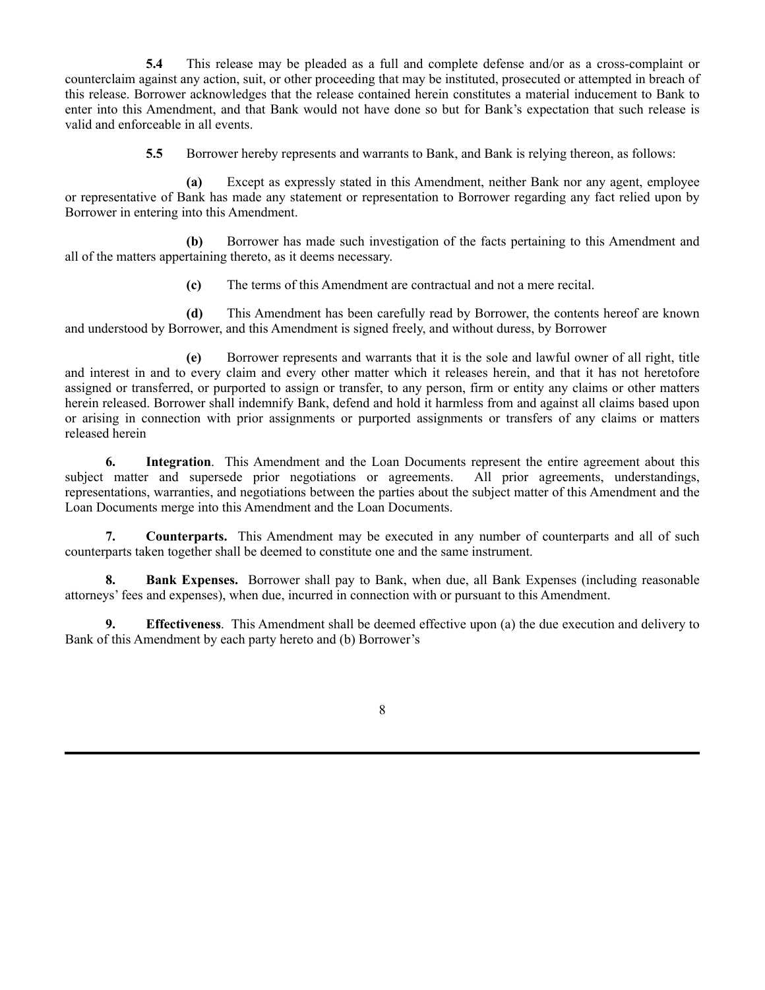**5.4** This release may be pleaded as a full and complete defense and/or as a cross-complaint or counterclaim against any action, suit, or other proceeding that may be instituted, prosecuted or attempted in breach of this release. Borrower acknowledges that the release contained herein constitutes a material inducement to Bank to enter into this Amendment, and that Bank would not have done so but for Bank's expectation that such release is valid and enforceable in all events.

**5.5** Borrower hereby represents and warrants to Bank, and Bank is relying thereon, as follows:

**(a)** Except as expressly stated in this Amendment, neither Bank nor any agent, employee or representative of Bank has made any statement or representation to Borrower regarding any fact relied upon by Borrower in entering into this Amendment.

**(b)** Borrower has made such investigation of the facts pertaining to this Amendment and all of the matters appertaining thereto, as it deems necessary.

**(c)** The terms of this Amendment are contractual and not a mere recital.

**(d)** This Amendment has been carefully read by Borrower, the contents hereof are known and understood by Borrower, and this Amendment is signed freely, and without duress, by Borrower

**(e)** Borrower represents and warrants that it is the sole and lawful owner of all right, title and interest in and to every claim and every other matter which it releases herein, and that it has not heretofore assigned or transferred, or purported to assign or transfer, to any person, firm or entity any claims or other matters herein released. Borrower shall indemnify Bank, defend and hold it harmless from and against all claims based upon or arising in connection with prior assignments or purported assignments or transfers of any claims or matters released herein

**6. Integration**. This Amendment and the Loan Documents represent the entire agreement about this subject matter and supersede prior negotiations or agreements. All prior agreements, understandings, representations, warranties, and negotiations between the parties about the subject matter of this Amendment and the Loan Documents merge into this Amendment and the Loan Documents.

**7. Counterparts.** This Amendment may be executed in any number of counterparts and all of such counterparts taken together shall be deemed to constitute one and the same instrument.

**8. Bank Expenses.** Borrower shall pay to Bank, when due, all Bank Expenses (including reasonable attorneys' fees and expenses), when due, incurred in connection with or pursuant to this Amendment.

**9. Effectiveness**. This Amendment shall be deemed effective upon (a) the due execution and delivery to Bank of this Amendment by each party hereto and (b) Borrower's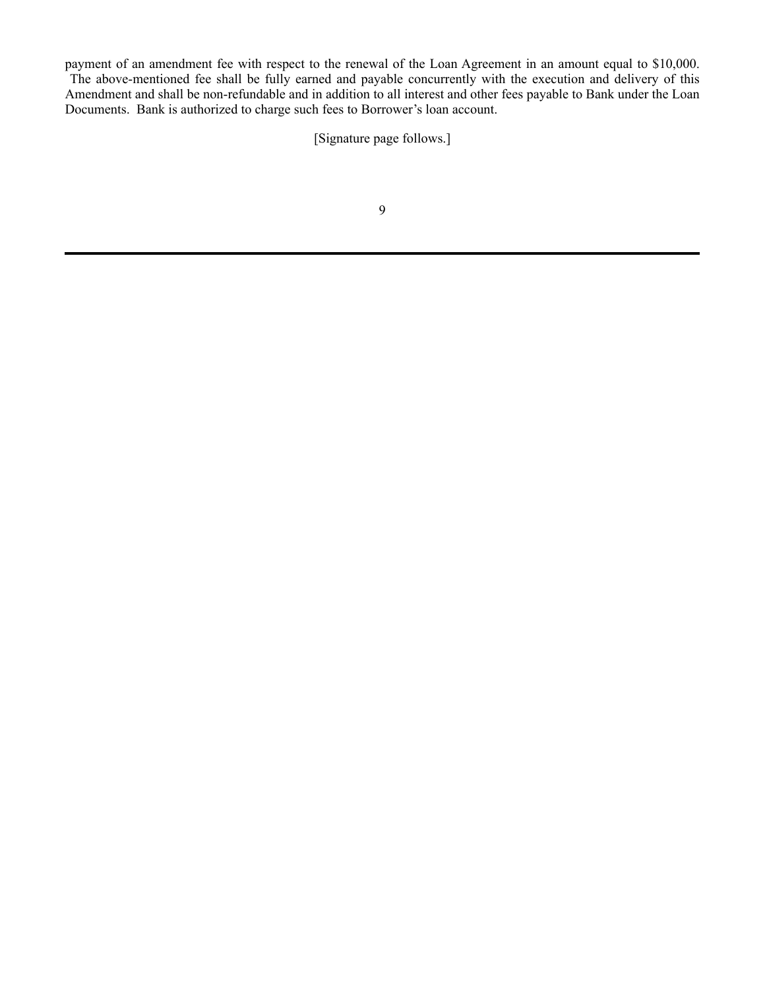payment of an amendment fee with respect to the renewal of the Loan Agreement in an amount equal to \$10,000. The above-mentioned fee shall be fully earned and payable concurrently with the execution and delivery of this Amendment and shall be non-refundable and in addition to all interest and other fees payable to Bank under the Loan Documents. Bank is authorized to charge such fees to Borrower's loan account.

[Signature page follows.]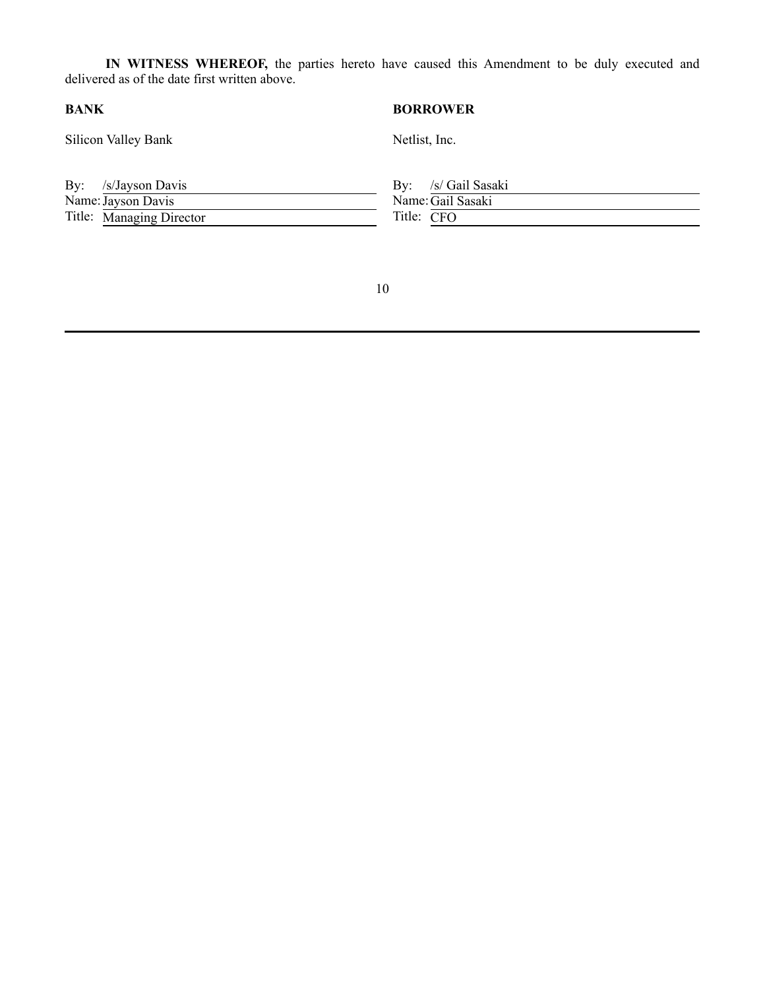**IN WITNESS WHEREOF,** the parties hereto have caused this Amendment to be duly executed and delivered as of the date first written above.

Silicon Valley Bank Netlist, Inc.

# **BANK BORROWER**

| By:<br>/s/Jayson Davis   | /s/ Gail Sasaki<br>Bv: |
|--------------------------|------------------------|
| Name: Jayson Davis       | Name: Gail Sasaki      |
| Title: Managing Director | Title: CFO             |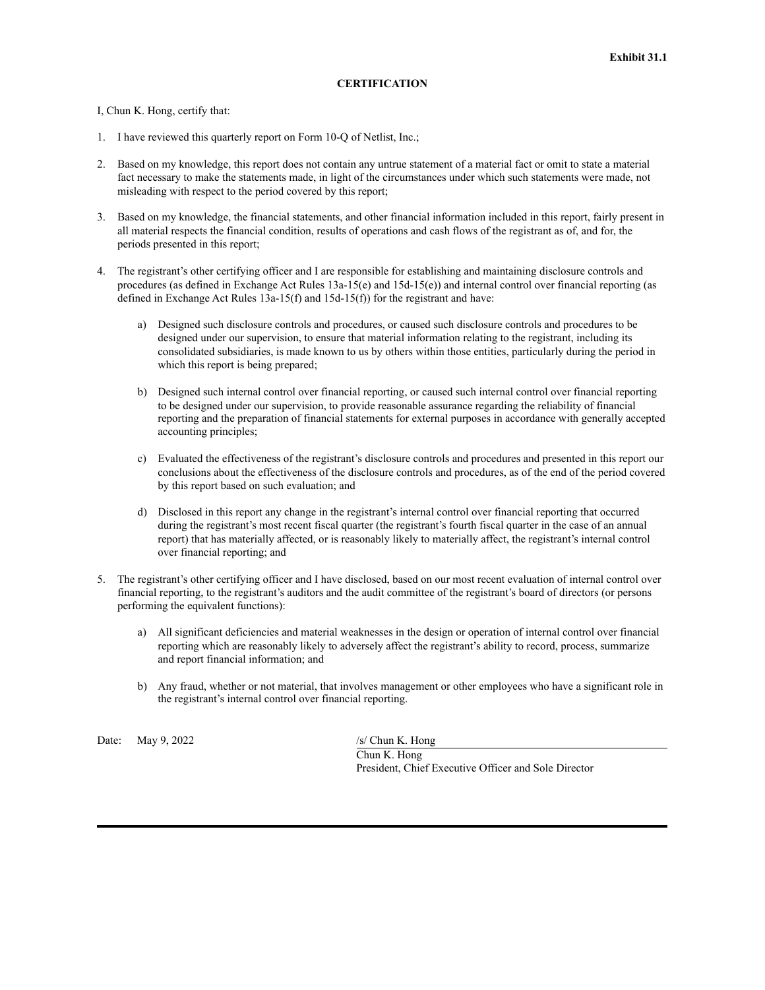# **CERTIFICATION**

<span id="page-62-0"></span>I, Chun K. Hong, certify that:

- 1. I have reviewed this quarterly report on Form 10-Q of Netlist, Inc.;
- 2. Based on my knowledge, this report does not contain any untrue statement of a material fact or omit to state a material fact necessary to make the statements made, in light of the circumstances under which such statements were made, not misleading with respect to the period covered by this report;
- 3. Based on my knowledge, the financial statements, and other financial information included in this report, fairly present in all material respects the financial condition, results of operations and cash flows of the registrant as of, and for, the periods presented in this report;
- 4. The registrant's other certifying officer and I are responsible for establishing and maintaining disclosure controls and procedures (as defined in Exchange Act Rules 13a-15(e) and 15d-15(e)) and internal control over financial reporting (as defined in Exchange Act Rules 13a-15(f) and 15d-15(f)) for the registrant and have:
	- a) Designed such disclosure controls and procedures, or caused such disclosure controls and procedures to be designed under our supervision, to ensure that material information relating to the registrant, including its consolidated subsidiaries, is made known to us by others within those entities, particularly during the period in which this report is being prepared;
	- b) Designed such internal control over financial reporting, or caused such internal control over financial reporting to be designed under our supervision, to provide reasonable assurance regarding the reliability of financial reporting and the preparation of financial statements for external purposes in accordance with generally accepted accounting principles;
	- c) Evaluated the effectiveness of the registrant's disclosure controls and procedures and presented in this report our conclusions about the effectiveness of the disclosure controls and procedures, as of the end of the period covered by this report based on such evaluation; and
	- d) Disclosed in this report any change in the registrant's internal control over financial reporting that occurred during the registrant's most recent fiscal quarter (the registrant's fourth fiscal quarter in the case of an annual report) that has materially affected, or is reasonably likely to materially affect, the registrant's internal control over financial reporting; and
- 5. The registrant's other certifying officer and I have disclosed, based on our most recent evaluation of internal control over financial reporting, to the registrant's auditors and the audit committee of the registrant's board of directors (or persons performing the equivalent functions):
	- a) All significant deficiencies and material weaknesses in the design or operation of internal control over financial reporting which are reasonably likely to adversely affect the registrant's ability to record, process, summarize and report financial information; and
	- b) Any fraud, whether or not material, that involves management or other employees who have a significant role in the registrant's internal control over financial reporting.

Date: May 9, 2022 /s/ Chun K. Hong

Chun K. Hong President, Chief Executive Officer and Sole Director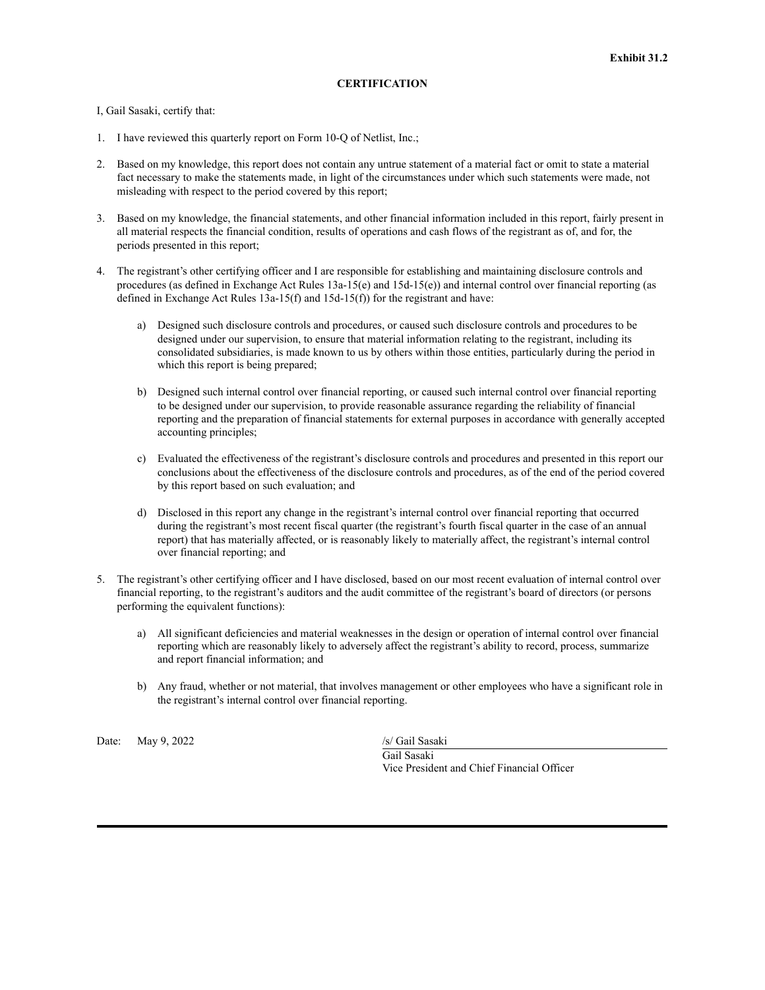# **CERTIFICATION**

<span id="page-63-0"></span>I, Gail Sasaki, certify that:

- 1. I have reviewed this quarterly report on Form 10-Q of Netlist, Inc.;
- 2. Based on my knowledge, this report does not contain any untrue statement of a material fact or omit to state a material fact necessary to make the statements made, in light of the circumstances under which such statements were made, not misleading with respect to the period covered by this report;
- 3. Based on my knowledge, the financial statements, and other financial information included in this report, fairly present in all material respects the financial condition, results of operations and cash flows of the registrant as of, and for, the periods presented in this report;
- 4. The registrant's other certifying officer and I are responsible for establishing and maintaining disclosure controls and procedures (as defined in Exchange Act Rules 13a-15(e) and 15d-15(e)) and internal control over financial reporting (as defined in Exchange Act Rules 13a-15(f) and 15d-15(f)) for the registrant and have:
	- a) Designed such disclosure controls and procedures, or caused such disclosure controls and procedures to be designed under our supervision, to ensure that material information relating to the registrant, including its consolidated subsidiaries, is made known to us by others within those entities, particularly during the period in which this report is being prepared;
	- b) Designed such internal control over financial reporting, or caused such internal control over financial reporting to be designed under our supervision, to provide reasonable assurance regarding the reliability of financial reporting and the preparation of financial statements for external purposes in accordance with generally accepted accounting principles;
	- c) Evaluated the effectiveness of the registrant's disclosure controls and procedures and presented in this report our conclusions about the effectiveness of the disclosure controls and procedures, as of the end of the period covered by this report based on such evaluation; and
	- d) Disclosed in this report any change in the registrant's internal control over financial reporting that occurred during the registrant's most recent fiscal quarter (the registrant's fourth fiscal quarter in the case of an annual report) that has materially affected, or is reasonably likely to materially affect, the registrant's internal control over financial reporting; and
- 5. The registrant's other certifying officer and I have disclosed, based on our most recent evaluation of internal control over financial reporting, to the registrant's auditors and the audit committee of the registrant's board of directors (or persons performing the equivalent functions):
	- a) All significant deficiencies and material weaknesses in the design or operation of internal control over financial reporting which are reasonably likely to adversely affect the registrant's ability to record, process, summarize and report financial information; and
	- b) Any fraud, whether or not material, that involves management or other employees who have a significant role in the registrant's internal control over financial reporting.

Date: May 9, 2022 /s/ Gail Sasaki

Gail Sasaki Vice President and Chief Financial Officer